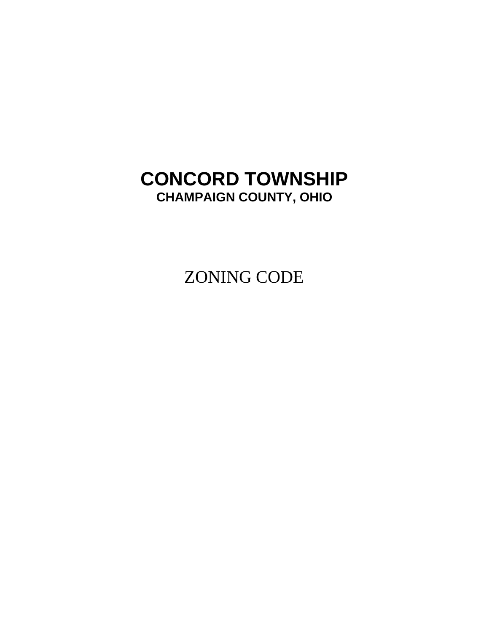# **CONCORD TOWNSHIP CHAMPAIGN COUNTY, OHIO**

ZONING CODE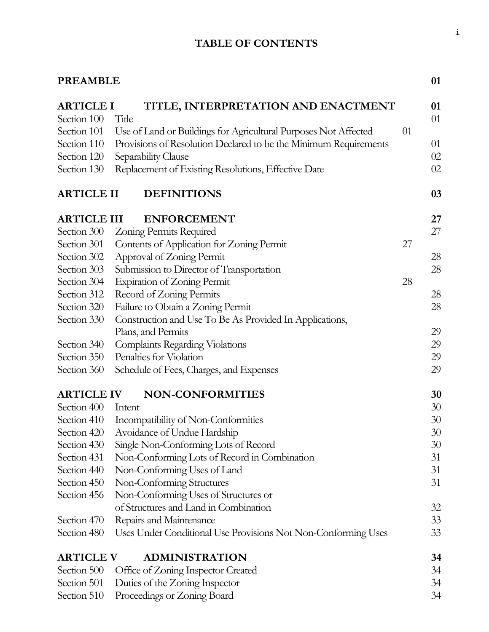# **TABLE OF CONTENTS**

| <b>PREAMBLE</b>    |                                                                  |    | 01 |
|--------------------|------------------------------------------------------------------|----|----|
| <b>ARTICLE I</b>   | TITLE, INTERPRETATION AND ENACTMENT                              |    | 01 |
| Section 100        | Title                                                            |    | 01 |
| Section 101        | Use of Land or Buildings for Agricultural Purposes Not Affected  | 01 |    |
| Section 110        | Provisions of Resolution Declared to be the Minimum Requirements |    | 01 |
| Section 120        | Separability Clause                                              |    | 02 |
| Section 130        | Replacement of Existing Resolutions, Effective Date              |    | 02 |
| <b>ARTICLE II</b>  | <b>DEFINITIONS</b>                                               |    | 03 |
| <b>ARTICLE III</b> | <b>ENFORCEMENT</b>                                               |    | 27 |
| Section 300        | Zoning Permits Required                                          |    | 27 |
| Section 301        | Contents of Application for Zoning Permit                        | 27 |    |
| Section 302        | Approval of Zoning Permit                                        |    | 28 |
| Section 303        | Submission to Director of Transportation                         |    | 28 |
| Section 304        | <b>Expiration of Zoning Permit</b>                               | 28 |    |
| Section 312        | Record of Zoning Permits                                         |    | 28 |
| Section 320        | Failure to Obtain a Zoning Permit                                |    | 28 |
| Section 330        | Construction and Use To Be As Provided In Applications,          |    |    |
|                    | Plans, and Permits                                               |    | 29 |
| Section 340        | Complaints Regarding Violations                                  |    | 29 |
| Section 350        | Penalties for Violation                                          |    | 29 |
| Section 360        | Schedule of Fees, Charges, and Expenses                          |    | 29 |
| <b>ARTICLE IV</b>  | <b>NON-CONFORMITIES</b>                                          |    | 30 |
| Section 400        | Intent                                                           |    | 30 |
| Section 410        | Incompatibility of Non-Conformities                              |    | 30 |
| Section 420        | Avoidance of Undue Hardship                                      |    | 30 |
| Section 430        | Single Non-Conforming Lots of Record                             |    | 30 |
| Section 431        | Non-Conforming Lots of Record in Combination                     |    | 31 |
| Section 440        | Non-Conforming Uses of Land                                      |    | 31 |
| Section 450        | Non-Conforming Structures                                        |    | 31 |
| Section 456        | Non-Conforming Uses of Structures or                             |    |    |
|                    | of Structures and Land in Combination                            |    | 32 |
| Section 470        | Repairs and Maintenance                                          |    | 33 |
| Section 480        | Uses Under Conditional Use Provisions Not Non-Conforming Uses    |    | 33 |
| <b>ARTICLE V</b>   | <b>ADMINISTRATION</b>                                            |    | 34 |
| Section 500        | Office of Zoning Inspector Created                               |    | 34 |
| Section 501        | Duties of the Zoning Inspector                                   |    | 34 |
| Section 510        | Proceedings or Zoning Board                                      |    | 34 |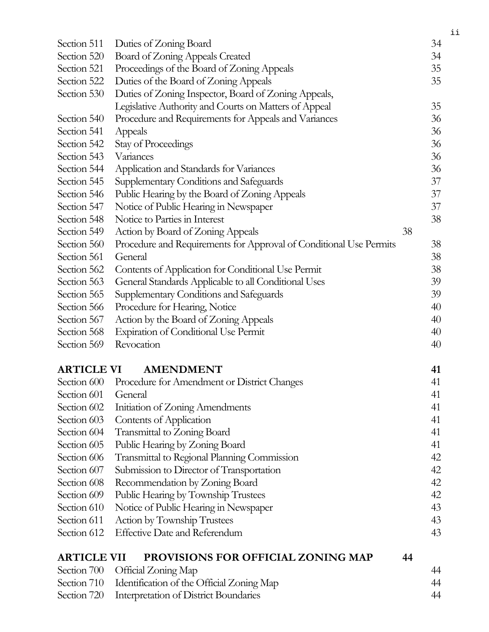| Section 511        | Duties of Zoning Board                                             |    | 34 |
|--------------------|--------------------------------------------------------------------|----|----|
| Section 520        | Board of Zoning Appeals Created                                    |    | 34 |
| Section 521        | Proceedings of the Board of Zoning Appeals                         |    | 35 |
| Section 522        | Duties of the Board of Zoning Appeals                              |    | 35 |
| Section 530        | Duties of Zoning Inspector, Board of Zoning Appeals,               |    |    |
|                    | Legislative Authority and Courts on Matters of Appeal              |    | 35 |
| Section 540        | Procedure and Requirements for Appeals and Variances               |    | 36 |
| Section 541        | Appeals                                                            |    | 36 |
| Section 542        | Stay of Proceedings                                                |    | 36 |
| Section 543        | Variances                                                          |    | 36 |
| Section 544        | Application and Standards for Variances                            |    | 36 |
| Section 545        | Supplementary Conditions and Safeguards                            |    | 37 |
| Section 546        | Public Hearing by the Board of Zoning Appeals                      |    | 37 |
| Section 547        | Notice of Public Hearing in Newspaper                              |    | 37 |
| Section 548        | Notice to Parties in Interest                                      |    | 38 |
| Section 549        | Action by Board of Zoning Appeals                                  | 38 |    |
| Section 560        | Procedure and Requirements for Approval of Conditional Use Permits |    | 38 |
| Section 561        | General                                                            |    | 38 |
| Section 562        | Contents of Application for Conditional Use Permit                 |    | 38 |
| Section 563        | General Standards Applicable to all Conditional Uses               |    | 39 |
| Section 565        | Supplementary Conditions and Safeguards                            |    | 39 |
| Section 566        | Procedure for Hearing, Notice                                      |    | 40 |
| Section 567        | Action by the Board of Zoning Appeals                              |    | 40 |
| Section 568        | <b>Expiration of Conditional Use Permit</b>                        |    | 40 |
| Section 569        | Revocation                                                         |    | 40 |
|                    |                                                                    |    |    |
| <b>ARTICLE VI</b>  | <b>AMENDMENT</b>                                                   |    | 41 |
|                    | Section 600 Procedure for Amendment or District Changes            |    | 41 |
| Section 601        | General                                                            |    | 41 |
| Section 602        | Initiation of Zoning Amendments                                    |    | 41 |
| Section 603        | Contents of Application                                            |    | 41 |
| Section 604        | Transmittal to Zoning Board                                        |    | 41 |
| Section 605        | Public Hearing by Zoning Board                                     |    | 41 |
| Section 606        | Transmittal to Regional Planning Commission                        |    | 42 |
| Section 607        | Submission to Director of Transportation                           |    | 42 |
| Section 608        | Recommendation by Zoning Board                                     |    | 42 |
| Section 609        | Public Hearing by Township Trustees                                |    | 42 |
| Section 610        | Notice of Public Hearing in Newspaper                              |    | 43 |
| Section 611        | <b>Action by Township Trustees</b>                                 |    | 43 |
| Section 612        | <b>Effective Date and Referendum</b>                               |    | 43 |
| <b>ARTICLE VII</b> | <b>PROVISIONS FOR OFFICIAL ZONING MAP</b>                          | 44 |    |
| Section 700        | Official Zoning Map                                                |    | 44 |
| Section 710        | Identification of the Official Zoning Map                          |    | 44 |
| Section 720        | Interpretation of District Boundaries                              |    | 44 |

ii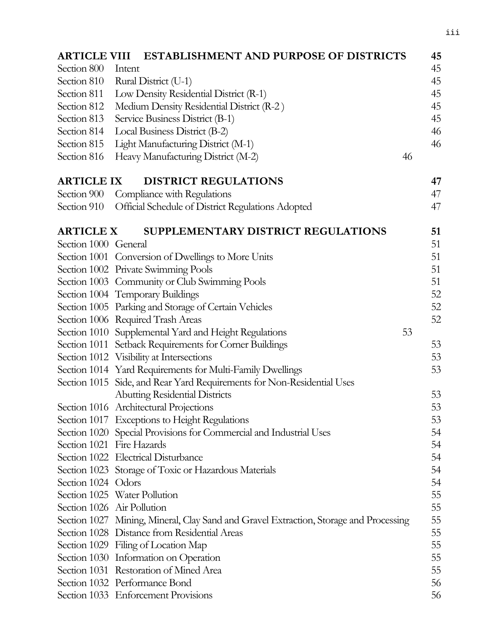| <b>ARTICLE VIII</b>  | <b>ESTABLISHMENT AND PURPOSE OF DISTRICTS</b>                                         | 45 |
|----------------------|---------------------------------------------------------------------------------------|----|
| Section 800          | Intent                                                                                | 45 |
| Section 810          | Rural District (U-1)                                                                  | 45 |
| Section 811          | Low Density Residential District (R-1)                                                | 45 |
| Section 812          | Medium Density Residential District (R-2)                                             | 45 |
| Section 813          | Service Business District (B-1)                                                       | 45 |
| Section 814          | Local Business District (B-2)                                                         | 46 |
| Section 815          | Light Manufacturing District (M-1)                                                    | 46 |
| Section 816          | Heavy Manufacturing District (M-2)<br>46                                              |    |
| <b>ARTICLE IX</b>    | <b>DISTRICT REGULATIONS</b>                                                           | 47 |
|                      | Section 900 Compliance with Regulations                                               | 47 |
| Section 910          | Official Schedule of District Regulations Adopted                                     | 47 |
| <b>ARTICLE X</b>     | SUPPLEMENTARY DISTRICT REGULATIONS                                                    | 51 |
| Section 1000 General |                                                                                       | 51 |
|                      | Section 1001 Conversion of Dwellings to More Units                                    | 51 |
|                      | Section 1002 Private Swimming Pools                                                   | 51 |
|                      | Section 1003 Community or Club Swimming Pools                                         | 51 |
|                      | Section 1004 Temporary Buildings                                                      | 52 |
|                      | Section 1005 Parking and Storage of Certain Vehicles                                  | 52 |
|                      | Section 1006 Required Trash Areas                                                     | 52 |
|                      | Section 1010 Supplemental Yard and Height Regulations<br>53                           |    |
|                      | Section 1011 Setback Requirements for Corner Buildings                                | 53 |
|                      | Section 1012 Visibility at Intersections                                              | 53 |
|                      | Section 1014 Yard Requirements for Multi-Family Dwellings                             | 53 |
|                      | Section 1015 Side, and Rear Yard Requirements for Non-Residential Uses                |    |
|                      | <b>Abutting Residential Districts</b>                                                 | 53 |
|                      | Section 1016 Architectural Projections                                                | 53 |
|                      | Section 1017 Exceptions to Height Regulations                                         | 53 |
|                      | Section 1020 Special Provisions for Commercial and Industrial Uses                    | 54 |
|                      | Section 1021 Fire Hazards                                                             | 54 |
|                      | Section 1022 Electrical Disturbance                                                   | 54 |
|                      | Section 1023 Storage of Toxic or Hazardous Materials                                  | 54 |
| Section 1024 Odors   |                                                                                       | 54 |
|                      | Section 1025 Water Pollution                                                          | 55 |
|                      | Section 1026 Air Pollution                                                            | 55 |
|                      | Section 1027 Mining, Mineral, Clay Sand and Gravel Extraction, Storage and Processing | 55 |
|                      | Section 1028 Distance from Residential Areas                                          | 55 |
|                      | Section 1029 Filing of Location Map                                                   | 55 |
|                      | Section 1030 Information on Operation                                                 | 55 |
|                      | Section 1031 Restoration of Mined Area                                                | 55 |
|                      | Section 1032 Performance Bond                                                         | 56 |
|                      | Section 1033 Enforcement Provisions                                                   | 56 |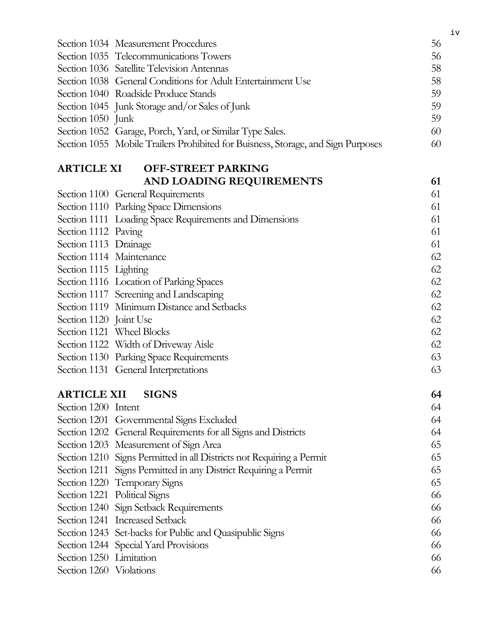|                         | Section 1034 Measurement Procedures                                              | 56 |
|-------------------------|----------------------------------------------------------------------------------|----|
|                         | Section 1035 Telecommunications Towers                                           | 56 |
|                         | Section 1036 Satellite Television Antennas                                       | 58 |
|                         | Section 1038 General Conditions for Adult Entertainment Use                      | 58 |
|                         | Section 1040 Roadside Produce Stands                                             | 59 |
|                         | Section 1045 Junk Storage and/or Sales of Junk                                   | 59 |
| Section 1050 Junk       |                                                                                  | 59 |
|                         | Section 1052 Garage, Porch, Yard, or Similar Type Sales.                         | 60 |
|                         | Section 1055 Mobile Trailers Prohibited for Buisness, Storage, and Sign Purposes | 60 |
|                         | <b>ARTICLE XI OFF-STREET PARKING</b>                                             |    |
|                         | AND LOADING REQUIREMENTS                                                         | 61 |
|                         | Section 1100 General Requirements                                                | 61 |
|                         | Section 1110 Parking Space Dimensions                                            | 61 |
|                         | Section 1111 Loading Space Requirements and Dimensions                           | 61 |
| Section 1112 Paving     |                                                                                  | 61 |
| Section 1113 Drainage   |                                                                                  | 61 |
|                         | Section 1114 Maintenance                                                         | 62 |
| Section 1115 Lighting   |                                                                                  | 62 |
|                         | Section 1116 Location of Parking Spaces                                          | 62 |
|                         | Section 1117 Screening and Landscaping                                           | 62 |
|                         | Section 1119 Minimum Distance and Setbacks                                       | 62 |
| Section 1120 Joint Use  |                                                                                  | 62 |
|                         | Section 1121 Wheel Blocks                                                        | 62 |
|                         | Section 1122 Width of Driveway Aisle                                             | 62 |
|                         | Section 1130 Parking Space Requirements                                          | 63 |
|                         | Section 1131 General Interpretations                                             | 63 |
|                         | <b>ARTICLE XII SIGNS</b>                                                         | 64 |
| Section 1200 Intent     |                                                                                  | 64 |
|                         | Section 1201 Governmental Signs Excluded                                         | 64 |
|                         | Section 1202 General Requirements for all Signs and Districts                    | 64 |
|                         | Section 1203 Measurement of Sign Area                                            | 65 |
|                         | Section 1210 Signs Permitted in all Districts not Requiring a Permit             | 65 |
|                         | Section 1211 Signs Permitted in any District Requiring a Permit                  | 65 |
|                         | Section 1220 Temporary Signs                                                     | 65 |
|                         | Section 1221 Political Signs                                                     | 66 |
|                         | Section 1240 Sign Setback Requirements                                           | 66 |
|                         | Section 1241 Increased Setback                                                   | 66 |
|                         | Section 1243 Set-backs for Public and Quasipublic Signs                          | 66 |
|                         | Section 1244 Special Yard Provisions                                             | 66 |
| Section 1250 Limitation |                                                                                  | 66 |
| Section 1260 Violations |                                                                                  | 66 |

iv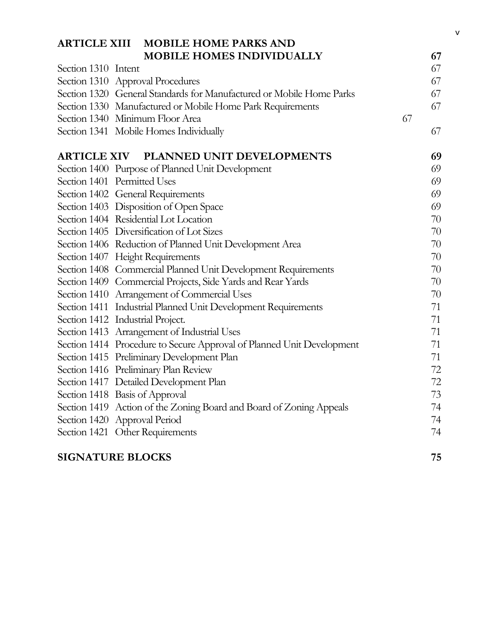|                                  | ARTICLE XIII MOBILE HOME PARKS AND                                    |    |    |
|----------------------------------|-----------------------------------------------------------------------|----|----|
|                                  | <b>MOBILE HOMES INDIVIDUALLY</b>                                      |    | 67 |
| Section 1310 Intent              |                                                                       |    | 67 |
|                                  | Section 1310 Approval Procedures                                      |    | 67 |
|                                  | Section 1320 General Standards for Manufactured or Mobile Home Parks  |    | 67 |
|                                  | Section 1330 Manufactured or Mobile Home Park Requirements            |    | 67 |
|                                  | Section 1340 Minimum Floor Area                                       | 67 |    |
|                                  | Section 1341 Mobile Homes Individually                                |    | 67 |
|                                  | ARTICLE XIV PLANNED UNIT DEVELOPMENTS                                 |    | 69 |
|                                  | Section 1400 Purpose of Planned Unit Development                      |    | 69 |
| Section 1401 Permitted Uses      |                                                                       |    | 69 |
|                                  | Section 1402 General Requirements                                     |    | 69 |
|                                  | Section 1403 Disposition of Open Space                                |    | 69 |
|                                  | Section 1404 Residential Lot Location                                 |    | 70 |
|                                  | Section 1405 Diversification of Lot Sizes                             |    | 70 |
|                                  | Section 1406 Reduction of Planned Unit Development Area               |    | 70 |
|                                  | Section 1407 Height Requirements                                      |    | 70 |
|                                  | Section 1408 Commercial Planned Unit Development Requirements         |    | 70 |
|                                  | Section 1409 Commercial Projects, Side Yards and Rear Yards           |    | 70 |
|                                  | Section 1410 Arrangement of Commercial Uses                           |    | 70 |
|                                  | Section 1411 Industrial Planned Unit Development Requirements         |    | 71 |
| Section 1412 Industrial Project. |                                                                       |    | 71 |
|                                  | Section 1413 Arrangement of Industrial Uses                           |    | 71 |
|                                  | Section 1414 Procedure to Secure Approval of Planned Unit Development |    | 71 |
|                                  | Section 1415 Preliminary Development Plan                             |    | 71 |
|                                  | Section 1416 Preliminary Plan Review                                  |    | 72 |
|                                  | Section 1417 Detailed Development Plan                                |    | 72 |
|                                  | Section 1418 Basis of Approval                                        |    | 73 |
|                                  | Section 1419 Action of the Zoning Board and Board of Zoning Appeals   |    | 74 |
| Section 1420 Approval Period     |                                                                       |    | 74 |
|                                  | Section 1421 Other Requirements                                       |    | 74 |
| <b>SIGNATURE BLOCKS</b>          |                                                                       |    | 75 |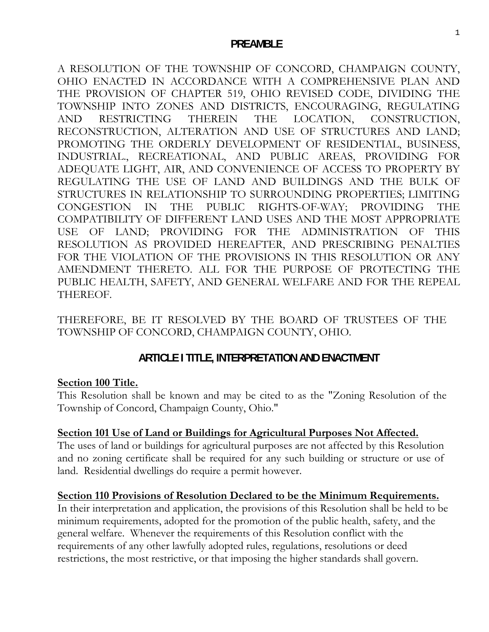### **PREAMBLE**

A RESOLUTION OF THE TOWNSHIP OF CONCORD, CHAMPAIGN COUNTY, OHIO ENACTED IN ACCORDANCE WITH A COMPREHENSIVE PLAN AND THE PROVISION OF CHAPTER 519, OHIO REVISED CODE, DIVIDING THE TOWNSHIP INTO ZONES AND DISTRICTS, ENCOURAGING, REGULATING AND RESTRICTING THEREIN THE LOCATION, CONSTRUCTION, RECONSTRUCTION, ALTERATION AND USE OF STRUCTURES AND LAND; PROMOTING THE ORDERLY DEVELOPMENT OF RESIDENTIAL, BUSINESS, INDUSTRIAL., RECREATIONAL, AND PUBLIC AREAS, PROVIDING FOR ADEQUATE LIGHT, AIR, AND CONVENIENCE OF ACCESS TO PROPERTY BY REGULATING THE USE OF LAND AND BUILDINGS AND THE BULK OF STRUCTURES IN RELATIONSHIP TO SURROUNDING PROPERTIES; LIMITING CONGESTION IN THE PUBLIC RIGHTS-OF-WAY; PROVIDING THE COMPATIBILITY OF DIFFERENT LAND USES AND THE MOST APPROPRIATE USE OF LAND; PROVIDING FOR THE ADMINISTRATION OF THIS RESOLUTION AS PROVIDED HEREAFTER, AND PRESCRIBING PENALTIES FOR THE VIOLATION OF THE PROVISIONS IN THIS RESOLUTION OR ANY AMENDMENT THERETO. ALL FOR THE PURPOSE OF PROTECTING THE PUBLIC HEALTH, SAFETY, AND GENERAL WELFARE AND FOR THE REPEAL THEREOF.

THEREFORE, BE IT RESOLVED BY THE BOARD OF TRUSTEES OF THE TOWNSHIP OF CONCORD, CHAMPAIGN COUNTY, OHIO.

# **ARTICLE I TITLE, INTERPRETATION AND ENACTMENT**

#### **Section 100 Title.**

This Resolution shall be known and may be cited to as the "Zoning Resolution of the Township of Concord, Champaign County, Ohio."

## **Section 101 Use of Land or Buildings for Agricultural Purposes Not Affected.**

The uses of land or buildings for agricultural purposes are not affected by this Resolution and no zoning certificate shall be required for any such building or structure or use of land. Residential dwellings do require a permit however.

#### **Section 110 Provisions of Resolution Declared to be the Minimum Requirements.**

In their interpretation and application, the provisions of this Resolution shall be held to be minimum requirements, adopted for the promotion of the public health, safety, and the general welfare. Whenever the requirements of this Resolution conflict with the requirements of any other lawfully adopted rules, regulations, resolutions or deed restrictions, the most restrictive, or that imposing the higher standards shall govern.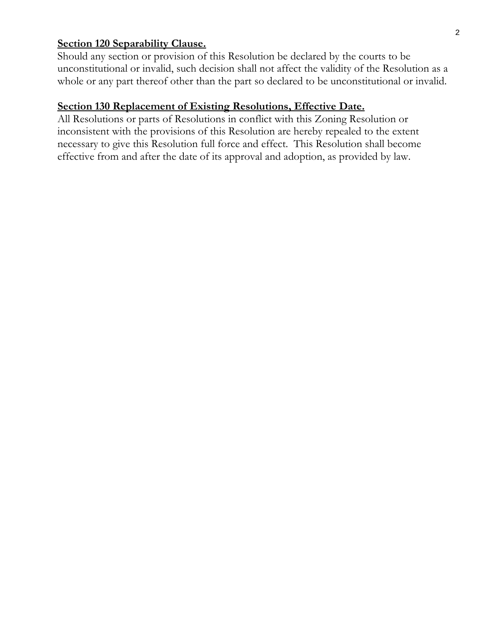## **Section 120 Separability Clause.**

Should any section or provision of this Resolution be declared by the courts to be unconstitutional or invalid, such decision shall not affect the validity of the Resolution as a whole or any part thereof other than the part so declared to be unconstitutional or invalid.

## **Section 130 Replacement of Existing Resolutions, Effective Date.**

All Resolutions or parts of Resolutions in conflict with this Zoning Resolution or inconsistent with the provisions of this Resolution are hereby repealed to the extent necessary to give this Resolution full force and effect. This Resolution shall become effective from and after the date of its approval and adoption, as provided by law.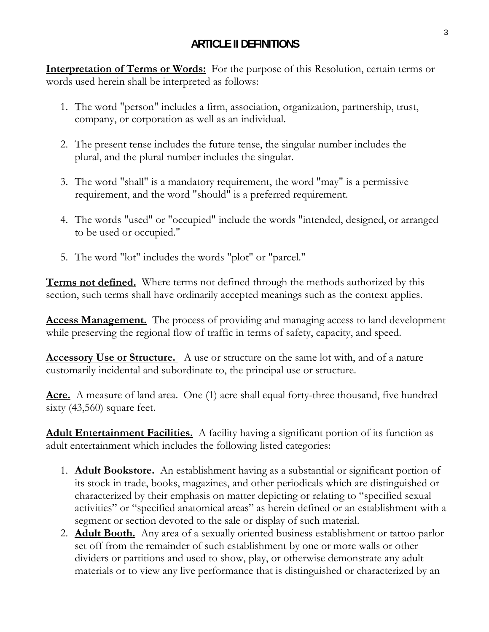# **ARTICLE II DEFINITIONS**

**Interpretation of Terms or Words:** For the purpose of this Resolution, certain terms or words used herein shall be interpreted as follows:

- 1. The word "person" includes a firm, association, organization, partnership, trust, company, or corporation as well as an individual.
- 2. The present tense includes the future tense, the singular number includes the plural, and the plural number includes the singular.
- 3. The word "shall" is a mandatory requirement, the word "may" is a permissive requirement, and the word "should" is a preferred requirement.
- 4. The words "used" or "occupied" include the words "intended, designed, or arranged to be used or occupied."
- 5. The word "lot" includes the words "plot" or "parcel."

**Terms not defined.** Where terms not defined through the methods authorized by this section, such terms shall have ordinarily accepted meanings such as the context applies.

**Access Management.** The process of providing and managing access to land development while preserving the regional flow of traffic in terms of safety, capacity, and speed.

**Accessory Use or Structure.** A use or structure on the same lot with, and of a nature customarily incidental and subordinate to, the principal use or structure.

Acre. A measure of land area. One (1) acre shall equal forty-three thousand, five hundred sixty (43,560) square feet.

**Adult Entertainment Facilities.** A facility having a significant portion of its function as adult entertainment which includes the following listed categories:

- 1. **Adult Bookstore.** An establishment having as a substantial or significant portion of its stock in trade, books, magazines, and other periodicals which are distinguished or characterized by their emphasis on matter depicting or relating to "specified sexual activities" or "specified anatomical areas" as herein defined or an establishment with a segment or section devoted to the sale or display of such material.
- 2. **Adult Booth.** Any area of a sexually oriented business establishment or tattoo parlor set off from the remainder of such establishment by one or more walls or other dividers or partitions and used to show, play, or otherwise demonstrate any adult materials or to view any live performance that is distinguished or characterized by an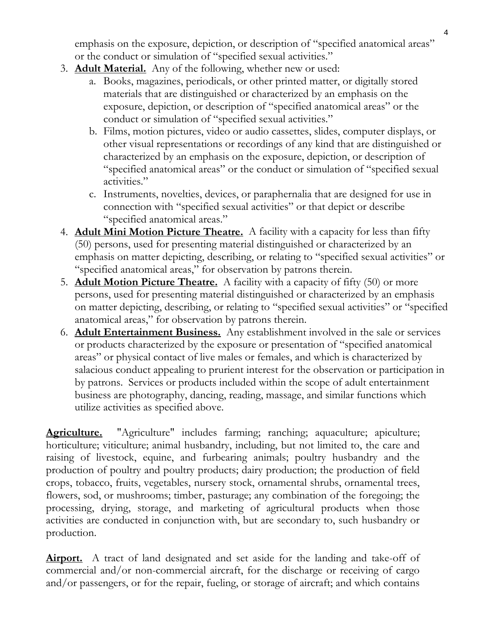emphasis on the exposure, depiction, or description of "specified anatomical areas" or the conduct or simulation of "specified sexual activities."

- 3. **Adult Material.** Any of the following, whether new or used:
	- a. Books, magazines, periodicals, or other printed matter, or digitally stored materials that are distinguished or characterized by an emphasis on the exposure, depiction, or description of "specified anatomical areas" or the conduct or simulation of "specified sexual activities."
	- b. Films, motion pictures, video or audio cassettes, slides, computer displays, or other visual representations or recordings of any kind that are distinguished or characterized by an emphasis on the exposure, depiction, or description of "specified anatomical areas" or the conduct or simulation of "specified sexual activities."
	- c. Instruments, novelties, devices, or paraphernalia that are designed for use in connection with "specified sexual activities" or that depict or describe "specified anatomical areas."
- 4. **Adult Mini Motion Picture Theatre.** A facility with a capacity for less than fifty (50) persons, used for presenting material distinguished or characterized by an emphasis on matter depicting, describing, or relating to "specified sexual activities" or "specified anatomical areas," for observation by patrons therein.
- 5. **Adult Motion Picture Theatre.** A facility with a capacity of fifty (50) or more persons, used for presenting material distinguished or characterized by an emphasis on matter depicting, describing, or relating to "specified sexual activities" or "specified anatomical areas," for observation by patrons therein.
- 6. **Adult Entertainment Business.** Any establishment involved in the sale or services or products characterized by the exposure or presentation of "specified anatomical areas" or physical contact of live males or females, and which is characterized by salacious conduct appealing to prurient interest for the observation or participation in by patrons. Services or products included within the scope of adult entertainment business are photography, dancing, reading, massage, and similar functions which utilize activities as specified above.

**Agriculture.** "Agriculture" includes farming; ranching; aquaculture; apiculture; horticulture; viticulture; animal husbandry, including, but not limited to, the care and raising of livestock, equine, and furbearing animals; poultry husbandry and the production of poultry and poultry products; dairy production; the production of field crops, tobacco, fruits, vegetables, nursery stock, ornamental shrubs, ornamental trees, flowers, sod, or mushrooms; timber, pasturage; any combination of the foregoing; the processing, drying, storage, and marketing of agricultural products when those activities are conducted in conjunction with, but are secondary to, such husbandry or production.

**Airport.** A tract of land designated and set aside for the landing and take-off of commercial and/or non-commercial aircraft, for the discharge or receiving of cargo and/or passengers, or for the repair, fueling, or storage of aircraft; and which contains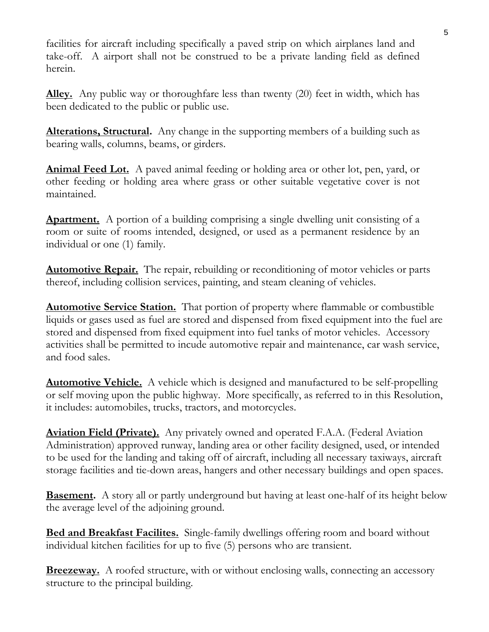facilities for aircraft including specifically a paved strip on which airplanes land and take-off. A airport shall not be construed to be a private landing field as defined herein.

**Alley.** Any public way or thoroughfare less than twenty (20) feet in width, which has been dedicated to the public or public use.

**Alterations, Structural.** Any change in the supporting members of a building such as bearing walls, columns, beams, or girders.

**Animal Feed Lot.** A paved animal feeding or holding area or other lot, pen, yard, or other feeding or holding area where grass or other suitable vegetative cover is not maintained.

**Apartment.** A portion of a building comprising a single dwelling unit consisting of a room or suite of rooms intended, designed, or used as a permanent residence by an individual or one (1) family.

**Automotive Repair.** The repair, rebuilding or reconditioning of motor vehicles or parts thereof, including collision services, painting, and steam cleaning of vehicles.

**Automotive Service Station.** That portion of property where flammable or combustible liquids or gases used as fuel are stored and dispensed from fixed equipment into the fuel are stored and dispensed from fixed equipment into fuel tanks of motor vehicles. Accessory activities shall be permitted to incude automotive repair and maintenance, car wash service, and food sales.

**Automotive Vehicle.** A vehicle which is designed and manufactured to be self-propelling or self moving upon the public highway. More specifically, as referred to in this Resolution, it includes: automobiles, trucks, tractors, and motorcycles.

**Aviation Field (Private).** Any privately owned and operated F.A.A. (Federal Aviation Administration) approved runway, landing area or other facility designed, used, or intended to be used for the landing and taking off of aircraft, including all necessary taxiways, aircraft storage facilities and tie-down areas, hangers and other necessary buildings and open spaces.

**Basement.** A story all or partly underground but having at least one-half of its height below the average level of the adjoining ground.

**Bed and Breakfast Facilites.** Single-family dwellings offering room and board without individual kitchen facilities for up to five (5) persons who are transient.

**Breezeway.** A roofed structure, with or without enclosing walls, connecting an accessory structure to the principal building.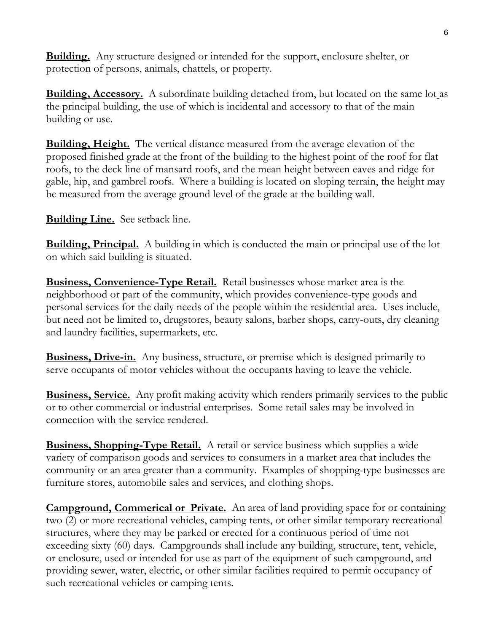**Building.** Any structure designed or intended for the support, enclosure shelter, or protection of persons, animals, chattels, or property.

**Building, Accessory.** A subordinate building detached from, but located on the same lot as the principal building, the use of which is incidental and accessory to that of the main building or use.

**Building, Height.** The vertical distance measured from the average elevation of the proposed finished grade at the front of the building to the highest point of the roof for flat roofs, to the deck line of mansard roofs, and the mean height between eaves and ridge for gable, hip, and gambrel roofs. Where a building is located on sloping terrain, the height may be measured from the average ground level of the grade at the building wall.

**Building Line.** See setback line.

**Building, Principal.** A building in which is conducted the main or principal use of the lot on which said building is situated.

**Business, Convenience-Type Retail.** Retail businesses whose market area is the neighborhood or part of the community, which provides convenience-type goods and personal services for the daily needs of the people within the residential area. Uses include, but need not be limited to, drugstores, beauty salons, barber shops, carry-outs, dry cleaning and laundry facilities, supermarkets, etc.

**Business, Drive-in.** Any business, structure, or premise which is designed primarily to serve occupants of motor vehicles without the occupants having to leave the vehicle.

**Business, Service.** Any profit making activity which renders primarily services to the public or to other commercial or industrial enterprises. Some retail sales may be involved in connection with the service rendered.

**Business, Shopping-Type Retail.** A retail or service business which supplies a wide variety of comparison goods and services to consumers in a market area that includes the community or an area greater than a community. Examples of shopping-type businesses are furniture stores, automobile sales and services, and clothing shops.

**Campground, Commerical or Private.** An area of land providing space for or containing two (2) or more recreational vehicles, camping tents, or other similar temporary recreational structures, where they may be parked or erected for a continuous period of time not exceeding sixty (60) days. Campgrounds shall include any building, structure, tent, vehicle, or enclosure, used or intended for use as part of the equipment of such campground, and providing sewer, water, electric, or other similar facilities required to permit occupancy of such recreational vehicles or camping tents.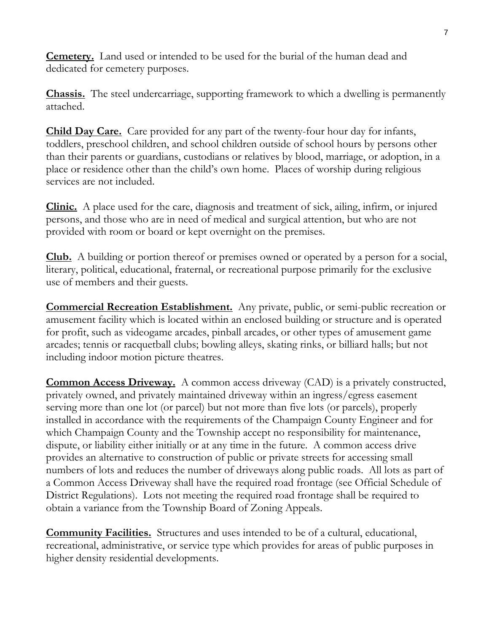**Cemetery.** Land used or intended to be used for the burial of the human dead and dedicated for cemetery purposes.

**Chassis.** The steel undercarriage, supporting framework to which a dwelling is permanently attached.

**Child Day Care.** Care provided for any part of the twenty-four hour day for infants, toddlers, preschool children, and school children outside of school hours by persons other than their parents or guardians, custodians or relatives by blood, marriage, or adoption, in a place or residence other than the child's own home. Places of worship during religious services are not included.

**Clinic.** A place used for the care, diagnosis and treatment of sick, ailing, infirm, or injured persons, and those who are in need of medical and surgical attention, but who are not provided with room or board or kept overnight on the premises.

**Club.** A building or portion thereof or premises owned or operated by a person for a social, literary, political, educational, fraternal, or recreational purpose primarily for the exclusive use of members and their guests.

**Commercial Recreation Establishment.** Any private, public, or semi-public recreation or amusement facility which is located within an enclosed building or structure and is operated for profit, such as videogame arcades, pinball arcades, or other types of amusement game arcades; tennis or racquetball clubs; bowling alleys, skating rinks, or billiard halls; but not including indoor motion picture theatres.

**Common Access Driveway.** A common access driveway (CAD) is a privately constructed, privately owned, and privately maintained driveway within an ingress/egress easement serving more than one lot (or parcel) but not more than five lots (or parcels), properly installed in accordance with the requirements of the Champaign County Engineer and for which Champaign County and the Township accept no responsibility for maintenance, dispute, or liability either initially or at any time in the future. A common access drive provides an alternative to construction of public or private streets for accessing small numbers of lots and reduces the number of driveways along public roads. All lots as part of a Common Access Driveway shall have the required road frontage (see Official Schedule of District Regulations). Lots not meeting the required road frontage shall be required to obtain a variance from the Township Board of Zoning Appeals.

**Community Facilities.** Structures and uses intended to be of a cultural, educational, recreational, administrative, or service type which provides for areas of public purposes in higher density residential developments.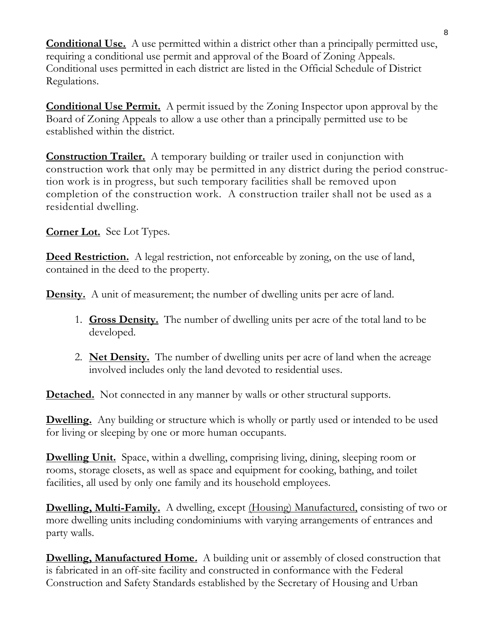**Conditional Use.** A use permitted within a district other than a principally permitted use, requiring a conditional use permit and approval of the Board of Zoning Appeals. Conditional uses permitted in each district are listed in the Official Schedule of District Regulations.

**Conditional Use Permit.** A permit issued by the Zoning Inspector upon approval by the Board of Zoning Appeals to allow a use other than a principally permitted use to be established within the district.

**Construction Trailer.** A temporary building or trailer used in conjunction with construction work that only may be permitted in any district during the period construction work is in progress, but such temporary facilities shall be removed upon completion of the construction work. A construction trailer shall not be used as a residential dwelling.

**Corner Lot.** See Lot Types.

**Deed Restriction.** A legal restriction, not enforceable by zoning, on the use of land, contained in the deed to the property.

**Density.** A unit of measurement; the number of dwelling units per acre of land.

- 1. **Gross Density.** The number of dwelling units per acre of the total land to be developed.
- 2. **Net Density.** The number of dwelling units per acre of land when the acreage involved includes only the land devoted to residential uses.

**Detached.** Not connected in any manner by walls or other structural supports.

**Dwelling.** Any building or structure which is wholly or partly used or intended to be used for living or sleeping by one or more human occupants.

**Dwelling Unit.** Space, within a dwelling, comprising living, dining, sleeping room or rooms, storage closets, as well as space and equipment for cooking, bathing, and toilet facilities, all used by only one family and its household employees.

**Dwelling, Multi-Family.** A dwelling, except <u>(Housing) Manufactured</u>, consisting of two or more dwelling units including condominiums with varying arrangements of entrances and party walls.

**Dwelling, Manufactured Home.** A building unit or assembly of closed construction that is fabricated in an off-site facility and constructed in conformance with the Federal Construction and Safety Standards established by the Secretary of Housing and Urban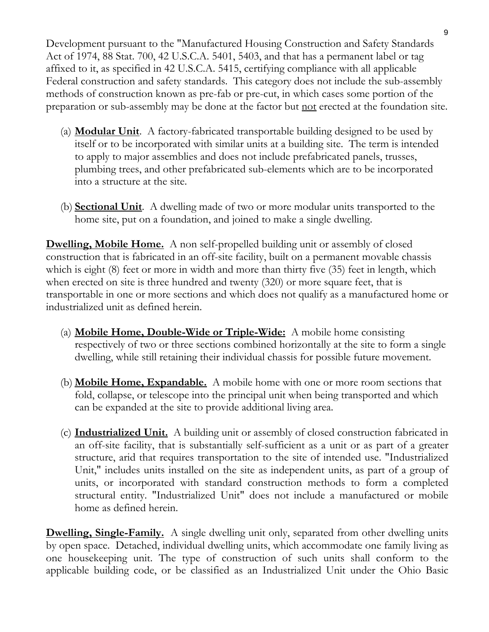Development pursuant to the "Manufactured Housing Construction and Safety Standards Act of 1974, 88 Stat. 700, 42 U.S.C.A. 5401, 5403, and that has a permanent label or tag affixed to it, as specified in 42 U.S.C.A. 5415, certifying compliance with all applicable Federal construction and safety standards. This category does not include the sub-assembly methods of construction known as pre-fab or pre-cut, in which cases some portion of the preparation or sub-assembly may be done at the factor but not erected at the foundation site.

- (a) **Modular Unit**. A factory-fabricated transportable building designed to be used by itself or to be incorporated with similar units at a building site. The term is intended to apply to major assemblies and does not include prefabricated panels, trusses, plumbing trees, and other prefabricated sub-elements which are to be incorporated into a structure at the site.
- (b) **Sectional Unit**. A dwelling made of two or more modular units transported to the home site, put on a foundation, and joined to make a single dwelling.

**Dwelling, Mobile Home.** A non self-propelled building unit or assembly of closed construction that is fabricated in an off-site facility, built on a permanent movable chassis which is eight (8) feet or more in width and more than thirty five (35) feet in length, which when erected on site is three hundred and twenty (320) or more square feet, that is transportable in one or more sections and which does not qualify as a manufactured home or industrialized unit as defined herein.

- (a) **Mobile Home, Double-Wide or Triple-Wide:** A mobile home consisting respectively of two or three sections combined horizontally at the site to form a single dwelling, while still retaining their individual chassis for possible future movement.
- (b) **Mobile Home, Expandable.** A mobile home with one or more room sections that fold, collapse, or telescope into the principal unit when being transported and which can be expanded at the site to provide additional living area.
- (c) **Industrialized Unit.** A building unit or assembly of closed construction fabricated in an off-site facility, that is substantially self-sufficient as a unit or as part of a greater structure, arid that requires transportation to the site of intended use. "Industrialized Unit," includes units installed on the site as independent units, as part of a group of units, or incorporated with standard construction methods to form a completed structural entity. "Industrialized Unit" does not include a manufactured or mobile home as defined herein.

**Dwelling, Single-Family.** A single dwelling unit only, separated from other dwelling units by open space. Detached, individual dwelling units, which accommodate one family living as one housekeeping unit. The type of construction of such units shall conform to the applicable building code, or be classified as an Industrialized Unit under the Ohio Basic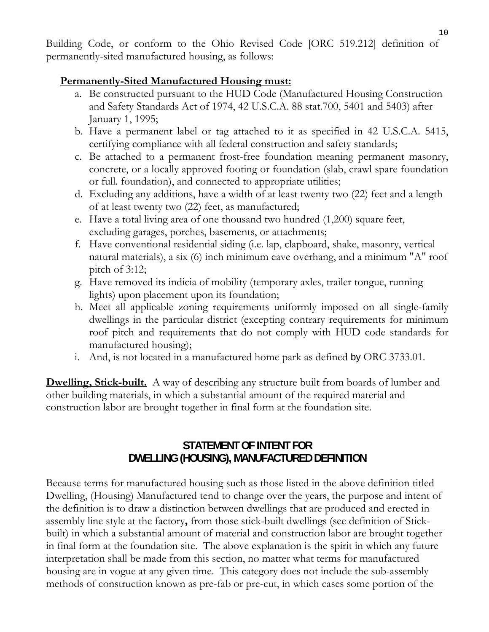Building Code, or conform to the Ohio Revised Code [ORC 519.212] definition of permanently-sited manufactured housing, as follows:

## **Permanently-Sited Manufactured Housing must:**

- a. Be constructed pursuant to the HUD Code (Manufactured Housing Construction and Safety Standards Act of 1974, 42 U.S.C.A. 88 stat.700, 5401 and 5403) after January 1, 1995;
- b. Have a permanent label or tag attached to it as specified in 42 U.S.C.A. 5415, certifying compliance with all federal construction and safety standards;
- c. Be attached to a permanent frost-free foundation meaning permanent masonry, concrete, or a locally approved footing or foundation (slab, crawl spare foundation or full. foundation), and connected to appropriate utilities;
- d. Excluding any additions, have a width of at least twenty two (22) feet and a length of at least twenty two (22) feet, as manufactured;
- e. Have a total living area of one thousand two hundred (1,200) square feet, excluding garages, porches, basements, or attachments;
- f. Have conventional residential siding (i.e. lap, clapboard, shake, masonry, vertical natural materials), a six (6) inch minimum eave overhang, and a minimum "A" roof pitch of  $3:12$ ;
- g. Have removed its indicia of mobility (temporary axles, trailer tongue, running lights) upon placement upon its foundation;
- h. Meet all applicable zoning requirements uniformly imposed on all single-family dwellings in the particular district (excepting contrary requirements for minimum roof pitch and requirements that do not comply with HUD code standards for manufactured housing);
- i. And, is not located in a manufactured home park as defined by ORC 3733.01.

**Dwelling, Stick-built.** A way of describing any structure built from boards of lumber and other building materials, in which a substantial amount of the required material and construction labor are brought together in final form at the foundation site.

# **STATEMENT OF INTENT FOR DWELLING (HOUSING), MANUFACTURED DEFINITION**

Because terms for manufactured housing such as those listed in the above definition titled Dwelling, (Housing) Manufactured tend to change over the years, the purpose and intent of the definition is to draw a distinction between dwellings that are produced and erected in assembly line style at the factory**,** from those stick-built dwellings (see definition of Stickbuilt) in which a substantial amount of material and construction labor are brought together in final form at the foundation site. The above explanation is the spirit in which any future interpretation shall be made from this section, no matter what terms for manufactured housing are in vogue at any given time. This category does not include the sub-assembly methods of construction known as pre-fab or pre-cut, in which cases some portion of the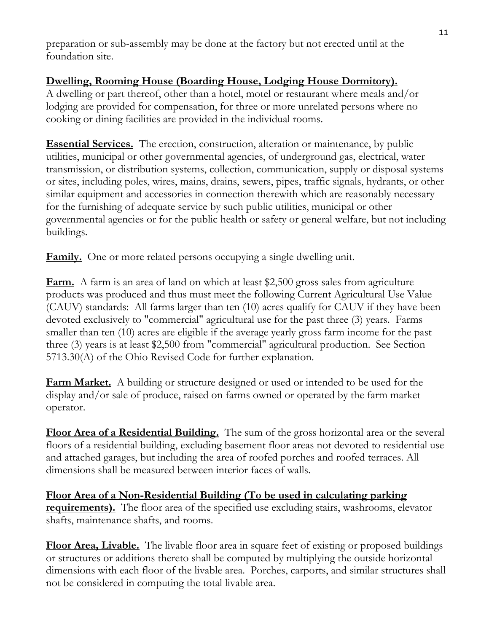preparation or sub-assembly may be done at the factory but not erected until at the foundation site.

# **Dwelling, Rooming House (Boarding House, Lodging House Dormitory).**

A dwelling or part thereof, other than a hotel, motel or restaurant where meals and/or lodging are provided for compensation, for three or more unrelated persons where no cooking or dining facilities are provided in the individual rooms.

**Essential Services.** The erection, construction, alteration or maintenance, by public utilities, municipal or other governmental agencies, of underground gas, electrical, water transmission, or distribution systems, collection, communication, supply or disposal systems or sites, including poles, wires, mains, drains, sewers, pipes, traffic signals, hydrants, or other similar equipment and accessories in connection therewith which are reasonably necessary for the furnishing of adequate service by such public utilities, municipal or other governmental agencies or for the public health or safety or general welfare, but not including buildings.

**Family.** One or more related persons occupying a single dwelling unit.

**Farm.** A farm is an area of land on which at least \$2,500 gross sales from agriculture products was produced and thus must meet the following Current Agricultural Use Value (CAUV) standards: All farms larger than ten (10) acres qualify for CAUV if they have been devoted exclusively to "commercial" agricultural use for the past three (3) years. Farms smaller than ten (10) acres are eligible if the average yearly gross farm income for the past three (3) years is at least \$2,500 from "commercial" agricultural production. See Section 5713.30(A) of the Ohio Revised Code for further explanation.

**Farm Market.** A building or structure designed or used or intended to be used for the display and/or sale of produce, raised on farms owned or operated by the farm market operator.

**Floor Area of a Residential Building.** The sum of the gross horizontal area or the several floors of a residential building, excluding basement floor areas not devoted to residential use and attached garages, but including the area of roofed porches and roofed terraces. All dimensions shall be measured between interior faces of walls.

**Floor Area of a Non-Residential Building (To be used in calculating parking requirements).** The floor area of the specified use excluding stairs, washrooms, elevator shafts, maintenance shafts, and rooms.

**Floor Area, Livable.** The livable floor area in square feet of existing or proposed buildings or structures or additions thereto shall be computed by multiplying the outside horizontal dimensions with each floor of the livable area. Porches, carports, and similar structures shall not be considered in computing the total livable area.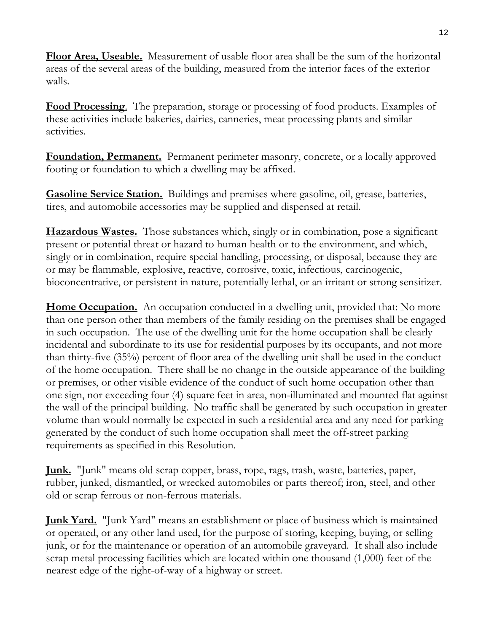**Floor Area, Useable.** Measurement of usable floor area shall be the sum of the horizontal areas of the several areas of the building, measured from the interior faces of the exterior walls.

**Food Processing**. The preparation, storage or processing of food products. Examples of these activities include bakeries, dairies, canneries, meat processing plants and similar activities.

**Foundation, Permanent.** Permanent perimeter masonry, concrete, or a locally approved footing or foundation to which a dwelling may be affixed.

**Gasoline Service Station.** Buildings and premises where gasoline, oil, grease, batteries, tires, and automobile accessories may be supplied and dispensed at retail.

**Hazardous Wastes.** Those substances which, singly or in combination, pose a significant present or potential threat or hazard to human health or to the environment, and which, singly or in combination, require special handling, processing, or disposal, because they are or may be flammable, explosive, reactive, corrosive, toxic, infectious, carcinogenic, bioconcentrative, or persistent in nature, potentially lethal, or an irritant or strong sensitizer.

**Home Occupation.** An occupation conducted in a dwelling unit, provided that: No more than one person other than members of the family residing on the premises shall be engaged in such occupation. The use of the dwelling unit for the home occupation shall be clearly incidental and subordinate to its use for residential purposes by its occupants, and not more than thirty-five (35%) percent of floor area of the dwelling unit shall be used in the conduct of the home occupation. There shall be no change in the outside appearance of the building or premises, or other visible evidence of the conduct of such home occupation other than one sign, nor exceeding four (4) square feet in area, non-illuminated and mounted flat against the wall of the principal building. No traffic shall be generated by such occupation in greater volume than would normally be expected in such a residential area and any need for parking generated by the conduct of such home occupation shall meet the off-street parking requirements as specified in this Resolution.

**Junk.** "Junk" means old scrap copper, brass, rope, rags, trash, waste, batteries, paper, rubber, junked, dismantled, or wrecked automobiles or parts thereof; iron, steel, and other old or scrap ferrous or non-ferrous materials.

**Junk Yard.** "Junk Yard" means an establishment or place of business which is maintained or operated, or any other land used, for the purpose of storing, keeping, buying, or selling junk, or for the maintenance or operation of an automobile graveyard. It shall also include scrap metal processing facilities which are located within one thousand (1,000) feet of the nearest edge of the right-of-way of a highway or street.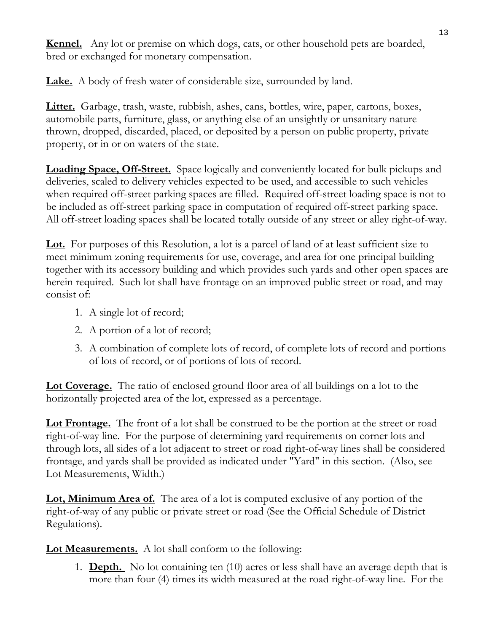**Kennel.** Any lot or premise on which dogs, cats, or other household pets are boarded, bred or exchanged for monetary compensation.

**Lake.** A body of fresh water of considerable size, surrounded by land.

**Litter.** Garbage, trash, waste, rubbish, ashes, cans, bottles, wire, paper, cartons, boxes, automobile parts, furniture, glass, or anything else of an unsightly or unsanitary nature thrown, dropped, discarded, placed, or deposited by a person on public property, private property, or in or on waters of the state.

**Loading Space, Off-Street.** Space logically and conveniently located for bulk pickups and deliveries, scaled to delivery vehicles expected to be used, and accessible to such vehicles when required off-street parking spaces are filled. Required off-street loading space is not to be included as off-street parking space in computation of required off-street parking space. All off-street loading spaces shall be located totally outside of any street or alley right-of-way.

**Lot.** For purposes of this Resolution, a lot is a parcel of land of at least sufficient size to meet minimum zoning requirements for use, coverage, and area for one principal building together with its accessory building and which provides such yards and other open spaces are herein required. Such lot shall have frontage on an improved public street or road, and may consist of:

- 1. A single lot of record;
- 2. A portion of a lot of record;
- 3. A combination of complete lots of record, of complete lots of record and portions of lots of record, or of portions of lots of record.

**Lot Coverage.** The ratio of enclosed ground floor area of all buildings on a lot to the horizontally projected area of the lot, expressed as a percentage.

**Lot Frontage.** The front of a lot shall be construed to be the portion at the street or road right-of-way line. For the purpose of determining yard requirements on corner lots and through lots, all sides of a lot adjacent to street or road right-of-way lines shall be considered frontage, and yards shall be provided as indicated under "Yard" in this section. (Also, see Lot Measurements, Width.)

**Lot, Minimum Area of.** The area of a lot is computed exclusive of any portion of the right-of-way of any public or private street or road (See the Official Schedule of District Regulations).

**Lot Measurements.** A lot shall conform to the following:

1. **Depth.** No lot containing ten (10) acres or less shall have an average depth that is more than four (4) times its width measured at the road right-of-way line. For the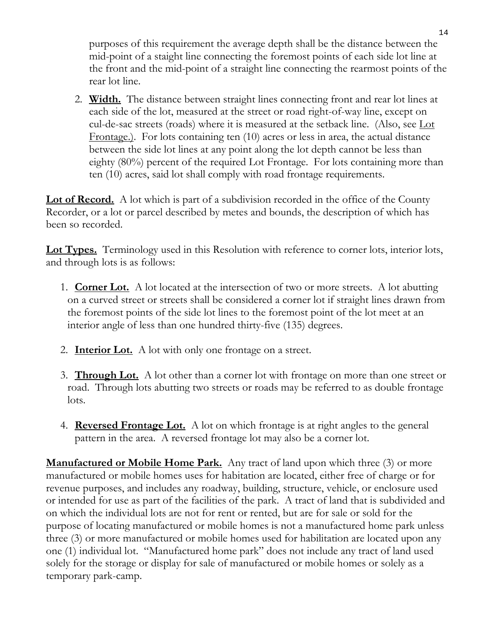purposes of this requirement the average depth shall be the distance between the mid-point of a staight line connecting the foremost points of each side lot line at the front and the mid-point of a straight line connecting the rearmost points of the rear lot line.

2. **Width.** The distance between straight lines connecting front and rear lot lines at each side of the lot, measured at the street or road right-of-way line, except on cul-de-sac streets (roads) where it is measured at the setback line. (Also, see Lot Frontage.). For lots containing ten (10) acres or less in area, the actual distance between the side lot lines at any point along the lot depth cannot be less than eighty (80%) percent of the required Lot Frontage. For lots containing more than ten (10) acres, said lot shall comply with road frontage requirements.

**Lot of Record.** A lot which is part of a subdivision recorded in the office of the County Recorder, or a lot or parcel described by metes and bounds, the description of which has been so recorded.

**Lot Types.** Terminology used in this Resolution with reference to corner lots, interior lots, and through lots is as follows:

- 1. **Corner Lot.** A lot located at the intersection of two or more streets. A lot abutting on a curved street or streets shall be considered a corner lot if straight lines drawn from the foremost points of the side lot lines to the foremost point of the lot meet at an interior angle of less than one hundred thirty-five (135) degrees.
- 2. **Interior Lot.** A lot with only one frontage on a street.
- 3. **Through Lot.** A lot other than a corner lot with frontage on more than one street or road. Through lots abutting two streets or roads may be referred to as double frontage lots.
- 4. **Reversed Frontage Lot.** A lot on which frontage is at right angles to the general pattern in the area. A reversed frontage lot may also be a corner lot.

**Manufactured or Mobile Home Park.** Any tract of land upon which three (3) or more manufactured or mobile homes uses for habitation are located, either free of charge or for revenue purposes, and includes any roadway, building, structure, vehicle, or enclosure used or intended for use as part of the facilities of the park. A tract of land that is subdivided and on which the individual lots are not for rent or rented, but are for sale or sold for the purpose of locating manufactured or mobile homes is not a manufactured home park unless three (3) or more manufactured or mobile homes used for habilitation are located upon any one (1) individual lot. "Manufactured home park" does not include any tract of land used solely for the storage or display for sale of manufactured or mobile homes or solely as a temporary park-camp.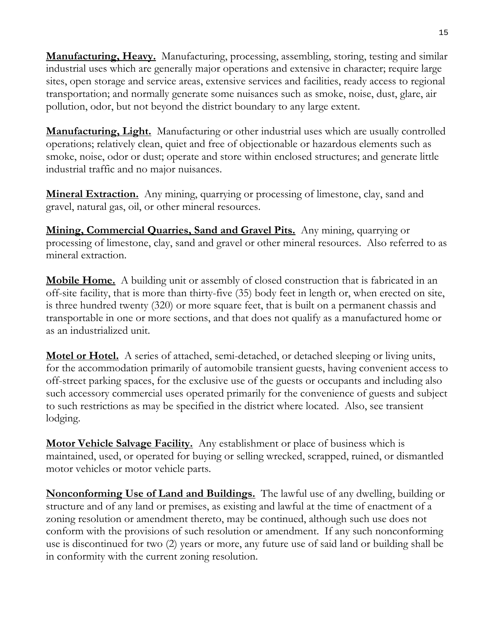**Manufacturing, Heavy.** Manufacturing, processing, assembling, storing, testing and similar industrial uses which are generally major operations and extensive in character; require large sites, open storage and service areas, extensive services and facilities, ready access to regional transportation; and normally generate some nuisances such as smoke, noise, dust, glare, air pollution, odor, but not beyond the district boundary to any large extent.

**Manufacturing, Light.** Manufacturing or other industrial uses which are usually controlled operations; relatively clean, quiet and free of objectionable or hazardous elements such as smoke, noise, odor or dust; operate and store within enclosed structures; and generate little industrial traffic and no major nuisances.

**Mineral Extraction.** Any mining, quarrying or processing of limestone, clay, sand and gravel, natural gas, oil, or other mineral resources.

**Mining, Commercial Quarries, Sand and Gravel Pits.** Any mining, quarrying or processing of limestone, clay, sand and gravel or other mineral resources. Also referred to as mineral extraction.

**Mobile Home.** A building unit or assembly of closed construction that is fabricated in an off-site facility, that is more than thirty-five (35) body feet in length or, when erected on site, is three hundred twenty (320) or more square feet, that is built on a permanent chassis and transportable in one or more sections, and that does not qualify as a manufactured home or as an industrialized unit.

**Motel or Hotel.** A series of attached, semi-detached, or detached sleeping or living units, for the accommodation primarily of automobile transient guests, having convenient access to off-street parking spaces, for the exclusive use of the guests or occupants and including also such accessory commercial uses operated primarily for the convenience of guests and subject to such restrictions as may be specified in the district where located. Also, see transient lodging.

**Motor Vehicle Salvage Facility.** Any establishment or place of business which is maintained, used, or operated for buying or selling wrecked, scrapped, ruined, or dismantled motor vehicles or motor vehicle parts.

**Nonconforming Use of Land and Buildings.** The lawful use of any dwelling, building or structure and of any land or premises, as existing and lawful at the time of enactment of a zoning resolution or amendment thereto, may be continued, although such use does not conform with the provisions of such resolution or amendment. If any such nonconforming use is discontinued for two (2) years or more, any future use of said land or building shall be in conformity with the current zoning resolution.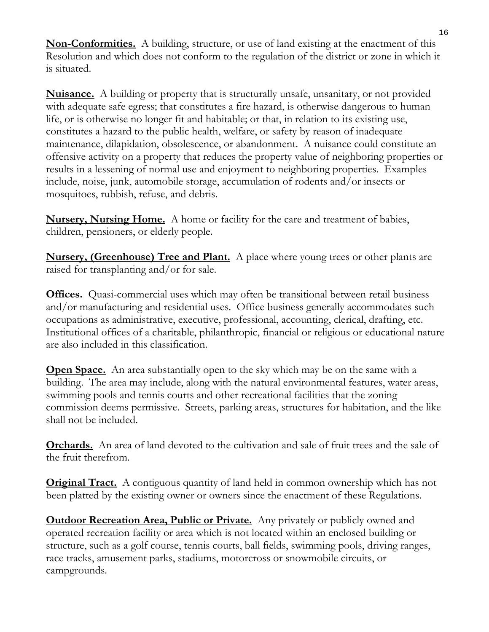**Non-Conformities.** A building, structure, or use of land existing at the enactment of this Resolution and which does not conform to the regulation of the district or zone in which it is situated.

**Nuisance.** A building or property that is structurally unsafe, unsanitary, or not provided with adequate safe egress; that constitutes a fire hazard, is otherwise dangerous to human life, or is otherwise no longer fit and habitable; or that, in relation to its existing use, constitutes a hazard to the public health, welfare, or safety by reason of inadequate maintenance, dilapidation, obsolescence, or abandonment. A nuisance could constitute an offensive activity on a property that reduces the property value of neighboring properties or results in a lessening of normal use and enjoyment to neighboring properties. Examples include, noise, junk, automobile storage, accumulation of rodents and/or insects or mosquitoes, rubbish, refuse, and debris.

**Nursery, Nursing Home.** A home or facility for the care and treatment of babies, children, pensioners, or elderly people.

**Nursery, (Greenhouse) Tree and Plant.** A place where young trees or other plants are raised for transplanting and/or for sale.

**Offices.** Quasi-commercial uses which may often be transitional between retail business and/or manufacturing and residential uses. Office business generally accommodates such occupations as administrative, executive, professional, accounting, clerical, drafting, etc. Institutional offices of a charitable, philanthropic, financial or religious or educational nature are also included in this classification.

**Open Space.** An area substantially open to the sky which may be on the same with a building. The area may include, along with the natural environmental features, water areas, swimming pools and tennis courts and other recreational facilities that the zoning commission deems permissive. Streets, parking areas, structures for habitation, and the like shall not be included.

**Orchards.** An area of land devoted to the cultivation and sale of fruit trees and the sale of the fruit therefrom.

**Original Tract.** A contiguous quantity of land held in common ownership which has not been platted by the existing owner or owners since the enactment of these Regulations.

**<u>Outdoor Recreation Area, Public or Private.</u>** Any privately or publicly owned and operated recreation facility or area which is not located within an enclosed building or structure, such as a golf course, tennis courts, ball fields, swimming pools, driving ranges, race tracks, amusement parks, stadiums, motorcross or snowmobile circuits, or campgrounds.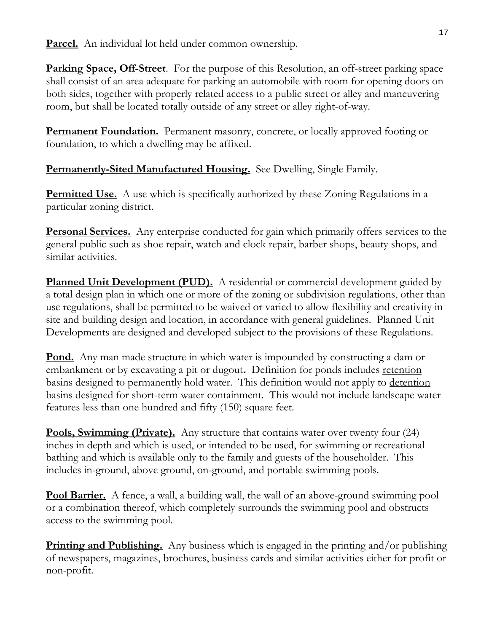**Parcel.** An individual lot held under common ownership.

**Parking Space, Off-Street**. For the purpose of this Resolution, an off-street parking space shall consist of an area adequate for parking an automobile with room for opening doors on both sides, together with properly related access to a public street or alley and maneuvering room, but shall be located totally outside of any street or alley right-of-way.

**Permanent Foundation.** Permanent masonry, concrete, or locally approved footing or foundation, to which a dwelling may be affixed.

**Permanently-Sited Manufactured Housing.** See Dwelling, Single Family.

**Permitted Use.** A use which is specifically authorized by these Zoning Regulations in a particular zoning district.

**Personal Services.** Any enterprise conducted for gain which primarily offers services to the general public such as shoe repair, watch and clock repair, barber shops, beauty shops, and similar activities.

**Planned Unit Development (PUD).** A residential or commercial development guided by a total design plan in which one or more of the zoning or subdivision regulations, other than use regulations, shall be permitted to be waived or varied to allow flexibility and creativity in site and building design and location, in accordance with general guidelines. Planned Unit Developments are designed and developed subject to the provisions of these Regulations.

**Pond.** Any man made structure in which water is impounded by constructing a dam or embankment or by excavating a pit or dugout**.** Definition for ponds includes retention basins designed to permanently hold water. This definition would not apply to detention basins designed for short-term water containment. This would not include landscape water features less than one hundred and fifty (150) square feet.

**Pools, Swimming (Private).** Any structure that contains water over twenty four (24) inches in depth and which is used, or intended to be used, for swimming or recreational bathing and which is available only to the family and guests of the householder. This includes in-ground, above ground, on-ground, and portable swimming pools.

**Pool Barrier.** A fence, a wall, a building wall, the wall of an above-ground swimming pool or a combination thereof, which completely surrounds the swimming pool and obstructs access to the swimming pool.

**Printing and Publishing.** Any business which is engaged in the printing and/or publishing of newspapers, magazines, brochures, business cards and similar activities either for profit or non-profit.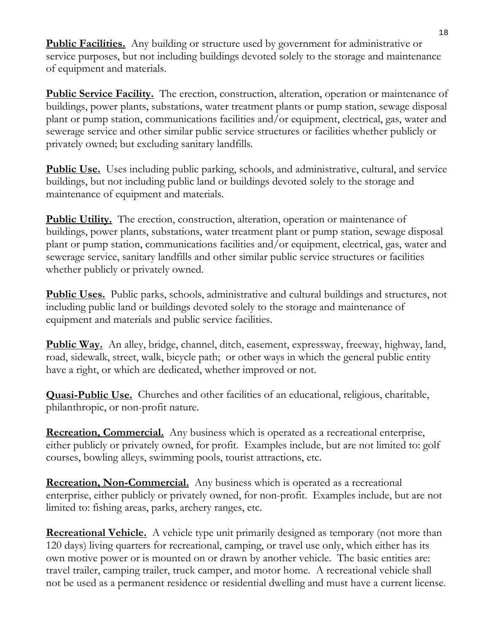**Public Facilities.** Any building or structure used by government for administrative or service purposes, but not including buildings devoted solely to the storage and maintenance of equipment and materials.

**Public Service Facility.** The erection, construction, alteration, operation or maintenance of buildings, power plants, substations, water treatment plants or pump station, sewage disposal plant or pump station, communications facilities and/or equipment, electrical, gas, water and sewerage service and other similar public service structures or facilities whether publicly or privately owned; but excluding sanitary landfills.

**Public Use.** Uses including public parking, schools, and administrative, cultural, and service buildings, but not including public land or buildings devoted solely to the storage and maintenance of equipment and materials.

**Public Utility.** The erection, construction, alteration, operation or maintenance of buildings, power plants, substations, water treatment plant or pump station, sewage disposal plant or pump station, communications facilities and/or equipment, electrical, gas, water and sewerage service, sanitary landfills and other similar public service structures or facilities whether publicly or privately owned.

**Public Uses.** Public parks, schools, administrative and cultural buildings and structures, not including public land or buildings devoted solely to the storage and maintenance of equipment and materials and public service facilities.

**Public Way.** An alley, bridge, channel, ditch, easement, expressway, freeway, highway, land, road, sidewalk, street, walk, bicycle path; or other ways in which the general public entity have a right, or which are dedicated, whether improved or not.

**Quasi-Public Use.** Churches and other facilities of an educational, religious, charitable, philanthropic, or non-profit nature.

**Recreation, Commercial.** Any business which is operated as a recreational enterprise, either publicly or privately owned, for profit. Examples include, but are not limited to: golf courses, bowling alleys, swimming pools, tourist attractions, etc.

**Recreation, Non-Commercial.** Any business which is operated as a recreational enterprise, either publicly or privately owned, for non-profit. Examples include, but are not limited to: fishing areas, parks, archery ranges, etc.

**Recreational Vehicle.** A vehicle type unit primarily designed as temporary (not more than 120 days) living quarters for recreational, camping, or travel use only, which either has its own motive power or is mounted on or drawn by another vehicle. The basic entities are: travel trailer, camping trailer, truck camper, and motor home*.* A recreational vehicle shall not be used as a permanent residence or residential dwelling and must have a current license.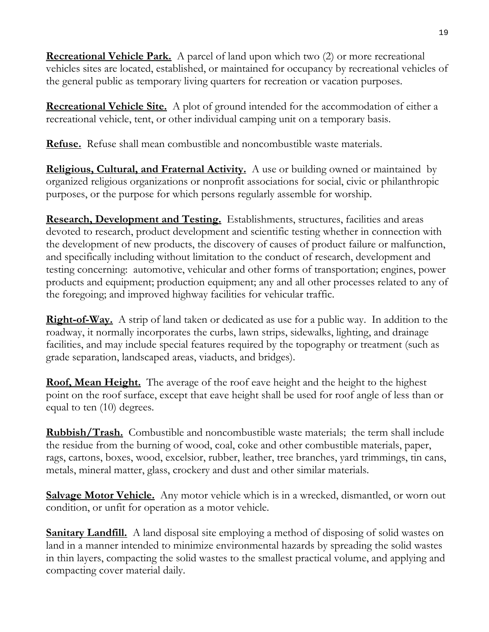**Recreational Vehicle Park.** A parcel of land upon which two (2) or more recreational vehicles sites are located, established, or maintained for occupancy by recreational vehicles of the general public as temporary living quarters for recreation or vacation purposes.

**Recreational Vehicle Site.** A plot of ground intended for the accommodation of either a recreational vehicle, tent, or other individual camping unit on a temporary basis.

**Refuse.** Refuse shall mean combustible and noncombustible waste materials.

**Religious, Cultural, and Fraternal Activity.** A use or building owned or maintained by organized religious organizations or nonprofit associations for social, civic or philanthropic purposes, or the purpose for which persons regularly assemble for worship.

**Research, Development and Testing.** Establishments, structures, facilities and areas devoted to research, product development and scientific testing whether in connection with the development of new products, the discovery of causes of product failure or malfunction, and specifically including without limitation to the conduct of research, development and testing concerning: automotive, vehicular and other forms of transportation; engines, power products and equipment; production equipment; any and all other processes related to any of the foregoing; and improved highway facilities for vehicular traffic.

**Right-of-Way.** A strip of land taken or dedicated as use for a public way. In addition to the roadway, it normally incorporates the curbs, lawn strips, sidewalks, lighting, and drainage facilities, and may include special features required by the topography or treatment (such as grade separation, landscaped areas, viaducts, and bridges).

**Roof, Mean Height.** The average of the roof eave height and the height to the highest point on the roof surface, except that eave height shall be used for roof angle of less than or equal to ten (10) degrees.

**Rubbish/Trash.** Combustible and noncombustible waste materials; the term shall include the residue from the burning of wood, coal, coke and other combustible materials, paper, rags, cartons, boxes, wood, excelsior, rubber, leather, tree branches, yard trimmings, tin cans, metals, mineral matter, glass, crockery and dust and other similar materials.

**Salvage Motor Vehicle.** Any motor vehicle which is in a wrecked, dismantled, or worn out condition, or unfit for operation as a motor vehicle.

**Sanitary Landfill.** A land disposal site employing a method of disposing of solid wastes on land in a manner intended to minimize environmental hazards by spreading the solid wastes in thin layers, compacting the solid wastes to the smallest practical volume, and applying and compacting cover material daily.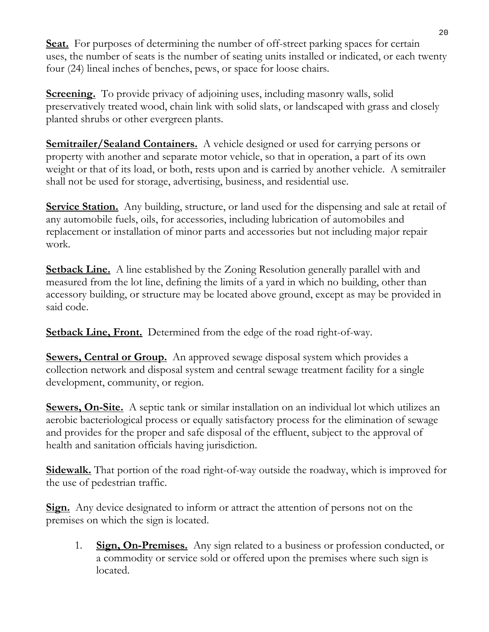**Seat.** For purposes of determining the number of off-street parking spaces for certain uses, the number of seats is the number of seating units installed or indicated, or each twenty four (24) lineal inches of benches, pews, or space for loose chairs.

**Screening.** To provide privacy of adjoining uses, including masonry walls, solid preservatively treated wood, chain link with solid slats, or landscaped with grass and closely planted shrubs or other evergreen plants.

**Semitrailer/Sealand Containers.** A vehicle designed or used for carrying persons or property with another and separate motor vehicle, so that in operation, a part of its own weight or that of its load, or both, rests upon and is carried by another vehicle. A semitrailer shall not be used for storage, advertising, business, and residential use.

**Service Station.** Any building, structure, or land used for the dispensing and sale at retail of any automobile fuels, oils, for accessories, including lubrication of automobiles and replacement or installation of minor parts and accessories but not including major repair work.

**Setback Line.** A line established by the Zoning Resolution generally parallel with and measured from the lot line, defining the limits of a yard in which no building, other than accessory building, or structure may be located above ground, except as may be provided in said code.

**<u>Setback Line, Front.</u>** Determined from the edge of the road right-of-way.

**Sewers, Central or Group.** An approved sewage disposal system which provides a collection network and disposal system and central sewage treatment facility for a single development, community, or region.

**Sewers, On-Site.** A septic tank or similar installation on an individual lot which utilizes an aerobic bacteriological process or equally satisfactory process for the elimination of sewage and provides for the proper and safe disposal of the effluent, subject to the approval of health and sanitation officials having jurisdiction.

**Sidewalk.** That portion of the road right-of-way outside the roadway, which is improved for the use of pedestrian traffic.

**Sign.** Any device designated to inform or attract the attention of persons not on the premises on which the sign is located.

1. **Sign, On-Premises.** Any sign related to a business or profession conducted, or a commodity or service sold or offered upon the premises where such sign is located.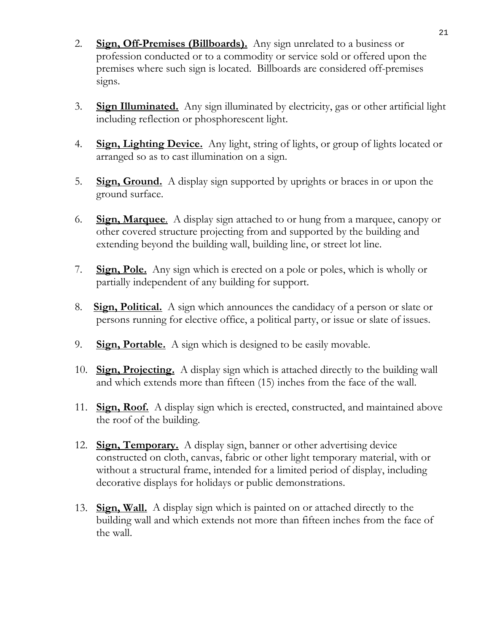- 2. **Sign, Off-Premises (Billboards).** Any sign unrelated to a business or profession conducted or to a commodity or service sold or offered upon the premises where such sign is located. Billboards are considered off-premises signs.
- 3. **Sign Illuminated.** Any sign illuminated by electricity, gas or other artificial light including reflection or phosphorescent light.
- 4. **Sign, Lighting Device.** Any light, string of lights, or group of lights located or arranged so as to cast illumination on a sign.
- 5. **Sign, Ground.** A display sign supported by uprights or braces in or upon the ground surface.
- 6. **Sign, Marquee**. A display sign attached to or hung from a marquee, canopy or other covered structure projecting from and supported by the building and extending beyond the building wall, building line, or street lot line.
- 7. **Sign, Pole.** Any sign which is erected on a pole or poles, which is wholly or partially independent of any building for support.
- 8. **Sign, Political.** A sign which announces the candidacy of a person or slate or persons running for elective office, a political party, or issue or slate of issues.
- 9. **Sign, Portable.** A sign which is designed to be easily movable.
- 10. **Sign, Projecting.** A display sign which is attached directly to the building wall and which extends more than fifteen (15) inches from the face of the wall.
- 11. **Sign, Roof.** A display sign which is erected, constructed, and maintained above the roof of the building.
- 12. **Sign, Temporary.** A display sign, banner or other advertising device constructed on cloth, canvas, fabric or other light temporary material, with or without a structural frame, intended for a limited period of display, including decorative displays for holidays or public demonstrations.
- 13. **Sign, Wall.** A display sign which is painted on or attached directly to the building wall and which extends not more than fifteen inches from the face of the wall.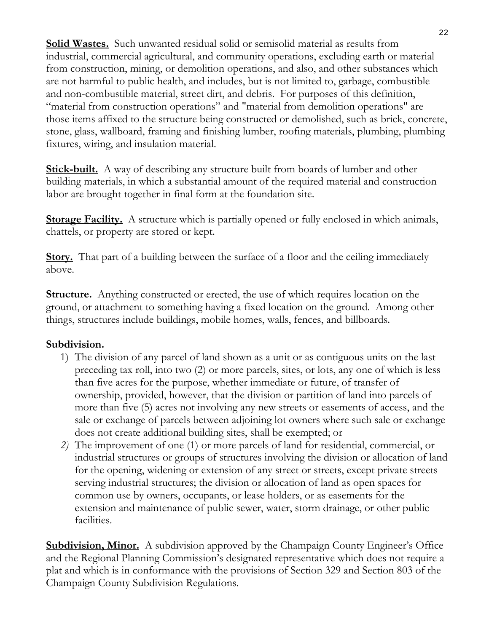**Solid Wastes.** Such unwanted residual solid or semisolid material as results from industrial, commercial agricultural, and community operations, excluding earth or material from construction, mining, or demolition operations, and also, and other substances which are not harmful to public health, and includes, but is not limited to, garbage, combustible and non-combustible material, street dirt, and debris. For purposes of this definition, "material from construction operations" and "material from demolition operations" are those items affixed to the structure being constructed or demolished, such as brick, concrete, stone, glass, wallboard, framing and finishing lumber, roofing materials, plumbing, plumbing fixtures, wiring, and insulation material.

**Stick-built.** A way of describing any structure built from boards of lumber and other building materials, in which a substantial amount of the required material and construction labor are brought together in final form at the foundation site.

**Storage Facility.** A structure which is partially opened or fully enclosed in which animals, chattels, or property are stored or kept.

**Story.** That part of a building between the surface of a floor and the ceiling immediately above.

**<u>Structure.</u>** Anything constructed or erected, the use of which requires location on the ground, or attachment to something having a fixed location on the ground. Among other things, structures include buildings, mobile homes, walls, fences, and billboards.

# **Subdivision.**

- 1) The division of any parcel of land shown as a unit or as contiguous units on the last preceding tax roll, into two (2) or more parcels, sites, or lots, any one of which is less than five acres for the purpose, whether immediate or future, of transfer of ownership, provided, however, that the division or partition of land into parcels of more than five (5) acres not involving any new streets or easements of access, and the sale or exchange of parcels between adjoining lot owners where such sale or exchange does not create additional building sites, shall be exempted; or
- *2)* The improvement of one (1) or more parcels of land for residential, commercial, or industrial structures or groups of structures involving the division or allocation of land for the opening, widening or extension of any street or streets, except private streets serving industrial structures; the division or allocation of land as open spaces for common use by owners, occupants, or lease holders, or as easements for the extension and maintenance of public sewer, water, storm drainage, or other public facilities.

**Subdivision, Minor.** A subdivision approved by the Champaign County Engineer's Office and the Regional Planning Commission's designated representative which does not require a plat and which is in conformance with the provisions of Section 329 and Section 803 of the Champaign County Subdivision Regulations.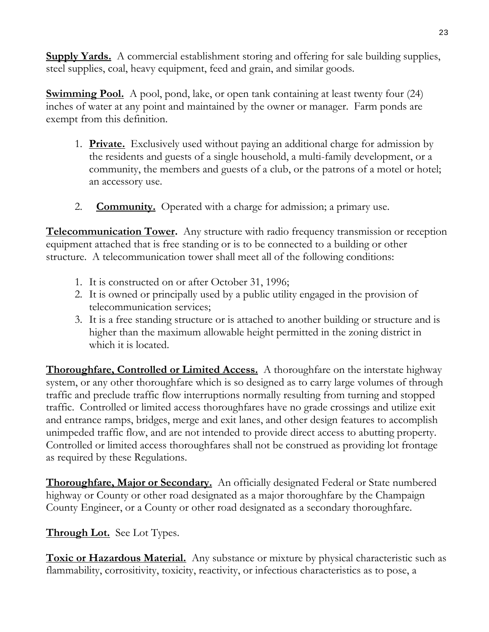**Supply Yards.** A commercial establishment storing and offering for sale building supplies, steel supplies, coal, heavy equipment, feed and grain, and similar goods.

**Swimming Pool.** A pool, pond, lake, or open tank containing at least twenty four (24) inches of water at any point and maintained by the owner or manager. Farm ponds are exempt from this definition.

- 1. **Private.** Exclusively used without paying an additional charge for admission by the residents and guests of a single household, a multi-family development, or a community, the members and guests of a club, or the patrons of a motel or hotel; an accessory use.
- 2. **Community.** Operated with a charge for admission; a primary use.

**Telecommunication Tower.** Any structure with radio frequency transmission or reception equipment attached that is free standing or is to be connected to a building or other structure. A telecommunication tower shall meet all of the following conditions:

- 1. It is constructed on or after October 31, 1996;
- 2. It is owned or principally used by a public utility engaged in the provision of telecommunication services;
- 3. It is a free standing structure or is attached to another building or structure and is higher than the maximum allowable height permitted in the zoning district in which it is located.

**Thoroughfare, Controlled or Limited Access.** A thoroughfare on the interstate highway system, or any other thoroughfare which is so designed as to carry large volumes of through traffic and preclude traffic flow interruptions normally resulting from turning and stopped traffic. Controlled or limited access thoroughfares have no grade crossings and utilize exit and entrance ramps, bridges, merge and exit lanes, and other design features to accomplish unimpeded traffic flow, and are not intended to provide direct access to abutting property. Controlled or limited access thoroughfares shall not be construed as providing lot frontage as required by these Regulations.

**Thoroughfare, Major or Secondary.** An officially designated Federal or State numbered highway or County or other road designated as a major thoroughfare by the Champaign County Engineer, or a County or other road designated as a secondary thoroughfare.

# **Through Lot.** See Lot Types.

**Toxic or Hazardous Material.** Any substance or mixture by physical characteristic such as flammability, corrositivity, toxicity, reactivity, or infectious characteristics as to pose, a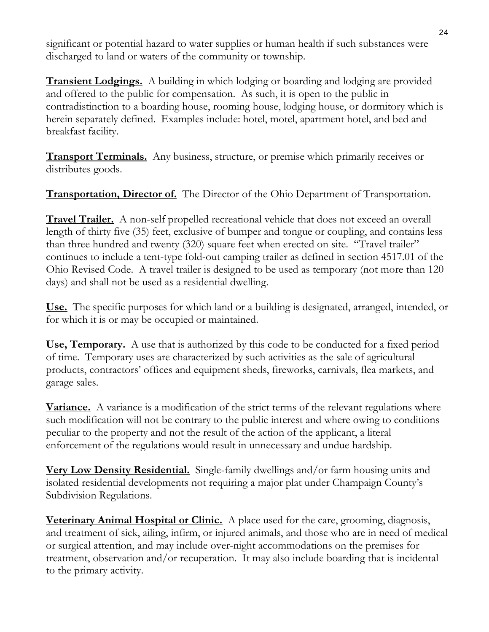significant or potential hazard to water supplies or human health if such substances were discharged to land or waters of the community or township.

**Transient Lodgings.** A building in which lodging or boarding and lodging are provided and offered to the public for compensation. As such, it is open to the public in contradistinction to a boarding house, rooming house, lodging house, or dormitory which is herein separately defined. Examples include: hotel, motel, apartment hotel, and bed and breakfast facility.

**Transport Terminals.** Any business, structure, or premise which primarily receives or distributes goods.

**Transportation, Director of.** The Director of the Ohio Department of Transportation.

**Travel Trailer.** A non-self propelled recreational vehicle that does not exceed an overall length of thirty five (35) feet, exclusive of bumper and tongue or coupling, and contains less than three hundred and twenty (320) square feet when erected on site. "Travel trailer" continues to include a tent-type fold-out camping trailer as defined in section 4517.01 of the Ohio Revised Code. A travel trailer is designed to be used as temporary (not more than 120 days) and shall not be used as a residential dwelling.

**Use.** The specific purposes for which land or a building is designated, arranged, intended, or for which it is or may be occupied or maintained.

**Use, Temporary.** A use that is authorized by this code to be conducted for a fixed period of time. Temporary uses are characterized by such activities as the sale of agricultural products, contractors' offices and equipment sheds, fireworks, carnivals, flea markets, and garage sales.

**Variance.** A variance is a modification of the strict terms of the relevant regulations where such modification will not be contrary to the public interest and where owing to conditions peculiar to the property and not the result of the action of the applicant, a literal enforcement of the regulations would result in unnecessary and undue hardship.

**Very Low Density Residential.** Single-family dwellings and/or farm housing units and isolated residential developments not requiring a major plat under Champaign County's Subdivision Regulations.

**Veterinary Animal Hospital or Clinic.** A place used for the care, grooming, diagnosis, and treatment of sick, ailing, infirm, or injured animals, and those who are in need of medical or surgical attention, and may include over-night accommodations on the premises for treatment, observation and/or recuperation. It may also include boarding that is incidental to the primary activity.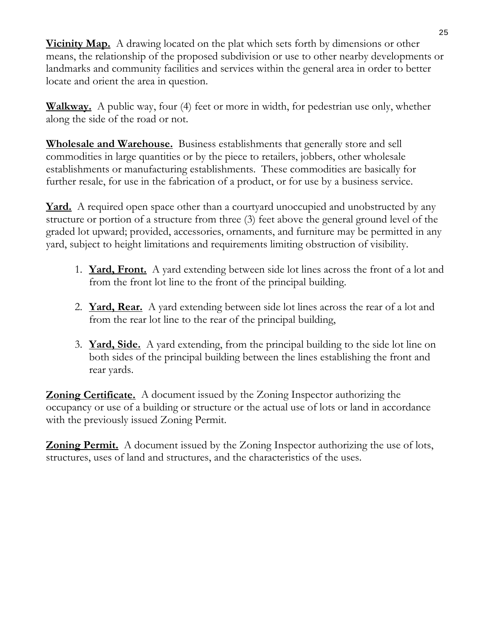**Vicinity Map.** A drawing located on the plat which sets forth by dimensions or other means, the relationship of the proposed subdivision or use to other nearby developments or landmarks and community facilities and services within the general area in order to better locate and orient the area in question.

**Walkway.** A public way, four (4) feet or more in width, for pedestrian use only, whether along the side of the road or not.

**Wholesale and Warehouse.** Business establishments that generally store and sell commodities in large quantities or by the piece to retailers, jobbers, other wholesale establishments or manufacturing establishments. These commodities are basically for further resale, for use in the fabrication of a product, or for use by a business service.

**Yard.** A required open space other than a courtyard unoccupied and unobstructed by any structure or portion of a structure from three (3) feet above the general ground level of the graded lot upward; provided, accessories, ornaments, and furniture may be permitted in any yard, subject to height limitations and requirements limiting obstruction of visibility.

- 1. **Yard, Front.** A yard extending between side lot lines across the front of a lot and from the front lot line to the front of the principal building.
- 2. **Yard, Rear.** A yard extending between side lot lines across the rear of a lot and from the rear lot line to the rear of the principal building,
- 3. **Yard, Side.** A yard extending, from the principal building to the side lot line on both sides of the principal building between the lines establishing the front and rear yards.

**Zoning Certificate.** A document issued by the Zoning Inspector authorizing the occupancy or use of a building or structure or the actual use of lots or land in accordance with the previously issued Zoning Permit.

**Zoning Permit.** A document issued by the Zoning Inspector authorizing the use of lots, structures, uses of land and structures, and the characteristics of the uses.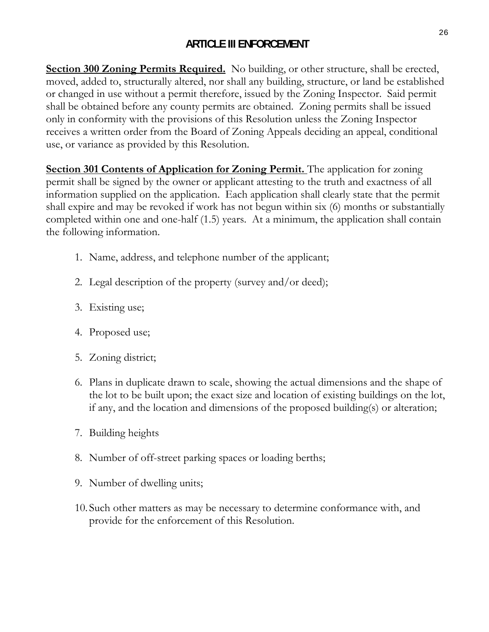# **ARTICLE III ENFORCEMENT**

**Section 300 Zoning Permits Required.** No building, or other structure, shall be erected, moved, added to, structurally altered, nor shall any building, structure, or land be established or changed in use without a permit therefore, issued by the Zoning Inspector. Said permit shall be obtained before any county permits are obtained. Zoning permits shall be issued only in conformity with the provisions of this Resolution unless the Zoning Inspector receives a written order from the Board of Zoning Appeals deciding an appeal, conditional use, or variance as provided by this Resolution.

**Section 301 Contents of Application for Zoning Permit.** The application for zoning permit shall be signed by the owner or applicant attesting to the truth and exactness of all information supplied on the application. Each application shall clearly state that the permit shall expire and may be revoked if work has not begun within six (6) months or substantially completed within one and one-half (1.5) years. At a minimum, the application shall contain the following information.

- 1. Name, address, and telephone number of the applicant;
- 2. Legal description of the property (survey and/or deed);
- 3. Existing use;
- 4. Proposed use;
- 5. Zoning district;
- 6. Plans in duplicate drawn to scale, showing the actual dimensions and the shape of the lot to be built upon; the exact size and location of existing buildings on the lot, if any, and the location and dimensions of the proposed building(s) or alteration;
- 7. Building heights
- 8. Number of off-street parking spaces or loading berths;
- 9. Number of dwelling units;
- 10. Such other matters as may be necessary to determine conformance with, and provide for the enforcement of this Resolution.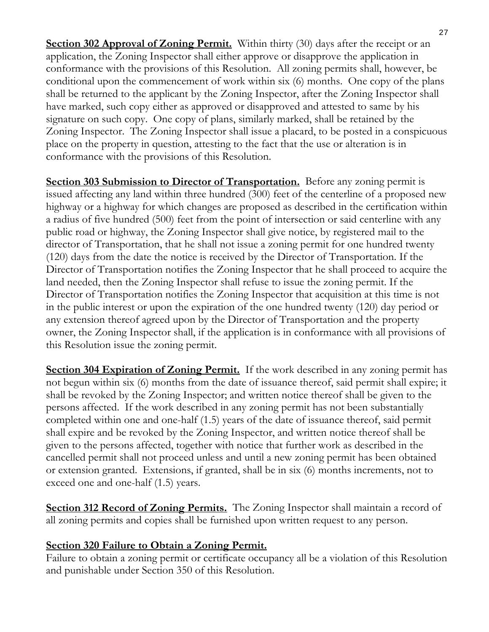**Section 302 Approval of Zoning Permit.** Within thirty (30) days after the receipt or an application, the Zoning Inspector shall either approve or disapprove the application in conformance with the provisions of this Resolution. All zoning permits shall, however, be conditional upon the commencement of work within six (6) months. One copy of the plans shall be returned to the applicant by the Zoning Inspector, after the Zoning Inspector shall have marked, such copy either as approved or disapproved and attested to same by his signature on such copy. One copy of plans, similarly marked, shall be retained by the Zoning Inspector. The Zoning Inspector shall issue a placard, to be posted in a conspicuous place on the property in question, attesting to the fact that the use or alteration is in conformance with the provisions of this Resolution.

**Section 303 Submission to Director of Transportation.** Before any zoning permit is issued affecting any land within three hundred (300) feet of the centerline of a proposed new highway or a highway for which changes are proposed as described in the certification within a radius of five hundred (500) feet from the point of intersection or said centerline with any public road or highway, the Zoning Inspector shall give notice, by registered mail to the director of Transportation, that he shall not issue a zoning permit for one hundred twenty (120) days from the date the notice is received by the Director of Transportation. If the Director of Transportation notifies the Zoning Inspector that he shall proceed to acquire the land needed, then the Zoning Inspector shall refuse to issue the zoning permit. If the Director of Transportation notifies the Zoning Inspector that acquisition at this time is not in the public interest or upon the expiration of the one hundred twenty (120) day period or any extension thereof agreed upon by the Director of Transportation and the property owner, the Zoning Inspector shall, if the application is in conformance with all provisions of this Resolution issue the zoning permit.

**Section 304 Expiration of Zoning Permit.** If the work described in any zoning permit has not begun within six (6) months from the date of issuance thereof, said permit shall expire; it shall be revoked by the Zoning Inspector; and written notice thereof shall be given to the persons affected. If the work described in any zoning permit has not been substantially completed within one and one-half (1.5) years of the date of issuance thereof, said permit shall expire and be revoked by the Zoning Inspector, and written notice thereof shall be given to the persons affected, together with notice that further work as described in the cancelled permit shall not proceed unless and until a new zoning permit has been obtained or extension granted. Extensions, if granted, shall be in six (6) months increments, not to exceed one and one-half (1.5) years.

**Section 312 Record of Zoning Permits.** The Zoning Inspector shall maintain a record of all zoning permits and copies shall be furnished upon written request to any person.

# **Section 320 Failure to Obtain a Zoning Permit.**

Failure to obtain a zoning permit or certificate occupancy all be a violation of this Resolution and punishable under Section 350 of this Resolution.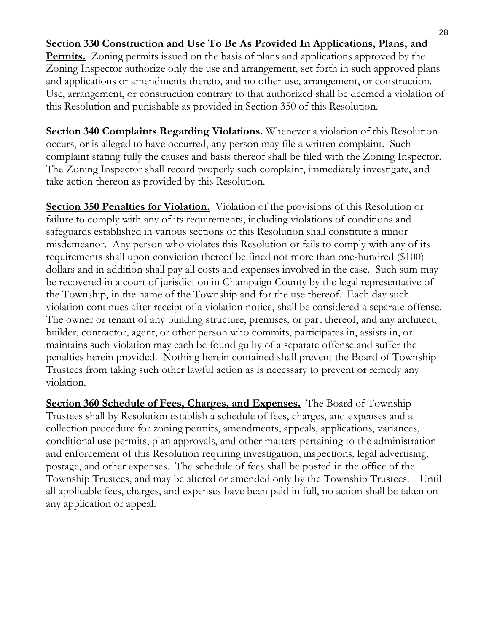## **Section 330 Construction and Use To Be As Provided In Applications, Plans, and**

**Permits.** Zoning permits issued on the basis of plans and applications approved by the Zoning Inspector authorize only the use and arrangement, set forth in such approved plans and applications or amendments thereto, and no other use, arrangement, or construction. Use, arrangement, or construction contrary to that authorized shall be deemed a violation of this Resolution and punishable as provided in Section 350 of this Resolution.

**Section 340 Complaints Regarding Violations.** Whenever a violation of this Resolution occurs, or is alleged to have occurred, any person may file a written complaint. Such complaint stating fully the causes and basis thereof shall be filed with the Zoning Inspector. The Zoning Inspector shall record properly such complaint, immediately investigate, and take action thereon as provided by this Resolution.

**Section 350 Penalties for Violation.** Violation of the provisions of this Resolution or failure to comply with any of its requirements, including violations of conditions and safeguards established in various sections of this Resolution shall constitute a minor misdemeanor. Any person who violates this Resolution or fails to comply with any of its requirements shall upon conviction thereof be fined not more than one-hundred (\$100) dollars and in addition shall pay all costs and expenses involved in the case. Such sum may be recovered in a court of jurisdiction in Champaign County by the legal representative of the Township, in the name of the Township and for the use thereof. Each day such violation continues after receipt of a violation notice, shall be considered a separate offense. The owner or tenant of any building structure, premises, or part thereof, and any architect, builder, contractor, agent, or other person who commits, participates in, assists in, or maintains such violation may each be found guilty of a separate offense and suffer the penalties herein provided. Nothing herein contained shall prevent the Board of Township Trustees from taking such other lawful action as is necessary to prevent or remedy any violation.

**Section 360 Schedule of Fees, Charges, and Expenses.** The Board of Township Trustees shall by Resolution establish a schedule of fees, charges, and expenses and a collection procedure for zoning permits, amendments, appeals, applications, variances, conditional use permits, plan approvals, and other matters pertaining to the administration and enforcement of this Resolution requiring investigation, inspections, legal advertising, postage, and other expenses. The schedule of fees shall be posted in the office of the Township Trustees, and may be altered or amended only by the Township Trustees. Until all applicable fees, charges, and expenses have been paid in full, no action shall be taken on any application or appeal.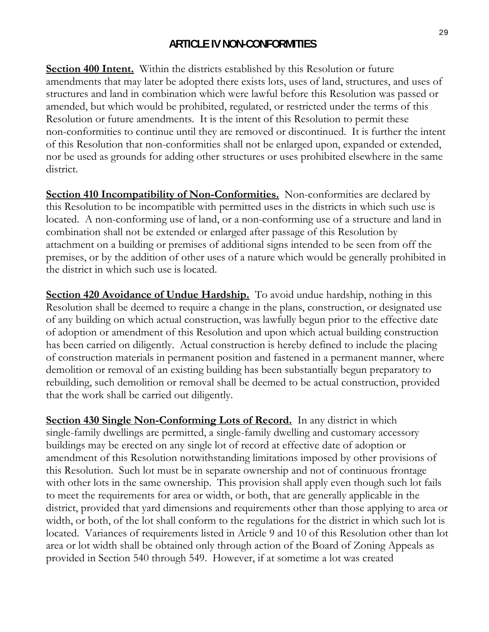## **ARTICLE IV NON-CONFORMITIES**

**Section 400 Intent.** Within the districts established by this Resolution or future amendments that may later be adopted there exists lots, uses of land, structures, and uses of structures and land in combination which were lawful before this Resolution was passed or amended, but which would be prohibited, regulated, or restricted under the terms of this Resolution or future amendments. It is the intent of this Resolution to permit these non-conformities to continue until they are removed or discontinued. It is further the intent of this Resolution that non-conformities shall not be enlarged upon, expanded or extended, nor be used as grounds for adding other structures or uses prohibited elsewhere in the same district.

**Section 410 Incompatibility of Non-Conformities.** Non-conformities are declared by this Resolution to be incompatible with permitted uses in the districts in which such use is located. A non-conforming use of land, or a non-conforming use of a structure and land in combination shall not be extended or enlarged after passage of this Resolution by attachment on a building or premises of additional signs intended to be seen from off the premises, or by the addition of other uses of a nature which would be generally prohibited in the district in which such use is located.

**Section 420 Avoidance of Undue Hardship.** To avoid undue hardship, nothing in this Resolution shall be deemed to require a change in the plans, construction, or designated use of any building on which actual construction, was lawfully begun prior to the effective date of adoption or amendment of this Resolution and upon which actual building construction has been carried on diligently. Actual construction is hereby defined to include the placing of construction materials in permanent position and fastened in a permanent manner, where demolition or removal of an existing building has been substantially begun preparatory to rebuilding, such demolition or removal shall be deemed to be actual construction, provided that the work shall be carried out diligently.

**Section 430 Single Non-Conforming Lots of Record.** In any district in which single-family dwellings are permitted, a single-family dwelling and customary accessory buildings may be erected on any single lot of record at effective date of adoption or amendment of this Resolution notwithstanding limitations imposed by other provisions of this Resolution. Such lot must be in separate ownership and not of continuous frontage with other lots in the same ownership. This provision shall apply even though such lot fails to meet the requirements for area or width, or both, that are generally applicable in the district, provided that yard dimensions and requirements other than those applying to area or width, or both, of the lot shall conform to the regulations for the district in which such lot is located. Variances of requirements listed in Article 9 and 10 of this Resolution other than lot area or lot width shall be obtained only through action of the Board of Zoning Appeals as provided in Section 540 through 549. However, if at sometime a lot was created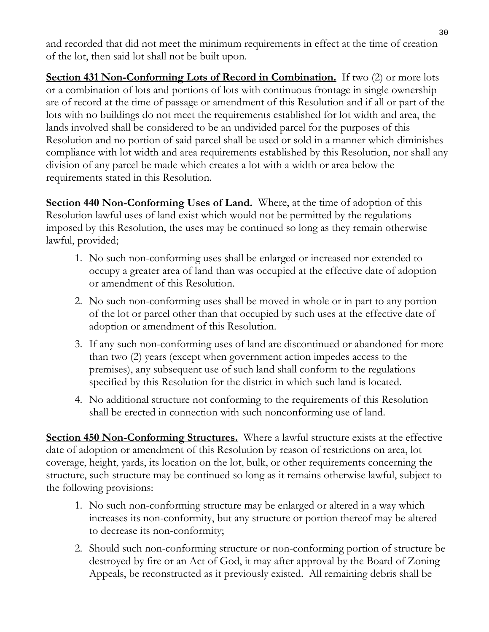and recorded that did not meet the minimum requirements in effect at the time of creation of the lot, then said lot shall not be built upon.

**Section 431 Non-Conforming Lots of Record in Combination.** If two (2) or more lots or a combination of lots and portions of lots with continuous frontage in single ownership are of record at the time of passage or amendment of this Resolution and if all or part of the lots with no buildings do not meet the requirements established for lot width and area, the lands involved shall be considered to be an undivided parcel for the purposes of this Resolution and no portion of said parcel shall be used or sold in a manner which diminishes compliance with lot width and area requirements established by this Resolution, nor shall any division of any parcel be made which creates a lot with a width or area below the requirements stated in this Resolution.

**Section 440 Non-Conforming Uses of Land.** Where, at the time of adoption of this Resolution lawful uses of land exist which would not be permitted by the regulations imposed by this Resolution, the uses may be continued so long as they remain otherwise lawful, provided;

- 1. No such non-conforming uses shall be enlarged or increased nor extended to occupy a greater area of land than was occupied at the effective date of adoption or amendment of this Resolution.
- 2. No such non-conforming uses shall be moved in whole or in part to any portion of the lot or parcel other than that occupied by such uses at the effective date of adoption or amendment of this Resolution.
- 3. If any such non-conforming uses of land are discontinued or abandoned for more than two (2) years (except when government action impedes access to the premises), any subsequent use of such land shall conform to the regulations specified by this Resolution for the district in which such land is located.
- 4. No additional structure not conforming to the requirements of this Resolution shall be erected in connection with such nonconforming use of land.

**Section 450 Non-Conforming Structures.** Where a lawful structure exists at the effective date of adoption or amendment of this Resolution by reason of restrictions on area, lot coverage, height, yards, its location on the lot, bulk, or other requirements concerning the structure, such structure may be continued so long as it remains otherwise lawful, subject to the following provisions:

- 1. No such non-conforming structure may be enlarged or altered in a way which increases its non-conformity, but any structure or portion thereof may be altered to decrease its non-conformity;
- 2. Should such non-conforming structure or non-conforming portion of structure be destroyed by fire or an Act of God, it may after approval by the Board of Zoning Appeals, be reconstructed as it previously existed. All remaining debris shall be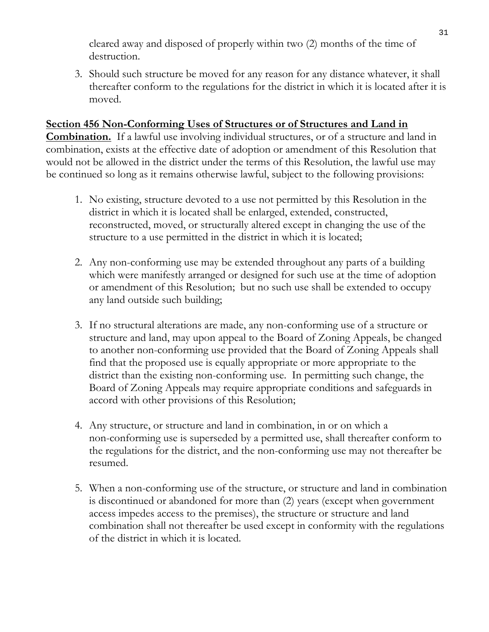cleared away and disposed of properly within two (2) months of the time of destruction.

3. Should such structure be moved for any reason for any distance whatever, it shall thereafter conform to the regulations for the district in which it is located after it is moved.

#### **Section 456 Non-Conforming Uses of Structures or of Structures and Land in**

**Combination.** If a lawful use involving individual structures, or of a structure and land in combination, exists at the effective date of adoption or amendment of this Resolution that would not be allowed in the district under the terms of this Resolution, the lawful use may be continued so long as it remains otherwise lawful, subject to the following provisions:

- 1. No existing, structure devoted to a use not permitted by this Resolution in the district in which it is located shall be enlarged, extended, constructed, reconstructed, moved, or structurally altered except in changing the use of the structure to a use permitted in the district in which it is located;
- 2. Any non-conforming use may be extended throughout any parts of a building which were manifestly arranged or designed for such use at the time of adoption or amendment of this Resolution; but no such use shall be extended to occupy any land outside such building;
- 3. If no structural alterations are made, any non-conforming use of a structure or structure and land, may upon appeal to the Board of Zoning Appeals, be changed to another non-conforming use provided that the Board of Zoning Appeals shall find that the proposed use is equally appropriate or more appropriate to the district than the existing non-conforming use. In permitting such change, the Board of Zoning Appeals may require appropriate conditions and safeguards in accord with other provisions of this Resolution;
- 4. Any structure, or structure and land in combination, in or on which a non-conforming use is superseded by a permitted use, shall thereafter conform to the regulations for the district, and the non-conforming use may not thereafter be resumed.
- 5. When a non-conforming use of the structure, or structure and land in combination is discontinued or abandoned for more than (2) years (except when government access impedes access to the premises), the structure or structure and land combination shall not thereafter be used except in conformity with the regulations of the district in which it is located.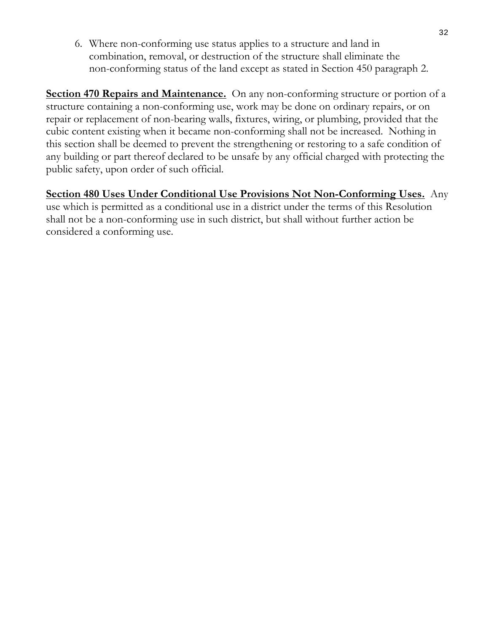6. Where non-conforming use status applies to a structure and land in combination, removal, or destruction of the structure shall eliminate the non-conforming status of the land except as stated in Section 450 paragraph 2.

**Section 470 Repairs and Maintenance.** On any non-conforming structure or portion of a structure containing a non-conforming use, work may be done on ordinary repairs, or on repair or replacement of non-bearing walls, fixtures, wiring, or plumbing, provided that the cubic content existing when it became non-conforming shall not be increased. Nothing in this section shall be deemed to prevent the strengthening or restoring to a safe condition of any building or part thereof declared to be unsafe by any official charged with protecting the public safety, upon order of such official.

**Section 480 Uses Under Conditional Use Provisions Not Non-Conforming Uses.** Any use which is permitted as a conditional use in a district under the terms of this Resolution shall not be a non-conforming use in such district, but shall without further action be considered a conforming use.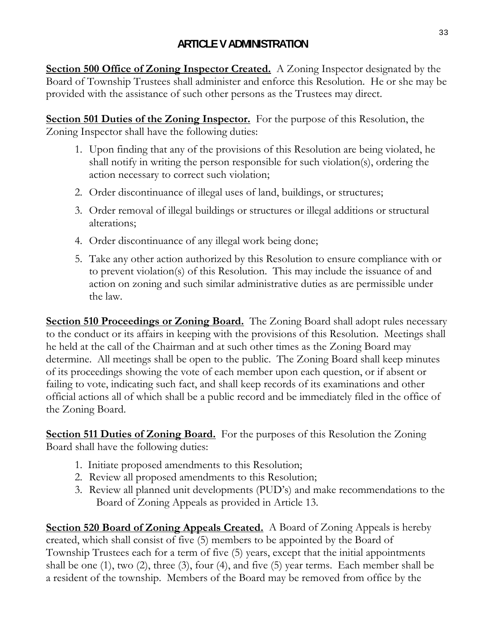# **ARTICLE V ADMINISTRATION**

**Section 500 Office of Zoning Inspector Created.** A Zoning Inspector designated by the Board of Township Trustees shall administer and enforce this Resolution. He or she may be provided with the assistance of such other persons as the Trustees may direct.

**Section 501 Duties of the Zoning Inspector.** For the purpose of this Resolution, the Zoning Inspector shall have the following duties:

- 1. Upon finding that any of the provisions of this Resolution are being violated, he shall notify in writing the person responsible for such violation(s), ordering the action necessary to correct such violation;
- 2. Order discontinuance of illegal uses of land, buildings, or structures;
- 3. Order removal of illegal buildings or structures or illegal additions or structural alterations;
- 4. Order discontinuance of any illegal work being done;
- 5. Take any other action authorized by this Resolution to ensure compliance with or to prevent violation(s) of this Resolution. This may include the issuance of and action on zoning and such similar administrative duties as are permissible under the law.

**<u>Section 510 Proceedings or Zoning Board.</u>** The Zoning Board shall adopt rules necessary to the conduct or its affairs in keeping with the provisions of this Resolution. Meetings shall he held at the call of the Chairman and at such other times as the Zoning Board may determine. All meetings shall be open to the public. The Zoning Board shall keep minutes of its proceedings showing the vote of each member upon each question, or if absent or failing to vote, indicating such fact, and shall keep records of its examinations and other official actions all of which shall be a public record and be immediately filed in the office of the Zoning Board.

**Section 511 Duties of Zoning Board.** For the purposes of this Resolution the Zoning Board shall have the following duties:

- 1. Initiate proposed amendments to this Resolution;
- 2. Review all proposed amendments to this Resolution;
- 3. Review all planned unit developments (PUD's) and make recommendations to the Board of Zoning Appeals as provided in Article 13.

**Section 520 Board of Zoning Appeals Created.** A Board of Zoning Appeals is hereby created, which shall consist of five (5) members to be appointed by the Board of Township Trustees each for a term of five (5) years, except that the initial appointments shall be one (1), two (2), three (3), four (4), and five (5) year terms. Each member shall be a resident of the township. Members of the Board may be removed from office by the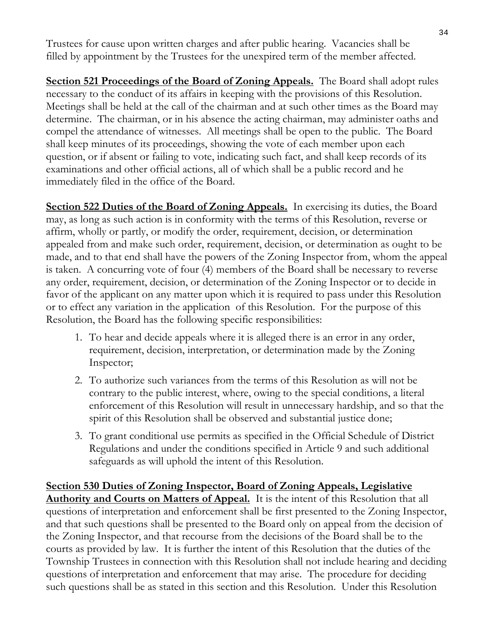Trustees for cause upon written charges and after public hearing. Vacancies shall be filled by appointment by the Trustees for the unexpired term of the member affected.

**<u>Section 521 Proceedings of the Board of Zoning Appeals.</u> The Board shall adopt rules** necessary to the conduct of its affairs in keeping with the provisions of this Resolution. Meetings shall be held at the call of the chairman and at such other times as the Board may determine. The chairman, or in his absence the acting chairman, may administer oaths and compel the attendance of witnesses. All meetings shall be open to the public. The Board shall keep minutes of its proceedings, showing the vote of each member upon each question, or if absent or failing to vote, indicating such fact, and shall keep records of its examinations and other official actions, all of which shall be a public record and he immediately filed in the office of the Board.

**Section 522 Duties of the Board of Zoning Appeals.** In exercising its duties, the Board may, as long as such action is in conformity with the terms of this Resolution, reverse or affirm, wholly or partly, or modify the order, requirement, decision, or determination appealed from and make such order, requirement, decision, or determination as ought to be made, and to that end shall have the powers of the Zoning Inspector from, whom the appeal is taken. A concurring vote of four (4) members of the Board shall be necessary to reverse any order, requirement, decision, or determination of the Zoning Inspector or to decide in favor of the applicant on any matter upon which it is required to pass under this Resolution or to effect any variation in the application of this Resolution. For the purpose of this Resolution, the Board has the following specific responsibilities:

- 1. To hear and decide appeals where it is alleged there is an error in any order, requirement, decision, interpretation, or determination made by the Zoning Inspector;
- 2. To authorize such variances from the terms of this Resolution as will not be contrary to the public interest, where, owing to the special conditions, a literal enforcement of this Resolution will result in unnecessary hardship, and so that the spirit of this Resolution shall be observed and substantial justice done;
- 3. To grant conditional use permits as specified in the Official Schedule of District Regulations and under the conditions specified in Article 9 and such additional safeguards as will uphold the intent of this Resolution.

**Section 530 Duties of Zoning Inspector, Board of Zoning Appeals, Legislative Authority and Courts on Matters of Appeal.** It is the intent of this Resolution that all questions of interpretation and enforcement shall be first presented to the Zoning Inspector, and that such questions shall be presented to the Board only on appeal from the decision of the Zoning Inspector, and that recourse from the decisions of the Board shall be to the courts as provided by law. It is further the intent of this Resolution that the duties of the Township Trustees in connection with this Resolution shall not include hearing and deciding questions of interpretation and enforcement that may arise. The procedure for deciding such questions shall be as stated in this section and this Resolution. Under this Resolution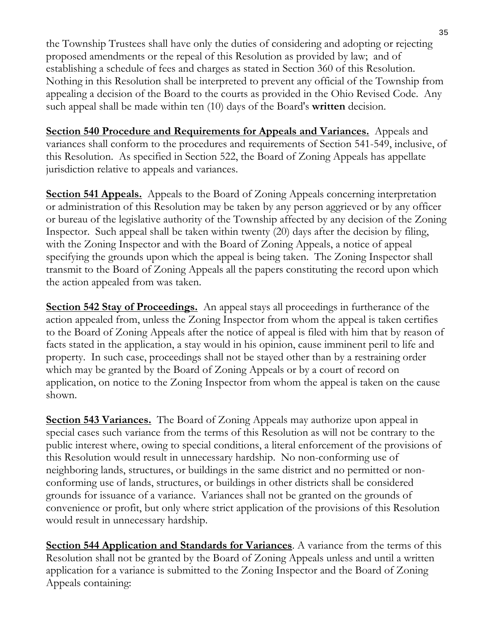the Township Trustees shall have only the duties of considering and adopting or rejecting proposed amendments or the repeal of this Resolution as provided by law; and of establishing a schedule of fees and charges as stated in Section 360 of this Resolution. Nothing in this Resolution shall be interpreted to prevent any official of the Township from appealing a decision of the Board to the courts as provided in the Ohio Revised Code. Any such appeal shall be made within ten (10) days of the Board's **written** decision.

**Section 540 Procedure and Requirements for Appeals and Variances.** Appeals and variances shall conform to the procedures and requirements of Section 541-549, inclusive, of this Resolution. As specified in Section 522, the Board of Zoning Appeals has appellate jurisdiction relative to appeals and variances.

**Section 541 Appeals.** Appeals to the Board of Zoning Appeals concerning interpretation or administration of this Resolution may be taken by any person aggrieved or by any officer or bureau of the legislative authority of the Township affected by any decision of the Zoning Inspector. Such appeal shall be taken within twenty (20) days after the decision by filing, with the Zoning Inspector and with the Board of Zoning Appeals, a notice of appeal specifying the grounds upon which the appeal is being taken. The Zoning Inspector shall transmit to the Board of Zoning Appeals all the papers constituting the record upon which the action appealed from was taken.

**Section 542 Stay of Proceedings.** An appeal stays all proceedings in furtherance of the action appealed from, unless the Zoning Inspector from whom the appeal is taken certifies to the Board of Zoning Appeals after the notice of appeal is filed with him that by reason of facts stated in the application, a stay would in his opinion, cause imminent peril to life and property. In such case, proceedings shall not be stayed other than by a restraining order which may be granted by the Board of Zoning Appeals or by a court of record on application, on notice to the Zoning Inspector from whom the appeal is taken on the cause shown.

**Section 543 Variances.** The Board of Zoning Appeals may authorize upon appeal in special cases such variance from the terms of this Resolution as will not be contrary to the public interest where, owing to special conditions, a literal enforcement of the provisions of this Resolution would result in unnecessary hardship. No non-conforming use of neighboring lands, structures, or buildings in the same district and no permitted or nonconforming use of lands, structures, or buildings in other districts shall be considered grounds for issuance of a variance. Variances shall not be granted on the grounds of convenience or profit, but only where strict application of the provisions of this Resolution would result in unnecessary hardship.

**Section 544 Application and Standards for Variances**. A variance from the terms of this Resolution shall not be granted by the Board of Zoning Appeals unless and until a written application for a variance is submitted to the Zoning Inspector and the Board of Zoning Appeals containing: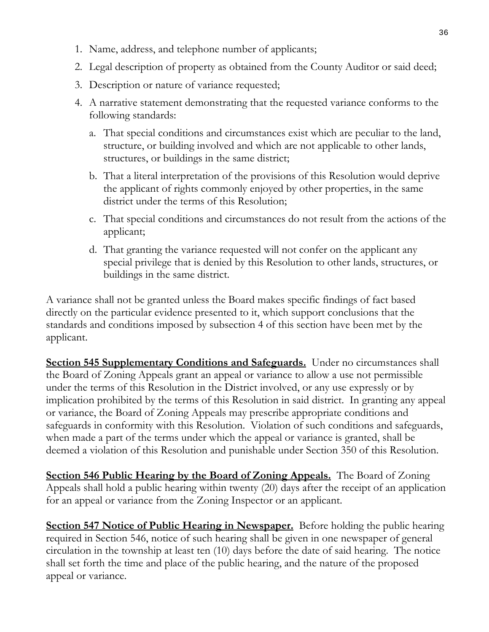- 1. Name, address, and telephone number of applicants;
- 2. Legal description of property as obtained from the County Auditor or said deed;
- 3. Description or nature of variance requested;
- 4. A narrative statement demonstrating that the requested variance conforms to the following standards:
	- a. That special conditions and circumstances exist which are peculiar to the land, structure, or building involved and which are not applicable to other lands, structures, or buildings in the same district;
	- b. That a literal interpretation of the provisions of this Resolution would deprive the applicant of rights commonly enjoyed by other properties, in the same district under the terms of this Resolution;
	- c. That special conditions and circumstances do not result from the actions of the applicant;
	- d. That granting the variance requested will not confer on the applicant any special privilege that is denied by this Resolution to other lands, structures, or buildings in the same district.

A variance shall not be granted unless the Board makes specific findings of fact based directly on the particular evidence presented to it, which support conclusions that the standards and conditions imposed by subsection 4 of this section have been met by the applicant.

**Section 545 Supplementary Conditions and Safeguards.** Under no circumstances shall the Board of Zoning Appeals grant an appeal or variance to allow a use not permissible under the terms of this Resolution in the District involved, or any use expressly or by implication prohibited by the terms of this Resolution in said district. In granting any appeal or variance, the Board of Zoning Appeals may prescribe appropriate conditions and safeguards in conformity with this Resolution. Violation of such conditions and safeguards, when made a part of the terms under which the appeal or variance is granted, shall be deemed a violation of this Resolution and punishable under Section 350 of this Resolution.

**Section 546 Public Hearing by the Board of Zoning Appeals.** The Board of Zoning Appeals shall hold a public hearing within twenty (20) days after the receipt of an application for an appeal or variance from the Zoning Inspector or an applicant.

**Section 547 Notice of Public Hearing in Newspaper.** Before holding the public hearing required in Section 546, notice of such hearing shall be given in one newspaper of general circulation in the township at least ten (10) days before the date of said hearing. The notice shall set forth the time and place of the public hearing, and the nature of the proposed appeal or variance.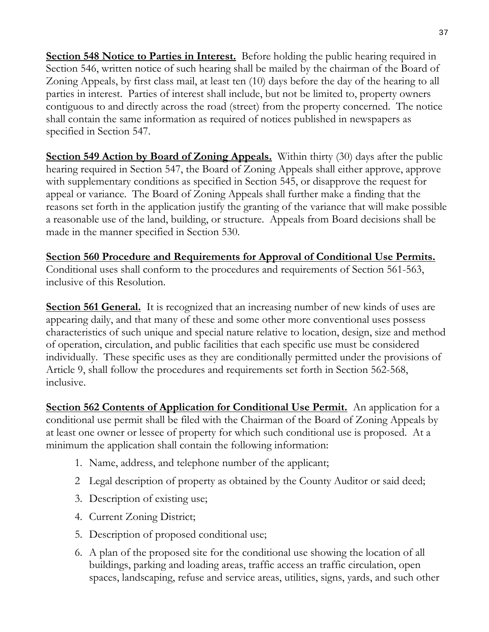**Section 548 Notice to Parties in Interest.** Before holding the public hearing required in Section 546, written notice of such hearing shall be mailed by the chairman of the Board of Zoning Appeals, by first class mail, at least ten (10) days before the day of the hearing to all parties in interest. Parties of interest shall include, but not be limited to, property owners contiguous to and directly across the road (street) from the property concerned. The notice shall contain the same information as required of notices published in newspapers as specified in Section 547.

**Section 549 Action by Board of Zoning Appeals.** Within thirty (30) days after the public hearing required in Section 547, the Board of Zoning Appeals shall either approve, approve with supplementary conditions as specified in Section 545, or disapprove the request for appeal or variance. The Board of Zoning Appeals shall further make a finding that the reasons set forth in the application justify the granting of the variance that will make possible a reasonable use of the land, building, or structure. Appeals from Board decisions shall be made in the manner specified in Section 530.

**Section 560 Procedure and Requirements for Approval of Conditional Use Permits.** Conditional uses shall conform to the procedures and requirements of Section 561-563, inclusive of this Resolution.

**Section 561 General.** It is recognized that an increasing number of new kinds of uses are appearing daily, and that many of these and some other more conventional uses possess characteristics of such unique and special nature relative to location, design, size and method of operation, circulation, and public facilities that each specific use must be considered individually. These specific uses as they are conditionally permitted under the provisions of Article 9, shall follow the procedures and requirements set forth in Section 562-568, inclusive.

**Section 562 Contents of Application for Conditional Use Permit.** An application for a conditional use permit shall be filed with the Chairman of the Board of Zoning Appeals by at least one owner or lessee of property for which such conditional use is proposed. At a minimum the application shall contain the following information:

- 1. Name, address, and telephone number of the applicant;
- 2 Legal description of property as obtained by the County Auditor or said deed;
- 3. Description of existing use;
- 4. Current Zoning District;
- 5. Description of proposed conditional use;
- 6. A plan of the proposed site for the conditional use showing the location of all buildings, parking and loading areas, traffic access an traffic circulation, open spaces, landscaping, refuse and service areas, utilities, signs, yards, and such other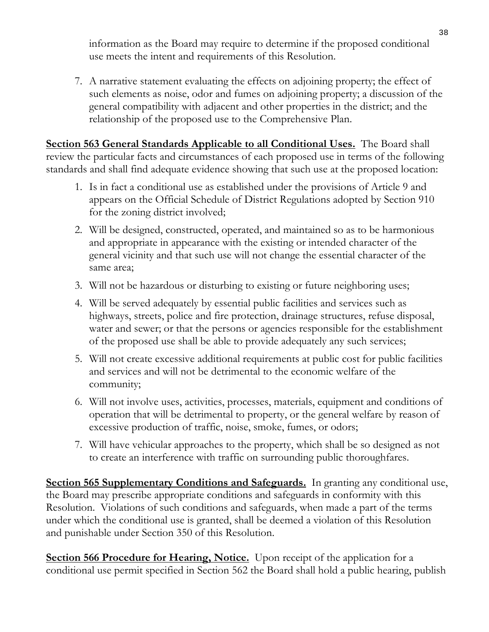information as the Board may require to determine if the proposed conditional use meets the intent and requirements of this Resolution.

7. A narrative statement evaluating the effects on adjoining property; the effect of such elements as noise, odor and fumes on adjoining property; a discussion of the general compatibility with adjacent and other properties in the district; and the relationship of the proposed use to the Comprehensive Plan.

**Section 563 General Standards Applicable to all Conditional Uses.** The Board shall review the particular facts and circumstances of each proposed use in terms of the following standards and shall find adequate evidence showing that such use at the proposed location:

- 1. Is in fact a conditional use as established under the provisions of Article 9 and appears on the Official Schedule of District Regulations adopted by Section 910 for the zoning district involved;
- 2. Will be designed, constructed, operated, and maintained so as to be harmonious and appropriate in appearance with the existing or intended character of the general vicinity and that such use will not change the essential character of the same area;
- 3. Will not be hazardous or disturbing to existing or future neighboring uses;
- 4. Will be served adequately by essential public facilities and services such as highways, streets, police and fire protection, drainage structures, refuse disposal, water and sewer; or that the persons or agencies responsible for the establishment of the proposed use shall be able to provide adequately any such services;
- 5. Will not create excessive additional requirements at public cost for public facilities and services and will not be detrimental to the economic welfare of the community;
- 6. Will not involve uses, activities, processes, materials, equipment and conditions of operation that will be detrimental to property, or the general welfare by reason of excessive production of traffic, noise, smoke, fumes, or odors;
- 7. Will have vehicular approaches to the property, which shall be so designed as not to create an interference with traffic on surrounding public thoroughfares.

**Section 565 Supplementary Conditions and Safeguards.** In granting any conditional use, the Board may prescribe appropriate conditions and safeguards in conformity with this Resolution. Violations of such conditions and safeguards, when made a part of the terms under which the conditional use is granted, shall be deemed a violation of this Resolution and punishable under Section 350 of this Resolution.

**Section 566 Procedure for Hearing, Notice.** Upon receipt of the application for a conditional use permit specified in Section 562 the Board shall hold a public hearing, publish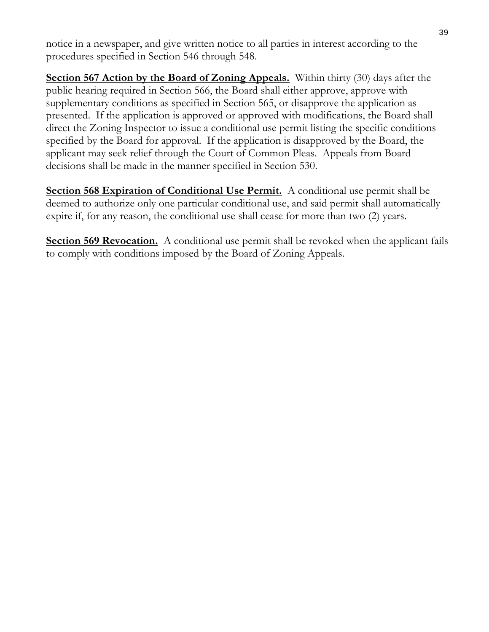notice in a newspaper, and give written notice to all parties in interest according to the procedures specified in Section 546 through 548.

**Section 567 Action by the Board of Zoning Appeals.** Within thirty (30) days after the public hearing required in Section 566, the Board shall either approve, approve with supplementary conditions as specified in Section 565, or disapprove the application as presented. If the application is approved or approved with modifications, the Board shall direct the Zoning Inspector to issue a conditional use permit listing the specific conditions specified by the Board for approval. If the application is disapproved by the Board, the applicant may seek relief through the Court of Common Pleas. Appeals from Board decisions shall be made in the manner specified in Section 530.

**Section 568 Expiration of Conditional Use Permit.** A conditional use permit shall be deemed to authorize only one particular conditional use, and said permit shall automatically expire if, for any reason, the conditional use shall cease for more than two (2) years.

**Section 569 Revocation.** A conditional use permit shall be revoked when the applicant fails to comply with conditions imposed by the Board of Zoning Appeals.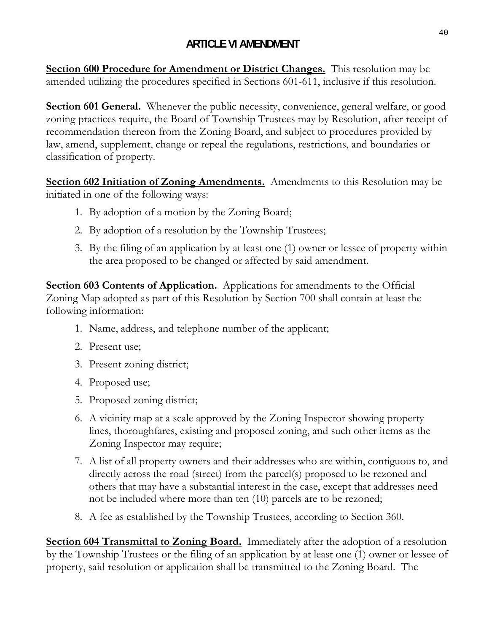# **ARTICLE VI AMENDMENT**

**Section 600 Procedure for Amendment or District Changes.** This resolution may be amended utilizing the procedures specified in Sections 601-611, inclusive if this resolution.

**Section 601 General.** Whenever the public necessity, convenience, general welfare, or good zoning practices require, the Board of Township Trustees may by Resolution, after receipt of recommendation thereon from the Zoning Board, and subject to procedures provided by law, amend, supplement, change or repeal the regulations, restrictions, and boundaries or classification of property.

**Section 602 Initiation of Zoning Amendments.** Amendments to this Resolution may be initiated in one of the following ways:

- 1. By adoption of a motion by the Zoning Board;
- 2. By adoption of a resolution by the Township Trustees;
- 3. By the filing of an application by at least one (1) owner or lessee of property within the area proposed to be changed or affected by said amendment.

**Section 603 Contents of Application.** Applications for amendments to the Official Zoning Map adopted as part of this Resolution by Section 700 shall contain at least the following information:

- 1. Name, address, and telephone number of the applicant;
- 2. Present use;
- 3. Present zoning district;
- 4. Proposed use;
- 5. Proposed zoning district;
- 6. A vicinity map at a scale approved by the Zoning Inspector showing property lines, thoroughfares, existing and proposed zoning, and such other items as the Zoning Inspector may require;
- 7. A list of all property owners and their addresses who are within, contiguous to, and directly across the road (street) from the parcel(s) proposed to be rezoned and others that may have a substantial interest in the case, except that addresses need not be included where more than ten (10) parcels are to be rezoned;
- 8. A fee as established by the Township Trustees, according to Section 360.

**Section 604 Transmittal to Zoning Board.** Immediately after the adoption of a resolution by the Township Trustees or the filing of an application by at least one (1) owner or lessee of property, said resolution or application shall be transmitted to the Zoning Board. The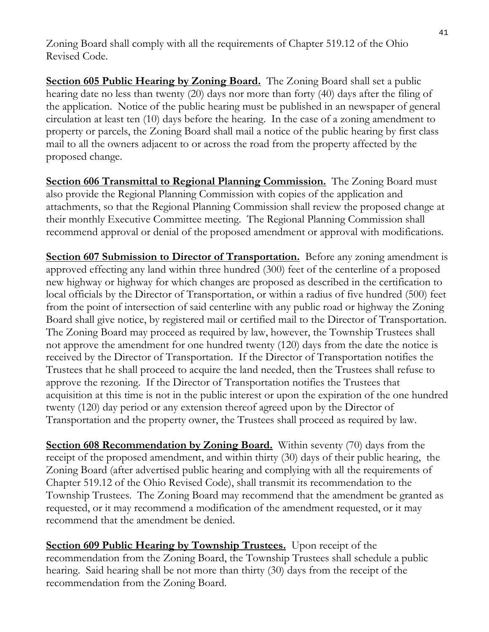Zoning Board shall comply with all the requirements of Chapter 519.12 of the Ohio Revised Code.

**Section 605 Public Hearing by Zoning Board.** The Zoning Board shall set a public hearing date no less than twenty (20) days nor more than forty (40) days after the filing of the application. Notice of the public hearing must be published in an newspaper of general circulation at least ten (10) days before the hearing. In the case of a zoning amendment to property or parcels, the Zoning Board shall mail a notice of the public hearing by first class mail to all the owners adjacent to or across the road from the property affected by the proposed change.

**<u>Section 606 Transmittal to Regional Planning Commission.</u> The Zoning Board must** also provide the Regional Planning Commission with copies of the application and attachments, so that the Regional Planning Commission shall review the proposed change at their monthly Executive Committee meeting. The Regional Planning Commission shall recommend approval or denial of the proposed amendment or approval with modifications.

**Section 607 Submission to Director of Transportation.** Before any zoning amendment is approved effecting any land within three hundred (300) feet of the centerline of a proposed new highway or highway for which changes are proposed as described in the certification to local officials by the Director of Transportation, or within a radius of five hundred (500) feet from the point of intersection of said centerline with any public road or highway the Zoning Board shall give notice, by registered mail or certified mail to the Director of Transportation. The Zoning Board may proceed as required by law, however, the Township Trustees shall not approve the amendment for one hundred twenty (120) days from the date the notice is received by the Director of Transportation. If the Director of Transportation notifies the Trustees that he shall proceed to acquire the land needed, then the Trustees shall refuse to approve the rezoning. If the Director of Transportation notifies the Trustees that acquisition at this time is not in the public interest or upon the expiration of the one hundred twenty (120) day period or any extension thereof agreed upon by the Director of Transportation and the property owner, the Trustees shall proceed as required by law.

**Section 608 Recommendation by Zoning Board.** Within seventy (70) days from the receipt of the proposed amendment, and within thirty (30) days of their public hearing, the Zoning Board (after advertised public hearing and complying with all the requirements of Chapter 519.12 of the Ohio Revised Code), shall transmit its recommendation to the Township Trustees. The Zoning Board may recommend that the amendment be granted as requested, or it may recommend a modification of the amendment requested, or it may recommend that the amendment be denied.

**<u>Section 609 Public Hearing by Township Trustees.</u> Upon receipt of the** recommendation from the Zoning Board, the Township Trustees shall schedule a public hearing. Said hearing shall be not more than thirty (30) days from the receipt of the recommendation from the Zoning Board.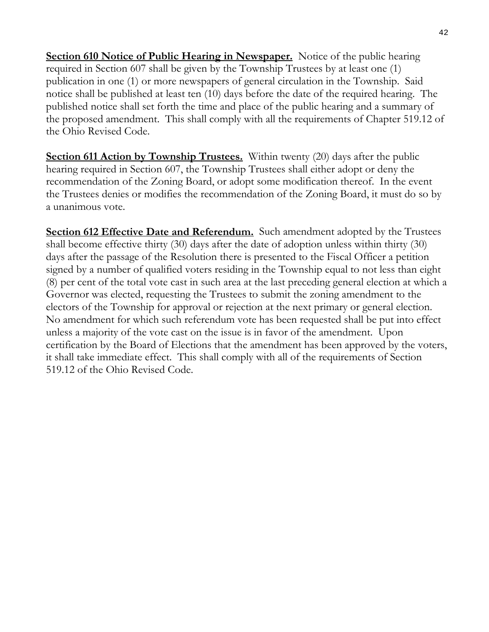**Section 610 Notice of Public Hearing in Newspaper.** Notice of the public hearing required in Section 607 shall be given by the Township Trustees by at least one (1) publication in one (1) or more newspapers of general circulation in the Township. Said notice shall be published at least ten (10) days before the date of the required hearing. The published notice shall set forth the time and place of the public hearing and a summary of the proposed amendment. This shall comply with all the requirements of Chapter 519.12 of the Ohio Revised Code.

**Section 611 Action by Township Trustees.** Within twenty (20) days after the public hearing required in Section 607, the Township Trustees shall either adopt or deny the recommendation of the Zoning Board, or adopt some modification thereof. In the event the Trustees denies or modifies the recommendation of the Zoning Board, it must do so by a unanimous vote.

**Section 612 Effective Date and Referendum.** Such amendment adopted by the Trustees shall become effective thirty (30) days after the date of adoption unless within thirty (30) days after the passage of the Resolution there is presented to the Fiscal Officer a petition signed by a number of qualified voters residing in the Township equal to not less than eight (8) per cent of the total vote cast in such area at the last preceding general election at which a Governor was elected, requesting the Trustees to submit the zoning amendment to the electors of the Township for approval or rejection at the next primary or general election. No amendment for which such referendum vote has been requested shall be put into effect unless a majority of the vote cast on the issue is in favor of the amendment. Upon certification by the Board of Elections that the amendment has been approved by the voters, it shall take immediate effect. This shall comply with all of the requirements of Section 519.12 of the Ohio Revised Code.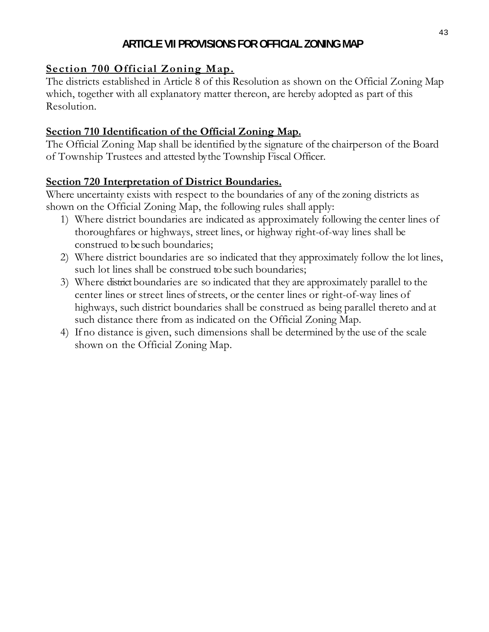# **ARTICLE VII PROVISIONS FOR OFFICIAL ZONING MAP**

# **Section 700 Official Zoning Map.**

The districts established in Article 8 of this Resolution as shown on the Official Zoning Map which, together with all explanatory matter thereon, are hereby adopted as part of this Resolution.

#### **Section 710 Identification of the Official Zoning Map.**

The Official Zoning Map shall be identified by the signature of the chairperson of the Board of Township Trustees and attested by the Township Fiscal Officer.

# **Section 720 Interpretation of District Boundaries.**

Where uncertainty exists with respect to the boundaries of any of the zoning districts as shown on the Official Zoning Map, the following rules shall apply:

- 1) Where district boundaries are indicated as approximately following the center lines of thoroughfares or highways, street lines, or highway right-of-way lines shall be construed to be such boundaries;
- 2) Where district boundaries are so indicated that they approximately follow the lot lines, such lot lines shall be construed to be such boundaries;
- 3) Where district boundaries are so indicated that they are approximately parallel to the center lines or street lines of streets, or the center lines or right-of-way lines of highways, such district boundaries shall be construed as being parallel thereto and at such distance there from as indicated on the Official Zoning Map.
- 4) If no distance is given, such dimensions shall be determined by the use of the scale shown on the Official Zoning Map.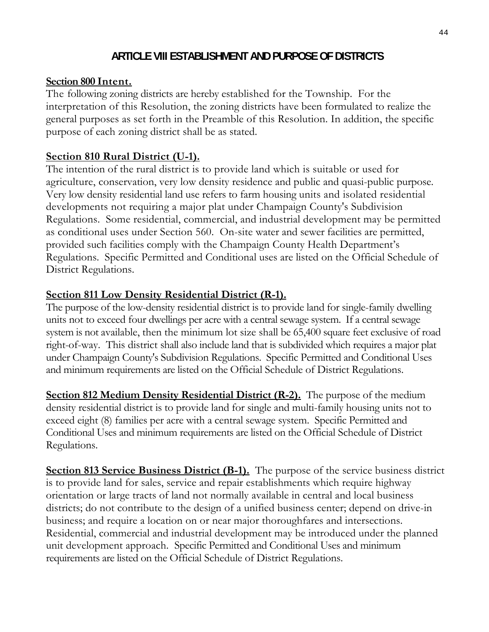## **ARTICLE VIII ESTABLISHMENT AND PURPOSE OF DISTRICTS**

#### **Section 800 Intent.**

The following zoning districts are hereby established for the Township. For the interpretation of this Resolution, the zoning districts have been formulated to realize the general purposes as set forth in the Preamble of this Resolution. In addition, the specific purpose of each zoning district shall be as stated.

#### **Section 810 Rural District (U-1).**

The intention of the rural district is to provide land which is suitable or used for agriculture, conservation, very low density residence and public and quasi-public purpose. Very low density residential land use refers to farm housing units and isolated residential developments not requiring a major plat under Champaign County's Subdivision Regulations. Some residential, commercial, and industrial development may be permitted as conditional uses under Section 560. On-site water and sewer facilities are permitted, provided such facilities comply with the Champaign County Health Department's Regulations. Specific Permitted and Conditional uses are listed on the Official Schedule of District Regulations.

#### **Section 811 Low Density Residential District (R-1).**

The purpose of the low-density residential district is to provide land for single-family dwelling units not to exceed four dwellings per acre with a central sewage system. If a central sewage system is not available, then the minimum lot size shall be 65,400 square feet exclusive of road right-of-way.This district shall also include land that is subdivided which requires a major plat under Champaign County's Subdivision Regulations. Specific Permitted and Conditional Uses and minimum requirements are listed on the Official Schedule of District Regulations.

**Section 812 Medium Density Residential District (R-2).** The purpose of the medium density residential district is to provide land for single and multi-family housing units not to exceed eight (8) families per acre with a central sewage system. Specific Permitted and Conditional Uses and minimum requirements are listed on the Official Schedule of District Regulations.

**Section 813 Service Business District (B-1).** The purpose of the service business district is to provide land for sales, service and repair establishments which require highway orientation or large tracts of land not normally available in central and local business districts; do not contribute to the design of a unified business center; depend on drive-in business; and require a location on or near major thoroughfares and intersections. Residential, commercial and industrial development may be introduced under the planned unit development approach. Specific Permitted and Conditional Uses and minimum requirements are listed on the Official Schedule of District Regulations.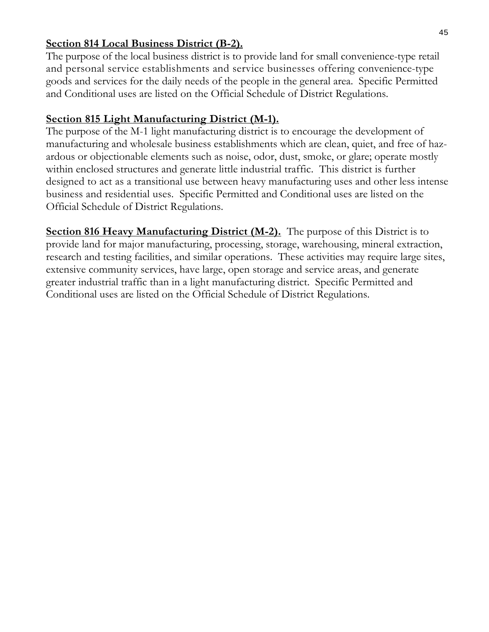#### **Section 814 Local Business District (B-2).**

The purpose of the local business district is to provide land for small convenience-type retail and personal service establishments and service businesses offering convenience-type goods and services for the daily needs of the people in the general area. Specific Permitted and Conditional uses are listed on the Official Schedule of District Regulations.

# **Section 815 Light Manufacturing District (M-1).**

The purpose of the M-1 light manufacturing district is to encourage the development of manufacturing and wholesale business establishments which are clean, quiet, and free of hazardous or objectionable elements such as noise, odor, dust, smoke, or glare; operate mostly within enclosed structures and generate little industrial traffic. This district is further designed to act as a transitional use between heavy manufacturing uses and other less intense business and residential uses. Specific Permitted and Conditional uses are listed on the Official Schedule of District Regulations.

**<u>Section 816 Heavy Manufacturing District (M-2).</u> The purpose of this District is to** provide land for major manufacturing, processing, storage, warehousing, mineral extraction, research and testing facilities, and similar operations. These activities may require large sites, extensive community services, have large, open storage and service areas, and generate greater industrial traffic than in a light manufacturing district. Specific Permitted and Conditional uses are listed on the Official Schedule of District Regulations.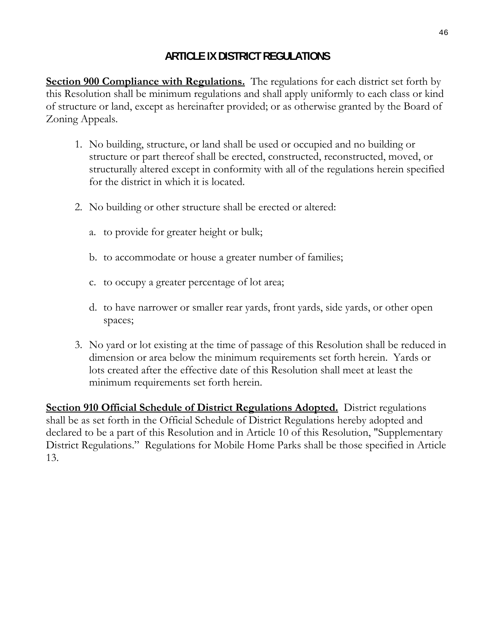# **ARTICLE IX DISTRICT REGULATIONS**

**Section 900 Compliance with Regulations.** The regulations for each district set forth by this Resolution shall be minimum regulations and shall apply uniformly to each class or kind of structure or land, except as hereinafter provided; or as otherwise granted by the Board of Zoning Appeals.

- 1. No building, structure, or land shall be used or occupied and no building or structure or part thereof shall be erected, constructed, reconstructed, moved, or structurally altered except in conformity with all of the regulations herein specified for the district in which it is located.
- 2. No building or other structure shall be erected or altered:
	- a. to provide for greater height or bulk;
	- b. to accommodate or house a greater number of families;
	- c. to occupy a greater percentage of lot area;
	- d. to have narrower or smaller rear yards, front yards, side yards, or other open spaces;
- 3. No yard or lot existing at the time of passage of this Resolution shall be reduced in dimension or area below the minimum requirements set forth herein. Yards or lots created after the effective date of this Resolution shall meet at least the minimum requirements set forth herein.

**Section 910 Official Schedule of District Regulations Adopted.** District regulations shall be as set forth in the Official Schedule of District Regulations hereby adopted and declared to be a part of this Resolution and in Article 10 of this Resolution, "Supplementary District Regulations." Regulations for Mobile Home Parks shall be those specified in Article 13.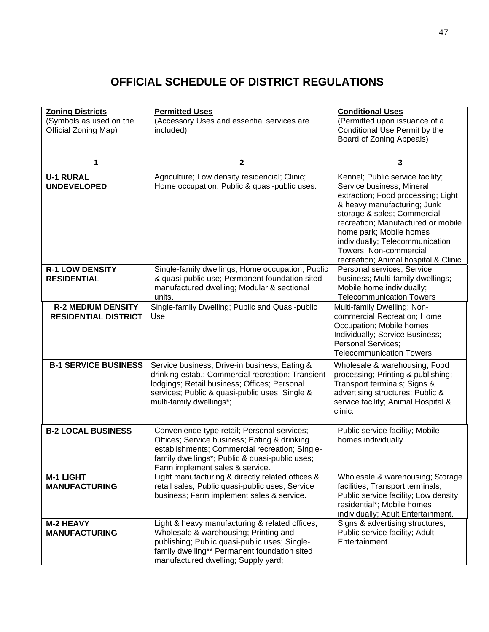# **OFFICIAL SCHEDULE OF DISTRICT REGULATIONS**

| <b>Zoning Districts</b><br>(Symbols as used on the<br>Official Zoning Map) | <b>Permitted Uses</b><br>(Accessory Uses and essential services are<br>included)                                                                                                                                                   | <b>Conditional Uses</b><br>(Permitted upon issuance of a<br>Conditional Use Permit by the                                                                                                                                                                                                                                               |  |  |
|----------------------------------------------------------------------------|------------------------------------------------------------------------------------------------------------------------------------------------------------------------------------------------------------------------------------|-----------------------------------------------------------------------------------------------------------------------------------------------------------------------------------------------------------------------------------------------------------------------------------------------------------------------------------------|--|--|
|                                                                            |                                                                                                                                                                                                                                    | Board of Zoning Appeals)                                                                                                                                                                                                                                                                                                                |  |  |
|                                                                            | $\mathbf{2}$                                                                                                                                                                                                                       | 3                                                                                                                                                                                                                                                                                                                                       |  |  |
| <b>U-1 RURAL</b><br><b>UNDEVELOPED</b>                                     | Agriculture; Low density residencial; Clinic;<br>Home occupation; Public & quasi-public uses.                                                                                                                                      | Kennel; Public service facility;<br>Service business; Mineral<br>extraction; Food processing; Light<br>& heavy manufacturing; Junk<br>storage & sales; Commercial<br>recreation; Manufactured or mobile<br>home park; Mobile homes<br>individually; Telecommunication<br>Towers; Non-commercial<br>recreation; Animal hospital & Clinic |  |  |
| <b>R-1 LOW DENSITY</b><br><b>RESIDENTIAL</b>                               | Single-family dwellings; Home occupation; Public<br>& quasi-public use; Permanent foundation sited<br>manufactured dwelling; Modular & sectional<br>units.                                                                         | Personal services; Service<br>business; Multi-family dwellings;<br>Mobile home individually;<br><b>Telecommunication Towers</b>                                                                                                                                                                                                         |  |  |
| <b>R-2 MEDIUM DENSITY</b><br><b>RESIDENTIAL DISTRICT</b>                   | Single-family Dwelling; Public and Quasi-public<br>Use                                                                                                                                                                             | Multi-family Dwelling; Non-<br>commercial Recreation; Home<br>Occupation; Mobile homes<br>Individually; Service Business;<br>Personal Services;<br><b>Telecommunication Towers.</b>                                                                                                                                                     |  |  |
| <b>B-1 SERVICE BUSINESS</b>                                                | Service business; Drive-in business; Eating &<br>drinking estab.; Commercial recreation; Transient<br>lodgings; Retail business; Offices; Personal<br>services; Public & quasi-public uses; Single &<br>multi-family dwellings*;   | Wholesale & warehousing; Food<br>processing; Printing & publishing;<br>Transport terminals; Signs &<br>advertising structures; Public &<br>service facility; Animal Hospital &<br>clinic.                                                                                                                                               |  |  |
| <b>B-2 LOCAL BUSINESS</b>                                                  | Convenience-type retail; Personal services;<br>Offices; Service business; Eating & drinking<br>establishments; Commercial recreation; Single-<br>family dwellings*; Public & quasi-public uses;<br>Farm implement sales & service. | Public service facility; Mobile<br>homes individually.                                                                                                                                                                                                                                                                                  |  |  |
| <b>M-1 LIGHT</b><br><b>MANUFACTURING</b>                                   | Light manufacturing & directly related offices &<br>retail sales; Public quasi-public uses; Service<br>business; Farm implement sales & service.                                                                                   | Wholesale & warehousing; Storage<br>facilities; Transport terminals;<br>Public service facility; Low density<br>residential*; Mobile homes<br>individually; Adult Entertainment.                                                                                                                                                        |  |  |
| <b>M-2 HEAVY</b><br><b>MANUFACTURING</b>                                   | Light & heavy manufacturing & related offices;<br>Wholesale & warehousing; Printing and<br>publishing; Public quasi-public uses; Single-<br>family dwelling** Permanent foundation sited<br>manufactured dwelling; Supply yard;    | Signs & advertising structures;<br>Public service facility; Adult<br>Entertainment.                                                                                                                                                                                                                                                     |  |  |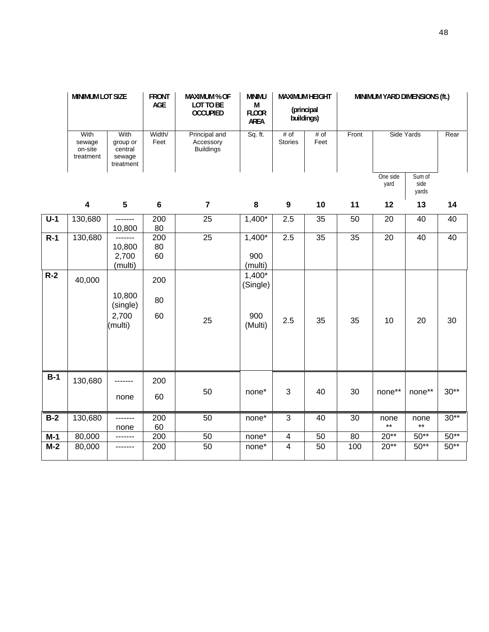|       | <b>MINIMUM LOT SIZE</b>                |                                                    | <b>FRONT</b><br>AGE | <b>MAXIMUM % OF</b><br><b>MINIMU</b><br><b>MAXIMUM HEIGHT</b><br>LOT TO BE<br>M<br>(principal<br><b>OCCUPIED</b><br><b>FLOOR</b><br>buildings)<br><b>AREA</b> |                                      |                         |                 | MINIMUM YARD DIMENSIONS (ft.) |                  |                         |        |
|-------|----------------------------------------|----------------------------------------------------|---------------------|---------------------------------------------------------------------------------------------------------------------------------------------------------------|--------------------------------------|-------------------------|-----------------|-------------------------------|------------------|-------------------------|--------|
|       | With<br>sewage<br>on-site<br>treatment | With<br>group or<br>central<br>sewage<br>treatment | Width/<br>Feet      | Principal and<br>Accessory<br><b>Buildings</b>                                                                                                                | Sq. ft.                              | # of<br><b>Stories</b>  | # of<br>Feet    | Front                         | Side Yards       |                         | Rear   |
|       |                                        |                                                    |                     |                                                                                                                                                               |                                      |                         |                 |                               | One side<br>yard | Sum of<br>side<br>yards |        |
|       | $\overline{\mathbf{4}}$                | $\overline{\mathbf{5}}$                            | $6\phantom{1}6$     | $\overline{7}$                                                                                                                                                | 8                                    | $\boldsymbol{9}$        | 10              | 11                            | 12               | 13                      | 14     |
| $U-1$ | 130,680                                | -------<br>10,800                                  | 200<br>80           | 25                                                                                                                                                            | $1,400*$                             | 2.5                     | 35              | 50                            | 20               | 40                      | 40     |
| $R-1$ | 130,680                                | -------<br>10,800<br>2,700<br>(multi)              | 200<br>80<br>60     | $\overline{25}$                                                                                                                                               | $1,400*$<br>900<br>(multi)           | 2.5                     | 35              | 35                            | 20               | 40                      | 40     |
| $R-2$ | 40,000                                 | 10,800<br>(single)<br>2,700<br>(multi)             | 200<br>80<br>60     | 25                                                                                                                                                            | 1,400*<br>(Single)<br>900<br>(Multi) | 2.5                     | 35              | 35                            | 10               | 20                      | 30     |
| $B-1$ | 130,680                                | none                                               | 200<br>60           | 50                                                                                                                                                            | none*                                | 3                       | 40              | 30                            | none**           | $none**$                | $30**$ |
| $B-2$ | 130,680                                | -------<br>none                                    | 200<br>60           | 50                                                                                                                                                            | $none*$                              | $\mathbf{3}$            | 40              | 30                            | none<br>$***$    | none<br>$***$           | $30**$ |
| $M-1$ | 80,000                                 | ---                                                | 200                 | 50                                                                                                                                                            | none*                                | $\overline{\mathbf{4}}$ | 50              | $\overline{80}$               | $20**$           | $50**$                  | $50**$ |
| $M-2$ | 80,000                                 |                                                    | 200                 | $\overline{50}$                                                                                                                                               | none <sup>*</sup>                    | $\overline{4}$          | $\overline{50}$ | 100                           | $20**$           | $50**$                  | $50**$ |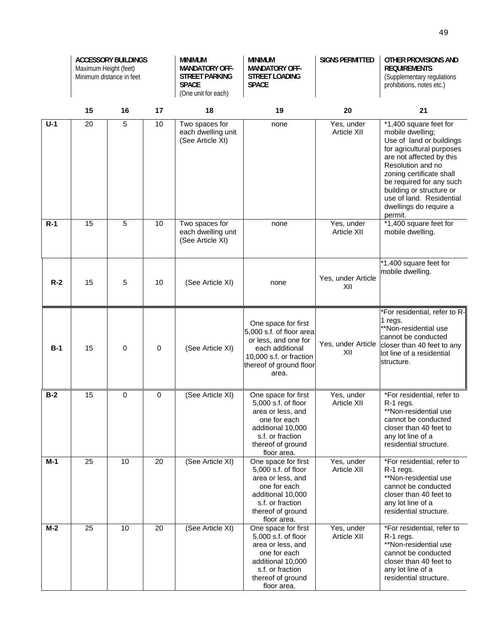|       | <b>ACCESSORY BUILDINGS</b><br>Maximum Height (feet)<br>Minimum distance in feet |    |    | <b>MINIMUM</b><br><b>MANDATORY OFF-</b><br><b>STREET PARKING</b><br><b>SPACE</b><br>(One unit for each) | <b>MINIMUM</b><br><b>MANDATORY OFF-</b><br><b>STREET LOADING</b><br><b>SPACE</b>                                                                             | <b>SIGNS PERMITTED</b>           | OTHER PROVISIONS AND<br><b>REQUIREMENTS</b><br>(Supplementary regulations<br>prohibitions, notes etc.)                                                                                                                                                                                                      |
|-------|---------------------------------------------------------------------------------|----|----|---------------------------------------------------------------------------------------------------------|--------------------------------------------------------------------------------------------------------------------------------------------------------------|----------------------------------|-------------------------------------------------------------------------------------------------------------------------------------------------------------------------------------------------------------------------------------------------------------------------------------------------------------|
|       | 15                                                                              | 16 | 17 | 18                                                                                                      | 19                                                                                                                                                           | 20                               | 21                                                                                                                                                                                                                                                                                                          |
| $U-1$ | 20                                                                              | 5  | 10 | Two spaces for<br>each dwelling unit<br>(See Article XI)                                                | none                                                                                                                                                         | Yes, under<br><b>Article XII</b> | $*1,400$ square feet for<br>mobile dwelling;<br>Use of land or buildings<br>for agricultural purposes<br>are not affected by this<br>Resolution and no<br>zoning certificate shall<br>be required for any such<br>building or structure or<br>use of land. Residential<br>dwellings do require a<br>permit. |
| $R-1$ | 15                                                                              | 5  | 10 | Two spaces for<br>each dwelling unit<br>(See Article XI)                                                | none                                                                                                                                                         | Yes, under<br><b>Article XII</b> | *1,400 square feet for<br>mobile dwelling.                                                                                                                                                                                                                                                                  |
| $R-2$ | 15                                                                              | 5  | 10 | (See Article XI)                                                                                        | none                                                                                                                                                         | Yes, under Article<br>XII        | *1,400 square feet for<br>mobile dwelling.                                                                                                                                                                                                                                                                  |
| $B-1$ | 15                                                                              | 0  | 0  | (See Article XI)                                                                                        | One space for first<br>5,000 s.f. of floor area<br>or less, and one for<br>each additional<br>10,000 s.f. or fraction<br>thereof of ground floor<br>area.    | Yes, under Article<br>XII        | *For residential, refer to R-<br>1 regs.<br>**Non-residential use<br>cannot be conducted<br>closer than 40 feet to any<br>lot line of a residential<br>structure.                                                                                                                                           |
| $B-2$ | 15                                                                              | 0  | 0  | (See Article XI)                                                                                        | One space for first<br>5,000 s.f. of floor<br>area or less, and<br>one for each<br>additional 10,000<br>s.f. or fraction<br>thereof of ground<br>floor area. | Yes, under<br><b>Article XII</b> | *For residential, refer to<br>R-1 regs.<br>**Non-residential use<br>cannot be conducted<br>closer than 40 feet to<br>any lot line of a<br>residential structure.                                                                                                                                            |
| M-1   | 25                                                                              | 10 | 20 | (See Article XI)                                                                                        | One space for first<br>5,000 s.f. of floor<br>area or less, and<br>one for each<br>additional 10,000<br>s.f. or fraction<br>thereof of ground<br>floor area. | Yes, under<br><b>Article XII</b> | *For residential, refer to<br>R-1 regs.<br>**Non-residential use<br>cannot be conducted<br>closer than 40 feet to<br>any lot line of a<br>residential structure.                                                                                                                                            |
| $M-2$ | 25                                                                              | 10 | 20 | (See Article XI)                                                                                        | One space for first<br>5,000 s.f. of floor<br>area or less, and<br>one for each<br>additional 10,000<br>s.f. or fraction<br>thereof of ground<br>floor area. | Yes, under<br>Article XII        | *For residential, refer to<br>R-1 regs.<br>**Non-residential use<br>cannot be conducted<br>closer than 40 feet to<br>any lot line of a<br>residential structure.                                                                                                                                            |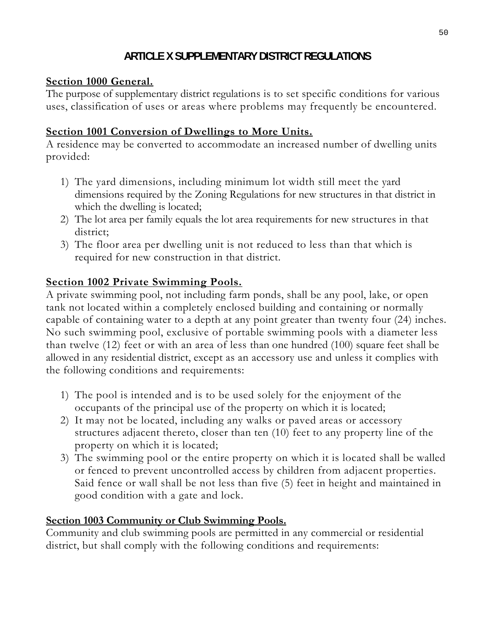# **ARTICLE X SUPPLEMENTARY DISTRICT REGULATIONS**

# **Section 1000 General.**

The purpose of supplementary district regulations is to set specific conditions for various uses, classification of uses or areas where problems may frequently be encountered.

# **Section 1001 Conversion of Dwellings to More Units.**

A residence may be converted to accommodate an increased number of dwelling units provided:

- 1) The yard dimensions, including minimum lot width still meet the yard dimensions required by the Zoning Regulations for new structures in that district in which the dwelling is located;
- 2) The lot area per family equals the lot area requirements for new structures in that district;
- 3) The floor area per dwelling unit is not reduced to less than that which is required for new construction in that district.

# **Section 1002 Private Swimming Pools.**

A private swimming pool, not including farm ponds, shall be any pool, lake, or open tank not located within a completely enclosed building and containing or normally capable of containing water to a depth at any point greater than twenty four (24) inches. No such swimming pool, exclusive of portable swimming pools with a diameter less than twelve (12) feet or with an area of less than one hundred (100) square feet shall be allowed in any residential district, except as an accessory use and unless it complies with the following conditions and requirements:

- 1) The pool is intended and is to be used solely for the enjoyment of the occupants of the principal use of the property on which it is located;
- 2) It may not be located, including any walks or paved areas or accessory structures adjacent thereto, closer than ten (10) feet to any property line of the property on which it is located;
- 3) The swimming pool or the entire property on which it is located shall be walled or fenced to prevent uncontrolled access by children from adjacent properties. Said fence or wall shall be not less than five (5) feet in height and maintained in good condition with a gate and lock.

# **Section 1003 Community or Club Swimming Pools.**

Community and club swimming pools are permitted in any commercial or residential district, but shall comply with the following conditions and requirements: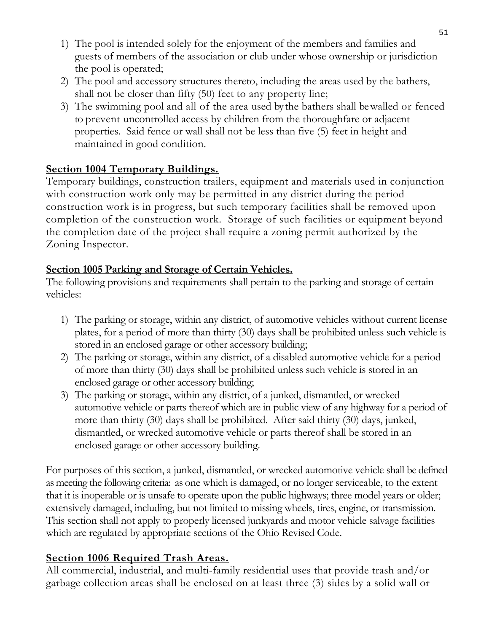- 1) The pool is intended solely for the enjoyment of the members and families and guests of members of the association or club under whose ownership or jurisdiction the pool is operated;
- 2) The pool and accessory structures thereto, including the areas used by the bathers, shall not be closer than fifty (50) feet to any property line;
- 3) The swimming pool and all of the area used by the bathers shall be walled or fenced to prevent uncontrolled access by children from the thoroughfare or adjacent properties. Said fence or wall shall not be less than five (5) feet in height and maintained in good condition.

# **Section 1004 Temporary Buildings.**

Temporary buildings, construction trailers, equipment and materials used in conjunction with construction work only may be permitted in any district during the period construction work is in progress, but such temporary facilities shall be removed upon completion of the construction work. Storage of such facilities or equipment beyond the completion date of the project shall require a zoning permit authorized by the Zoning Inspector.

# **Section 1005 Parking and Storage of Certain Vehicles.**

The following provisions and requirements shall pertain to the parking and storage of certain vehicles:

- 1) The parking or storage, within any district, of automotive vehicles without current license plates, for a period of more than thirty (30) days shall be prohibited unless such vehicle is stored in an enclosed garage or other accessory building;
- 2) The parking or storage, within any district, of a disabled automotive vehicle for a period of more than thirty (30) days shall be prohibited unless such vehicle is stored in an enclosed garage or other accessory building;
- 3) The parking or storage, within any district, of a junked, dismantled, or wrecked automotive vehicle or parts thereof which are in public view of any highway for a period of more than thirty (30) days shall be prohibited. After said thirty (30) days, junked, dismantled, or wrecked automotive vehicle or parts thereof shall be stored in an enclosed garage or other accessory building.

For purposes of this section, a junked, dismantled, or wrecked automotive vehicle shall be defined as meeting the following criteria: as one which is damaged, or no longer serviceable, to the extent that it is inoperable or is unsafe to operate upon the public highways; three model years or older; extensively damaged, including, but not limited to missing wheels, tires, engine, or transmission. This section shall not apply to properly licensed junkyards and motor vehicle salvage facilities which are regulated by appropriate sections of the Ohio Revised Code.

# **Section 1006 Required Trash Areas.**

All commercial, industrial, and multi-family residential uses that provide trash and/or garbage collection areas shall be enclosed on at least three (3) sides by a solid wall or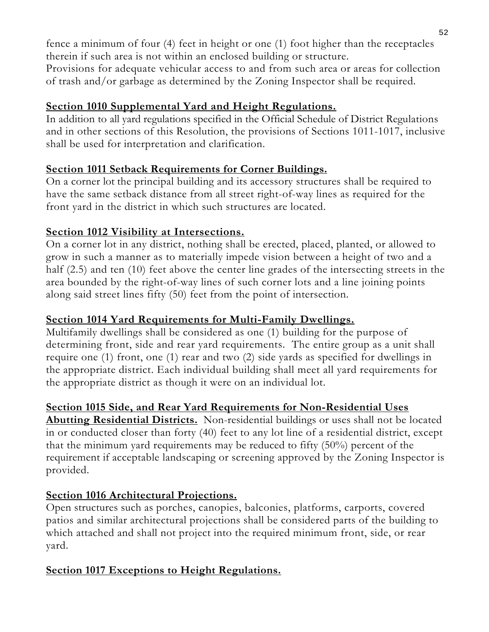fence a minimum of four (4) feet in height or one (1) foot higher than the receptacles therein if such area is not within an enclosed building or structure.

Provisions for adequate vehicular access to and from such area or areas for collection of trash and/or garbage as determined by the Zoning Inspector shall be required.

# **Section 1010 Supplemental Yard and Height Regulations.**

In addition to all yard regulations specified in the Official Schedule of District Regulations and in other sections of this Resolution, the provisions of Sections 1011-1017, inclusive shall be used for interpretation and clarification.

#### **Section 1011 Setback Requirements for Corner Buildings.**

On a corner lot the principal building and its accessory structures shall be required to have the same setback distance from all street right-of-way lines as required for the front yard in the district in which such structures are located.

#### **Section 1012 Visibility at Intersections.**

On a corner lot in any district, nothing shall be erected, placed, planted, or allowed to grow in such a manner as to materially impede vision between a height of two and a half (2.5) and ten (10) feet above the center line grades of the intersecting streets in the area bounded by the right-of-way lines of such corner lots and a line joining points along said street lines fifty (50) feet from the point of intersection.

#### **Section 1014 Yard Requirements for Multi-Family Dwellings.**

Multifamily dwellings shall be considered as one (1) building for the purpose of determining front, side and rear yard requirements. The entire group as a unit shall require one (1) front, one (1) rear and two (2) side yards as specified for dwellings in the appropriate district. Each individual building shall meet all yard requirements for the appropriate district as though it were on an individual lot.

# **Section 1015 Side, and Rear Yard Requirements for Non-Residential Uses**

**Abutting Residential Districts.** Non-residential buildings or uses shall not be located in or conducted closer than forty (40) feet to any lot line of a residential district, except that the minimum yard requirements may be reduced to fifty (50%) percent of the requirement if acceptable landscaping or screening approved by the Zoning Inspector is provided.

# **Section 1016 Architectural Projections.**

Open structures such as porches, canopies, balconies, platforms, carports, covered patios and similar architectural projections shall be considered parts of the building to which attached and shall not project into the required minimum front, side, or rear yard.

#### **Section 1017 Exceptions to Height Regulations.**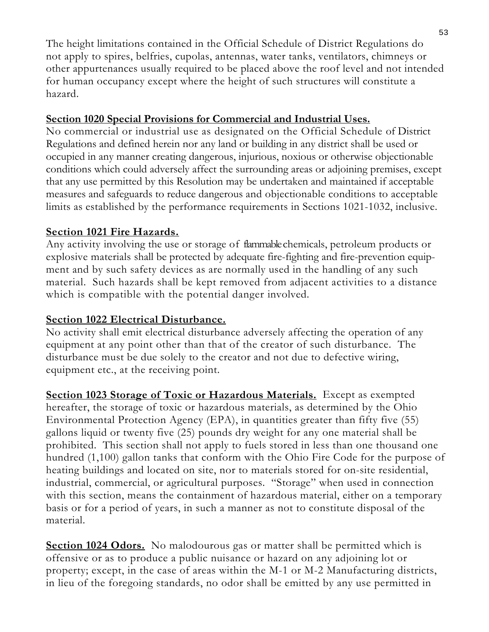The height limitations contained in the Official Schedule of District Regulations do not apply to spires, belfries, cupolas, antennas, water tanks, ventilators, chimneys or other appurtenances usually required to be placed above the roof level and not intended for human occupancy except where the height of such structures will constitute a hazard.

#### **Section 1020 Special Provisions for Commercial and Industrial Uses.**

No commercial or industrial use as designated on the Official Schedule of District Regulations and defined herein nor any land or building in any district shall be used or occupied in any manner creating dangerous, injurious, noxious or otherwise objectionable conditions which could adversely affect the surrounding areas or adjoining premises, except that any use permitted by this Resolution may be undertaken and maintained if acceptable measures and safeguards to reduce dangerous and objectionable conditions to acceptable limits as established by the performance requirements in Sections 1021-1032, inclusive.

# **Section 1021 Fire Hazards.**

Any activity involving the use or storage of flammable chemicals, petroleum products or explosive materials shall be protected by adequate fire-fighting and fire-prevention equipment and by such safety devices as are normally used in the handling of any such material. Such hazards shall be kept removed from adjacent activities to a distance which is compatible with the potential danger involved.

# **Section 1022 Electrical Disturbance.**

No activity shall emit electrical disturbance adversely affecting the operation of any equipment at any point other than that of the creator of such disturbance. The disturbance must be due solely to the creator and not due to defective wiring, equipment etc., at the receiving point.

**Section 1023 Storage of Toxic or Hazardous Materials.** Except as exempted hereafter, the storage of toxic or hazardous materials, as determined by the Ohio Environmental Protection Agency (EPA), in quantities greater than fifty five (55) gallons liquid or twenty five (25) pounds dry weight for any one material shall be prohibited. This section shall not apply to fuels stored in less than one thousand one hundred (1,100) gallon tanks that conform with the Ohio Fire Code for the purpose of heating buildings and located on site, nor to materials stored for on-site residential, industrial, commercial, or agricultural purposes. "Storage" when used in connection with this section, means the containment of hazardous material, either on a temporary basis or for a period of years, in such a manner as not to constitute disposal of the material.

**Section 1024 Odors.** No malodourous gas or matter shall be permitted which is offensive or as to produce a public nuisance or hazard on any adjoining lot or property; except, in the case of areas within the M-1 or M-2 Manufacturing districts, in lieu of the foregoing standards, no odor shall be emitted by any use permitted in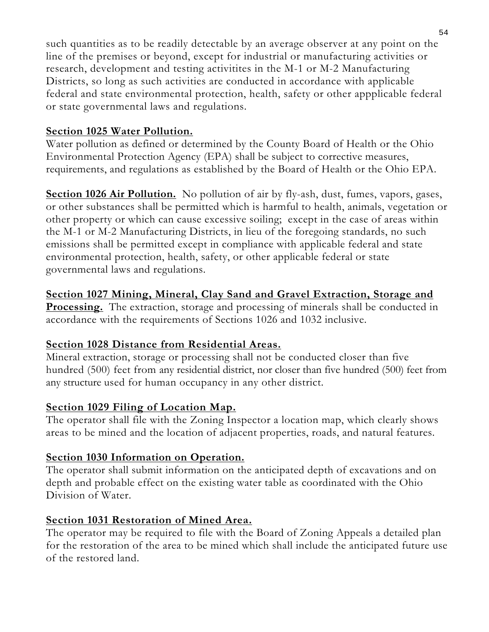such quantities as to be readily detectable by an average observer at any point on the line of the premises or beyond, except for industrial or manufacturing activities or research, development and testing activitites in the M-1 or M-2 Manufacturing Districts, so long as such activities are conducted in accordance with applicable federal and state environmental protection, health, safety or other appplicable federal or state governmental laws and regulations.

#### **Section 1025 Water Pollution.**

Water pollution as defined or determined by the County Board of Health or the Ohio Environmental Protection Agency (EPA) shall be subject to corrective measures, requirements, and regulations as established by the Board of Health or the Ohio EPA.

**Section 1026 Air Pollution.** No pollution of air by fly-ash, dust, fumes, vapors, gases, or other substances shall be permitted which is harmful to health, animals, vegetation or other property or which can cause excessive soiling; except in the case of areas within the M-1 or M-2 Manufacturing Districts, in lieu of the foregoing standards, no such emissions shall be permitted except in compliance with applicable federal and state environmental protection, health, safety, or other applicable federal or state governmental laws and regulations.

# **Section 1027 Mining, Mineral, Clay Sand and Gravel Extraction, Storage and**

**Processing.** The extraction, storage and processing of minerals shall be conducted in accordance with the requirements of Sections 1026 and 1032 inclusive.

# **Section 1028 Distance from Residential Areas.**

Mineral extraction, storage or processing shall not be conducted closer than five hundred (500) feet from any residential district, nor closer than five hundred (500) feet from any structure used for human occupancy in any other district.

# **Section 1029 Filing of Location Map.**

The operator shall file with the Zoning Inspector a location map, which clearly shows areas to be mined and the location of adjacent properties, roads, and natural features.

# **Section 1030 Information on Operation.**

The operator shall submit information on the anticipated depth of excavations and on depth and probable effect on the existing water table as coordinated with the Ohio Division of Water.

# **Section 1031 Restoration of Mined Area.**

The operator may be required to file with the Board of Zoning Appeals a detailed plan for the restoration of the area to be mined which shall include the anticipated future use of the restored land.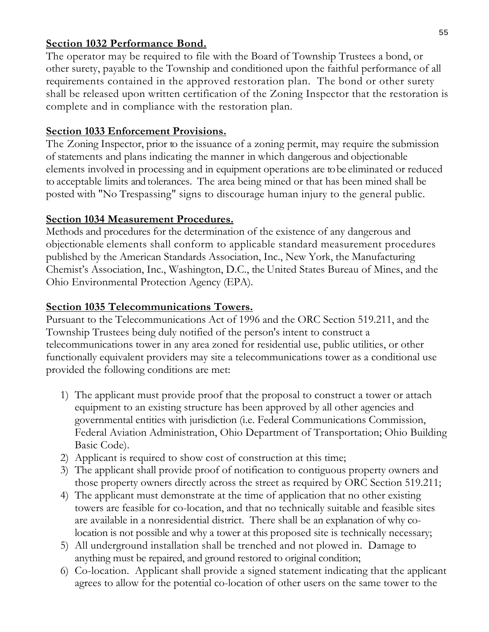#### **Section 1032 Performance Bond.**

The operator may be required to file with the Board of Township Trustees a bond, or other surety, payable to the Township and conditioned upon the faithful performance of all requirements contained in the approved restoration plan. The bond or other surety shall be released upon written certification of the Zoning Inspector that the restoration is complete and in compliance with the restoration plan.

#### **Section 1033 Enforcement Provisions.**

The Zoning Inspector, prior to the issuance of a zoning permit, may require the submission of statements and plans indicating the manner in which dangerous and objectionable elements involved in processing and in equipment operations are to be eliminated or reduced to acceptable limits and tolerances. The area being mined or that has been mined shall be posted with "No Trespassing" signs to discourage human injury to the general public.

#### **Section 1034 Measurement Procedures.**

Methods and procedures for the determination of the existence of any dangerous and objectionable elements shall conform to applicable standard measurement procedures published by the American Standards Association, Inc., New York, the Manufacturing Chemist's Association, Inc., Washington, D.C., the United States Bureau of Mines, and the Ohio Environmental Protection Agency (EPA).

#### **Section 1035 Telecommunications Towers.**

Pursuant to the Telecommunications Act of 1996 and the ORC Section 519.211, and the Township Trustees being duly notified of the person's intent to construct a telecommunications tower in any area zoned for residential use, public utilities, or other functionally equivalent providers may site a telecommunications tower as a conditional use provided the following conditions are met:

- 1) The applicant must provide proof that the proposal to construct a tower or attach equipment to an existing structure has been approved by all other agencies and governmental entities with jurisdiction (i.e. Federal Communications Commission, Federal Aviation Administration, Ohio Department of Transportation; Ohio Building Basic Code).
- 2) Applicant is required to show cost of construction at this time;
- 3) The applicant shall provide proof of notification to contiguous property owners and those property owners directly across the street as required by ORC Section 519.211;
- 4) The applicant must demonstrate at the time of application that no other existing towers are feasible for co-location, and that no technically suitable and feasible sites are available in a nonresidential district. There shall be an explanation of why colocation is not possible and why a tower at this proposed site is technically necessary;
- 5) All underground installation shall be trenched and not plowed in. Damage to anything must be repaired, and ground restored to original condition;
- 6) Co-location. Applicant shall provide a signed statement indicating that the applicant agrees to allow for the potential co-location of other users on the same tower to the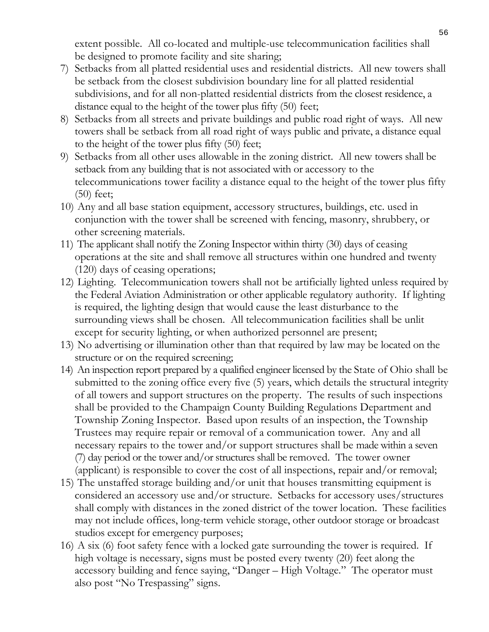extent possible. All co-located and multiple-use telecommunication facilities shall be designed to promote facility and site sharing;

- 7) Setbacks from all platted residential uses and residential districts. All new towers shall be setback from the closest subdivision boundary line for all platted residential subdivisions, and for all non-platted residential districts from the closest residence, a distance equal to the height of the tower plus fifty (50) feet;
- 8) Setbacks from all streets and private buildings and public road right of ways. All new towers shall be setback from all road right of ways public and private, a distance equal to the height of the tower plus fifty (50) feet;
- 9) Setbacks from all other uses allowable in the zoning district. All new towers shall be setback from any building that is not associated with or accessory to the telecommunications tower facility a distance equal to the height of the tower plus fifty (50) feet;
- 10) Any and all base station equipment, accessory structures, buildings, etc. used in conjunction with the tower shall be screened with fencing, masonry, shrubbery, or other screening materials.
- 11) The applicant shall notify the Zoning Inspector within thirty (30) days of ceasing operations at the site and shall remove all structures within one hundred and twenty (120) days of ceasing operations;
- 12) Lighting. Telecommunication towers shall not be artificially lighted unless required by the Federal Aviation Administration or other applicable regulatory authority. If lighting is required, the lighting design that would cause the least disturbance to the surrounding views shall be chosen. All telecommunication facilities shall be unlit except for security lighting, or when authorized personnel are present;
- 13) No advertising or illumination other than that required by law may be located on the structure or on the required screening;
- 14) An inspection report prepared by a qualified engineer licensed by the State of Ohio shall be submitted to the zoning office every five (5) years, which details the structural integrity of all towers and support structures on the property. The results of such inspections shall be provided to the Champaign County Building Regulations Department and Township Zoning Inspector. Based upon results of an inspection, the Township Trustees may require repair or removal of a communication tower. Any and all necessary repairs to the tower and/or support structures shall be made within a seven (7) day period or the tower and/or structures shall be removed. The tower owner (applicant) is responsible to cover the cost of all inspections, repair and/or removal;
- 15) The unstaffed storage building and/or unit that houses transmitting equipment is considered an accessory use and/or structure. Setbacks for accessory uses/structures shall comply with distances in the zoned district of the tower location. These facilities may not include offices, long-term vehicle storage, other outdoor storage or broadcast studios except for emergency purposes;
- 16) A six (6) foot safety fence with a locked gate surrounding the tower is required. If high voltage is necessary, signs must be posted every twenty (20) feet along the accessory building and fence saying, "Danger – High Voltage." The operator must also post "No Trespassing" signs.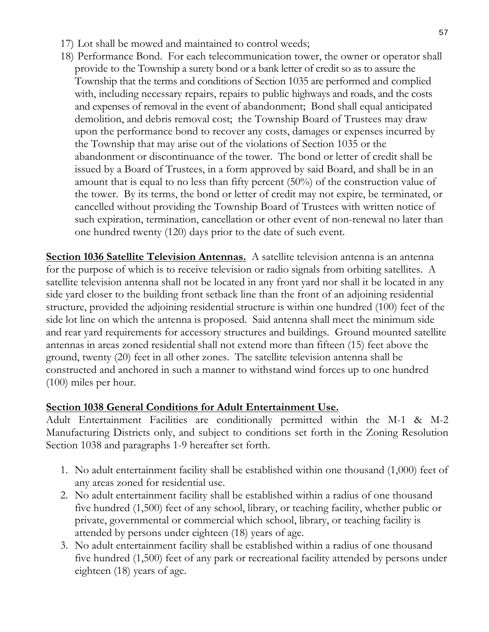- 17) Lot shall be mowed and maintained to control weeds;
- 18) Performance Bond. For each telecommunication tower, the owner or operator shall provide to the Township a surety bond or a bank letter of credit so as to assure the Township that the terms and conditions of Section 1035 are performed and complied with, including necessary repairs, repairs to public highways and roads, and the costs and expenses of removal in the event of abandonment; Bond shall equal anticipated demolition, and debris removal cost; the Township Board of Trustees may draw upon the performance bond to recover any costs, damages or expenses incurred by the Township that may arise out of the violations of Section 1035 or the abandonment or discontinuance of the tower. The bond or letter of credit shall be issued by a Board of Trustees, in a form approved by said Board, and shall be in an amount that is equal to no less than fifty percent (50%) of the construction value of the tower. By its terms, the bond or letter of credit may not expire, be terminated, or cancelled without providing the Township Board of Trustees with written notice of such expiration, termination, cancellation or other event of non-renewal no later than one hundred twenty (120) days prior to the date of such event.

**Section 1036 Satellite Television Antennas.** A satellite television antenna is an antenna for the purpose of which is to receive television or radio signals from orbiting satellites. A satellite television antenna shall not be located in any front yard nor shall it be located in any side yard closer to the building front setback line than the front of an adjoining residential structure, provided the adjoining residential structure is within one hundred (100) feet of the side lot line on which the antenna is proposed. Said antenna shall meet the minimum side and rear yard requirements for accessory structures and buildings. Ground mounted satellite antennas in areas zoned residential shall not extend more than fifteen (15) feet above the ground, twenty (20) feet in all other zones. The satellite television antenna shall be constructed and anchored in such a manner to withstand wind forces up to one hundred (100) miles per hour.

# **Section 1038 General Conditions for Adult Entertainment Use.**

Adult Entertainment Facilities are conditionally permitted within the M-1 & M-2 Manufacturing Districts only, and subject to conditions set forth in the Zoning Resolution Section 1038 and paragraphs 1-9 hereafter set forth.

- 1. No adult entertainment facility shall be established within one thousand (1,000) feet of any areas zoned for residential use.
- 2. No adult entertainment facility shall be established within a radius of one thousand five hundred (1,500) feet of any school, library, or teaching facility, whether public or private, governmental or commercial which school, library, or teaching facility is attended by persons under eighteen (18) years of age.
- 3. No adult entertainment facility shall be established within a radius of one thousand five hundred (1,500) feet of any park or recreational facility attended by persons under eighteen (18) years of age.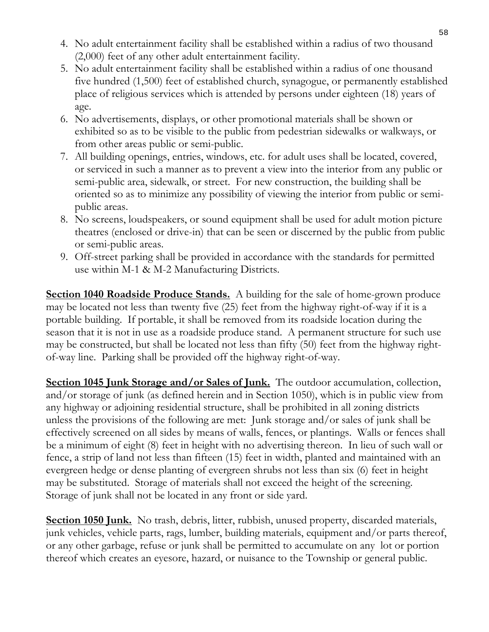- 4. No adult entertainment facility shall be established within a radius of two thousand (2,000) feet of any other adult entertainment facility.
- 5. No adult entertainment facility shall be established within a radius of one thousand five hundred (1,500) feet of established church, synagogue, or permanently established place of religious services which is attended by persons under eighteen (18) years of age.
- 6. No advertisements, displays, or other promotional materials shall be shown or exhibited so as to be visible to the public from pedestrian sidewalks or walkways, or from other areas public or semi-public.
- 7. All building openings, entries, windows, etc. for adult uses shall be located, covered, or serviced in such a manner as to prevent a view into the interior from any public or semi-public area, sidewalk, or street. For new construction, the building shall be oriented so as to minimize any possibility of viewing the interior from public or semipublic areas.
- 8. No screens, loudspeakers, or sound equipment shall be used for adult motion picture theatres (enclosed or drive-in) that can be seen or discerned by the public from public or semi-public areas.
- 9. Off-street parking shall be provided in accordance with the standards for permitted use within M-1 & M-2 Manufacturing Districts.

**Section 1040 Roadside Produce Stands.** A building for the sale of home-grown produce may be located not less than twenty five (25) feet from the highway right-of-way if it is a portable building. If portable, it shall be removed from its roadside location during the season that it is not in use as a roadside produce stand. A permanent structure for such use may be constructed, but shall be located not less than fifty (50) feet from the highway rightof-way line. Parking shall be provided off the highway right-of-way.

**Section 1045 Junk Storage and/or Sales of Junk.** The outdoor accumulation, collection, and/or storage of junk (as defined herein and in Section 1050), which is in public view from any highway or adjoining residential structure, shall be prohibited in all zoning districts unless the provisions of the following are met: Junk storage and/or sales of junk shall be effectively screened on all sides by means of walls, fences, or plantings. Walls or fences shall be a minimum of eight (8) feet in height with no advertising thereon. In lieu of such wall or fence, a strip of land not less than fifteen (15) feet in width, planted and maintained with an evergreen hedge or dense planting of evergreen shrubs not less than six (6) feet in height may be substituted. Storage of materials shall not exceed the height of the screening. Storage of junk shall not be located in any front or side yard.

**Section 1050 Junk.** No trash, debris, litter, rubbish, unused property, discarded materials, junk vehicles, vehicle parts, rags, lumber, building materials, equipment and/or parts thereof, or any other garbage, refuse or junk shall be permitted to accumulate on any lot or portion thereof which creates an eyesore, hazard, or nuisance to the Township or general public.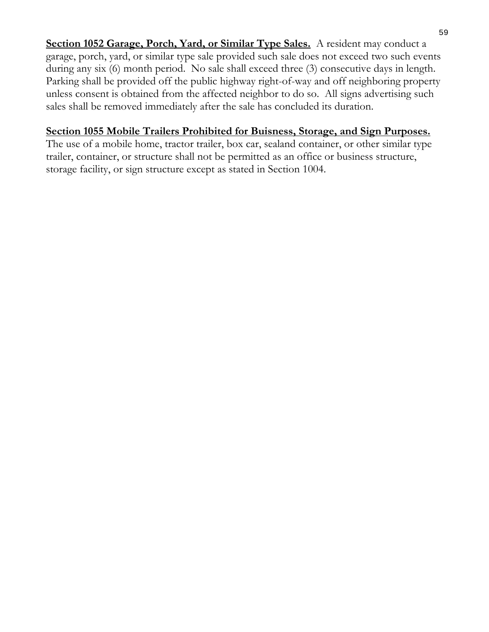**Section 1052 Garage, Porch, Yard, or Similar Type Sales.** A resident may conduct a garage, porch, yard, or similar type sale provided such sale does not exceed two such events during any six (6) month period. No sale shall exceed three (3) consecutive days in length. Parking shall be provided off the public highway right-of-way and off neighboring property unless consent is obtained from the affected neighbor to do so. All signs advertising such sales shall be removed immediately after the sale has concluded its duration.

#### **Section 1055 Mobile Trailers Prohibited for Buisness, Storage, and Sign Purposes.**

The use of a mobile home, tractor trailer, box car, sealand container, or other similar type trailer, container, or structure shall not be permitted as an office or business structure, storage facility, or sign structure except as stated in Section 1004.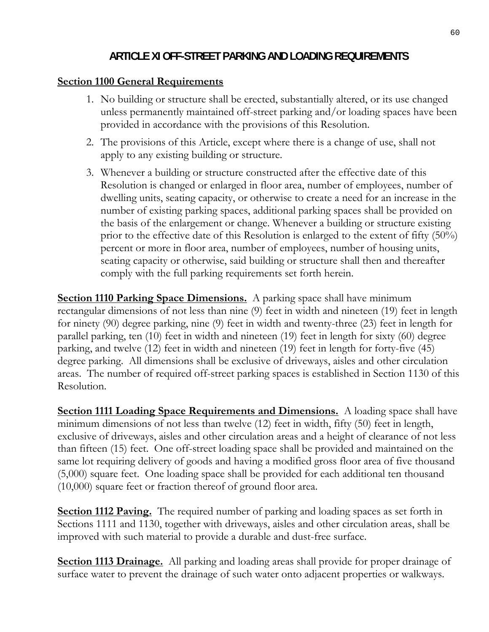# **ARTICLE XI OFF-STREET PARKING AND LOADING REQUIREMENTS**

#### **Section 1100 General Requirements**

- 1. No building or structure shall be erected, substantially altered, or its use changed unless permanently maintained off-street parking and/or loading spaces have been provided in accordance with the provisions of this Resolution.
- 2. The provisions of this Article, except where there is a change of use, shall not apply to any existing building or structure.
- 3. Whenever a building or structure constructed after the effective date of this Resolution is changed or enlarged in floor area, number of employees, number of dwelling units, seating capacity, or otherwise to create a need for an increase in the number of existing parking spaces, additional parking spaces shall be provided on the basis of the enlargement or change. Whenever a building or structure existing prior to the effective date of this Resolution is enlarged to the extent of fifty (50%) percent or more in floor area, number of employees, number of housing units, seating capacity or otherwise, said building or structure shall then and thereafter comply with the full parking requirements set forth herein.

**Section 1110 Parking Space Dimensions.** A parking space shall have minimum rectangular dimensions of not less than nine (9) feet in width and nineteen (19) feet in length for ninety (90) degree parking, nine (9) feet in width and twenty-three (23) feet in length for parallel parking, ten (10) feet in width and nineteen (19) feet in length for sixty (60) degree parking, and twelve (12) feet in width and nineteen (19) feet in length for forty-five (45) degree parking. All dimensions shall be exclusive of driveways, aisles and other circulation areas. The number of required off-street parking spaces is established in Section 1130 of this Resolution.

**<u>Section 1111 Loading Space Requirements and Dimensions.** A loading space shall have</u> minimum dimensions of not less than twelve (12) feet in width, fifty (50) feet in length, exclusive of driveways, aisles and other circulation areas and a height of clearance of not less than fifteen (15) feet. One off-street loading space shall be provided and maintained on the same lot requiring delivery of goods and having a modified gross floor area of five thousand (5,000) square feet. One loading space shall be provided for each additional ten thousand (10,000) square feet or fraction thereof of ground floor area.

**Section 1112 Paving.** The required number of parking and loading spaces as set forth in Sections 1111 and 1130, together with driveways, aisles and other circulation areas, shall be improved with such material to provide a durable and dust-free surface.

**Section 1113 Drainage.** All parking and loading areas shall provide for proper drainage of surface water to prevent the drainage of such water onto adjacent properties or walkways.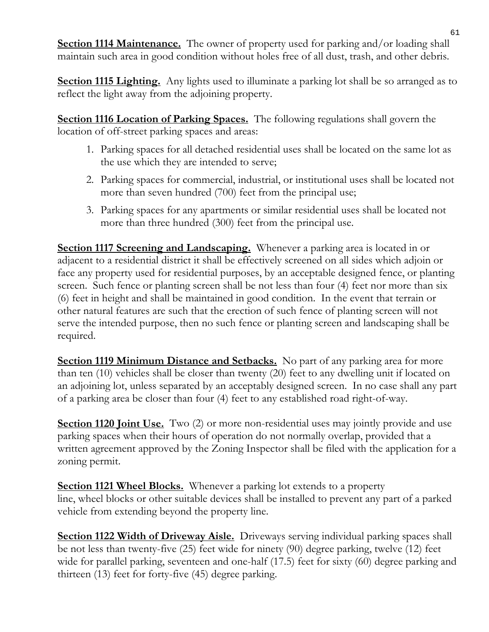**Section 1114 Maintenance.** The owner of property used for parking and/or loading shall maintain such area in good condition without holes free of all dust, trash, and other debris.

**Section 1115 Lighting.** Any lights used to illuminate a parking lot shall be so arranged as to reflect the light away from the adjoining property.

**Section 1116 Location of Parking Spaces.** The following regulations shall govern the location of off-street parking spaces and areas:

- 1. Parking spaces for all detached residential uses shall be located on the same lot as the use which they are intended to serve;
- 2. Parking spaces for commercial, industrial, or institutional uses shall be located not more than seven hundred (700) feet from the principal use;
- 3. Parking spaces for any apartments or similar residential uses shall be located not more than three hundred (300) feet from the principal use.

**Section 1117 Screening and Landscaping.** Whenever a parking area is located in or adjacent to a residential district it shall be effectively screened on all sides which adjoin or face any property used for residential purposes, by an acceptable designed fence, or planting screen. Such fence or planting screen shall be not less than four (4) feet nor more than six (6) feet in height and shall be maintained in good condition. In the event that terrain or other natural features are such that the erection of such fence of planting screen will not serve the intended purpose, then no such fence or planting screen and landscaping shall be required.

**Section 1119 Minimum Distance and Setbacks.** No part of any parking area for more than ten (10) vehicles shall be closer than twenty (20) feet to any dwelling unit if located on an adjoining lot, unless separated by an acceptably designed screen. In no case shall any part of a parking area be closer than four (4) feet to any established road right-of-way.

**Section 1120 Joint Use.** Two (2) or more non-residential uses may jointly provide and use parking spaces when their hours of operation do not normally overlap, provided that a written agreement approved by the Zoning Inspector shall be filed with the application for a zoning permit.

**Section 1121 Wheel Blocks.** Whenever a parking lot extends to a property line, wheel blocks or other suitable devices shall be installed to prevent any part of a parked vehicle from extending beyond the property line.

**Section 1122 Width of Driveway Aisle.** Driveways serving individual parking spaces shall be not less than twenty-five (25) feet wide for ninety (90) degree parking, twelve (12) feet wide for parallel parking, seventeen and one-half (17.5) feet for sixty (60) degree parking and thirteen (13) feet for forty-five (45) degree parking.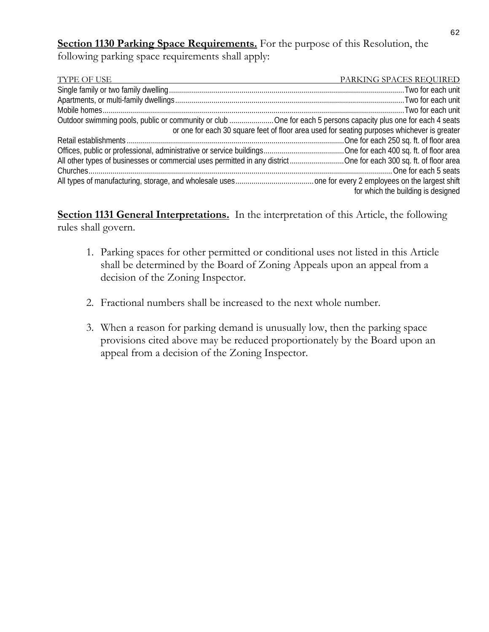**Section 1130 Parking Space Requirements.** For the purpose of this Resolution, the following parking space requirements shall apply:

| <b>TYPE OF USE</b>                                                                                               | PARKING SPACES REQUIRED            |
|------------------------------------------------------------------------------------------------------------------|------------------------------------|
|                                                                                                                  |                                    |
|                                                                                                                  |                                    |
|                                                                                                                  |                                    |
| Outdoor swimming pools, public or community or club  One for each 5 persons capacity plus one for each 4 seats   |                                    |
| or one for each 30 square feet of floor area used for seating purposes whichever is greater                      |                                    |
|                                                                                                                  |                                    |
|                                                                                                                  |                                    |
| All other types of businesses or commercial uses permitted in any districtOne for each 300 sq. ft. of floor area |                                    |
|                                                                                                                  |                                    |
|                                                                                                                  |                                    |
|                                                                                                                  | for which the building is designed |

**Section 1131 General Interpretations.** In the interpretation of this Article, the following rules shall govern.

- 1. Parking spaces for other permitted or conditional uses not listed in this Article shall be determined by the Board of Zoning Appeals upon an appeal from a decision of the Zoning Inspector.
- 2. Fractional numbers shall be increased to the next whole number.
- 3. When a reason for parking demand is unusually low, then the parking space provisions cited above may be reduced proportionately by the Board upon an appeal from a decision of the Zoning Inspector.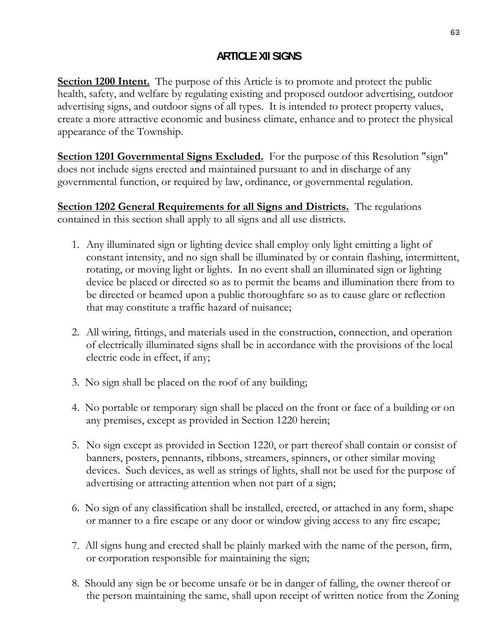# **ARTICLE XII SIGNS**

**Section 1200 Intent.** The purpose of this Article is to promote and protect the public health, safety, and welfare by regulating existing and proposed outdoor advertising, outdoor advertising signs, and outdoor signs of all types. It is intended to protect property values, create a more attractive economic and business climate, enhance and to protect the physical appearance of the Township.

**Section 1201 Governmental Signs Excluded.** For the purpose of this Resolution "sign" does not include signs erected and maintained pursuant to and in discharge of any governmental function, or required by law, ordinance, or governmental regulation.

**Section 1202 General Requirements for all Signs and Districts.** The regulations contained in this section shall apply to all signs and all use districts.

- 1. Any illuminated sign or lighting device shall employ only light emitting a light of constant intensity, and no sign shall be illuminated by or contain flashing, intermittent, rotating, or moving light or lights. In no event shall an illuminated sign or lighting device be placed or directed so as to permit the beams and illumination there from to be directed or beamed upon a public thoroughfare so as to cause glare or reflection that may constitute a traffic hazard of nuisance;
- 2. All wiring, fittings, and materials used in the construction, connection, and operation of electrically illuminated signs shall be in accordance with the provisions of the local electric code in effect, if any;
- 3. No sign shall be placed on the roof of any building;
- 4. No portable or temporary sign shall be placed on the front or face of a building or on any premises, except as provided in Section 1220 herein;
- 5. No sign except as provided in Section 1220, or part thereof shall contain or consist of banners, posters, pennants, ribbons, streamers, spinners, or other similar moving devices. Such devices, as well as strings of lights, shall not be used for the purpose of advertising or attracting attention when not part of a sign;
- 6. No sign of any classification shall be installed, erected, or attached in any form, shape or manner to a fire escape or any door or window giving access to any fire escape;
- 7.All signs hung and erected shall be plainly marked with the name of the person, firm, or corporation responsible for maintaining the sign;
- 8. Should any sign be or become unsafe or be in danger of falling, the owner thereof or the person maintaining the same, shall upon receipt of written notice from the Zoning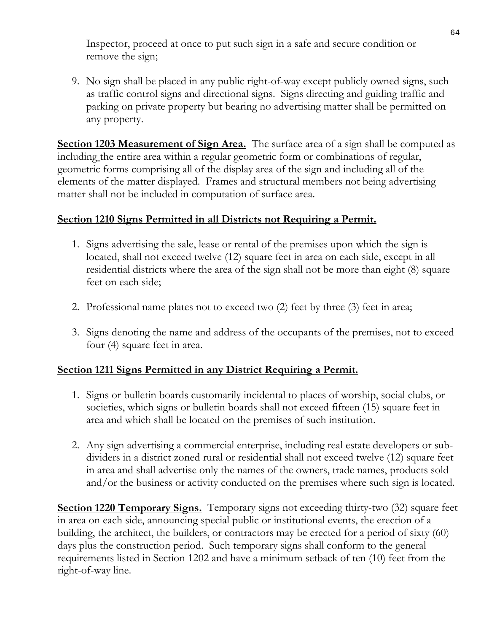Inspector, proceed at once to put such sign in a safe and secure condition or remove the sign;

9. No sign shall be placed in any public right-of-way except publicly owned signs, such as traffic control signs and directional signs. Signs directing and guiding traffic and parking on private property but bearing no advertising matter shall be permitted on any property.

**Section 1203 Measurement of Sign Area.** The surface area of a sign shall be computed as including the entire area within a regular geometric form or combinations of regular, geometric forms comprising all of the display area of the sign and including all of the elements of the matter displayed. Frames and structural members not being advertising matter shall not be included in computation of surface area.

#### **Section 1210 Signs Permitted in all Districts not Requiring a Permit.**

- 1. Signs advertising the sale, lease or rental of the premises upon which the sign is located, shall not exceed twelve (12) square feet in area on each side, except in all residential districts where the area of the sign shall not be more than eight (8) square feet on each side;
- 2. Professional name plates not to exceed two (2) feet by three (3) feet in area;
- 3. Signs denoting the name and address of the occupants of the premises, not to exceed four (4) square feet in area.

# **Section 1211 Signs Permitted in any District Requiring a Permit.**

- 1. Signs or bulletin boards customarily incidental to places of worship, social clubs, or societies, which signs or bulletin boards shall not exceed fifteen (15) square feet in area and which shall be located on the premises of such institution.
- 2. Any sign advertising a commercial enterprise, including real estate developers or subdividers in a district zoned rural or residential shall not exceed twelve (12) square feet in area and shall advertise only the names of the owners, trade names, products sold and/or the business or activity conducted on the premises where such sign is located.

**Section 1220 Temporary Signs.** Temporary signs not exceeding thirty-two (32) square feet in area on each side, announcing special public or institutional events, the erection of a building, the architect, the builders, or contractors may be erected for a period of sixty (60) days plus the construction period. Such temporary signs shall conform to the general requirements listed in Section 1202 and have a minimum setback of ten (10) feet from the right-of-way line.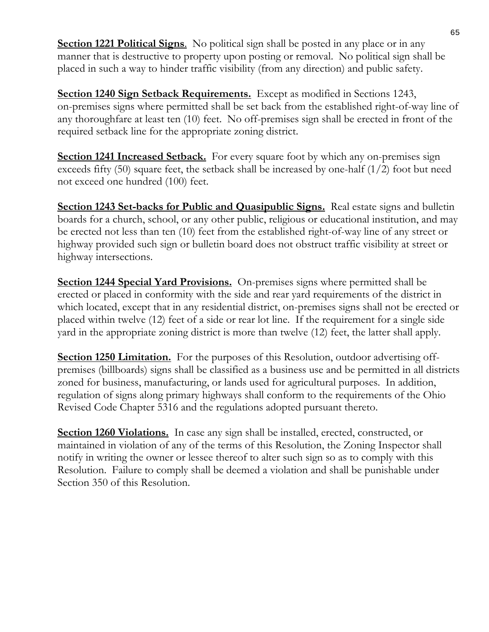**Section 1221 Political Signs.** No political sign shall be posted in any place or in any manner that is destructive to property upon posting or removal. No political sign shall be placed in such a way to hinder traffic visibility (from any direction) and public safety.

**Section 1240 Sign Setback Requirements.** Except as modified in Sections 1243, on-premises signs where permitted shall be set back from the established right-of-way line of any thoroughfare at least ten (10) feet. No off-premises sign shall be erected in front of the required setback line for the appropriate zoning district.

**Section 1241 Increased Setback.** For every square foot by which any on-premises sign exceeds fifty (50) square feet, the setback shall be increased by one-half (1/2) foot but need not exceed one hundred (100) feet.

**Section 1243 Set-backs for Public and Quasipublic Signs.** Real estate signs and bulletin boards for a church, school, or any other public, religious or educational institution, and may be erected not less than ten (10) feet from the established right-of-way line of any street or highway provided such sign or bulletin board does not obstruct traffic visibility at street or highway intersections.

**Section 1244 Special Yard Provisions.** On-premises signs where permitted shall be erected or placed in conformity with the side and rear yard requirements of the district in which located, except that in any residential district, on-premises signs shall not be erected or placed within twelve (12) feet of a side or rear lot line. If the requirement for a single side yard in the appropriate zoning district is more than twelve (12) feet, the latter shall apply.

**Section 1250 Limitation.** For the purposes of this Resolution, outdoor advertising offpremises (billboards) signs shall be classified as a business use and be permitted in all districts zoned for business, manufacturing, or lands used for agricultural purposes. In addition, regulation of signs along primary highways shall conform to the requirements of the Ohio Revised Code Chapter 5316 and the regulations adopted pursuant thereto.

**Section 1260 Violations.** In case any sign shall be installed, erected, constructed, or maintained in violation of any of the terms of this Resolution, the Zoning Inspector shall notify in writing the owner or lessee thereof to alter such sign so as to comply with this Resolution. Failure to comply shall be deemed a violation and shall be punishable under Section 350 of this Resolution.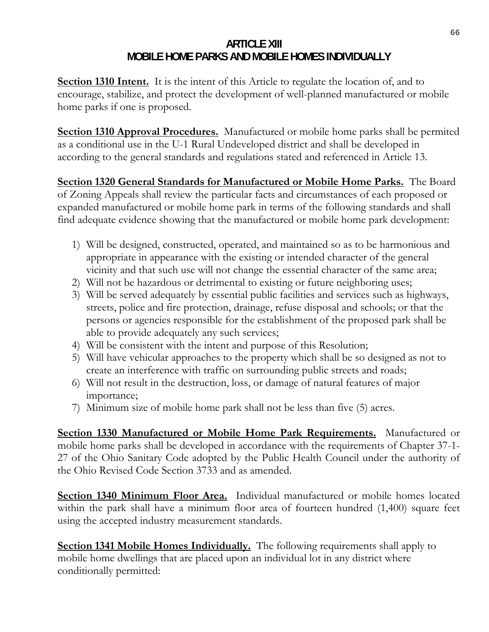#### **ARTICLE XIII MOBILE HOME PARKS AND MOBILE HOMES INDIVIDUALLY**

**Section 1310 Intent.** It is the intent of this Article to regulate the location of, and to encourage, stabilize, and protect the development of well-planned manufactured or mobile home parks if one is proposed.

**Section 1310 Approval Procedures.** Manufactured or mobile home parks shall be permited as a conditional use in the U-1 Rural Undeveloped district and shall be developed in according to the general standards and regulations stated and referenced in Article 13.

**Section 1320 General Standards for Manufactured or Mobile Home Parks.** The Board of Zoning Appeals shall review the particular facts and circumstances of each proposed or expanded manufactured or mobile home park in terms of the following standards and shall find adequate evidence showing that the manufactured or mobile home park development:

- 1) Will be designed, constructed, operated, and maintained so as to be harmonious and appropriate in appearance with the existing or intended character of the general vicinity and that such use will not change the essential character of the same area;
- 2) Will not be hazardous or detrimental to existing or future neighboring uses;
- 3) Will be served adequately by essential public facilities and services such as highways, streets, police and fire protection, drainage, refuse disposal and schools; or that the persons or agencies responsible for the establishment of the proposed park shall be able to provide adequately any such services;
- 4) Will be consistent with the intent and purpose of this Resolution;
- 5) Will have vehicular approaches to the property which shall be so designed as not to create an interference with traffic on surrounding public streets and roads;
- 6) Will not result in the destruction, loss, or damage of natural features of major importance;
- 7) Minimum size of mobile home park shall not be less than five (5) acres.

**Section 1330 Manufactured or Mobile Home Park Requirements.** Manufactured or mobile home parks shall be developed in accordance with the requirements of Chapter 37-1- 27 of the Ohio Sanitary Code adopted by the Public Health Council under the authority of the Ohio Revised Code Section 3733 and as amended.

**Section 1340 Minimum Floor Area.** Individual manufactured or mobile homes located within the park shall have a minimum floor area of fourteen hundred (1,400) square feet using the accepted industry measurement standards.

**Section 1341 Mobile Homes Individually.** The following requirements shall apply to mobile home dwellings that are placed upon an individual lot in any district where conditionally permitted: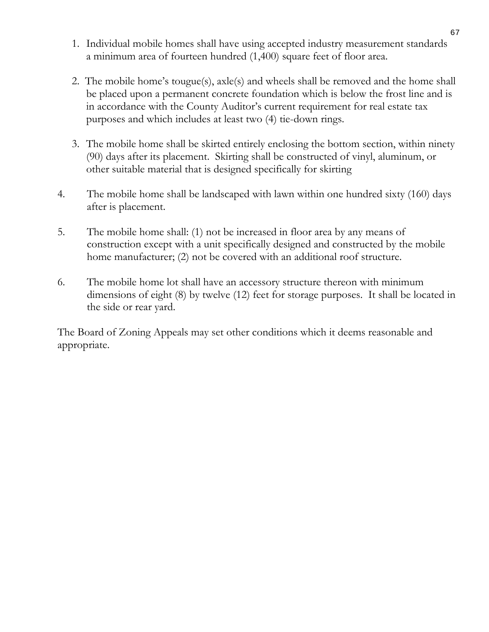- 1. Individual mobile homes shall have using accepted industry measurement standards a minimum area of fourteen hundred (1,400) square feet of floor area.
- 2. The mobile home's tougue(s), axle(s) and wheels shall be removed and the home shall be placed upon a permanent concrete foundation which is below the frost line and is in accordance with the County Auditor's current requirement for real estate tax purposes and which includes at least two (4) tie-down rings.
- 3. The mobile home shall be skirted entirely enclosing the bottom section, within ninety (90) days after its placement. Skirting shall be constructed of vinyl, aluminum, or other suitable material that is designed specifically for skirting
- 4. The mobile home shall be landscaped with lawn within one hundred sixty (160) days after is placement.
- 5. The mobile home shall: (1) not be increased in floor area by any means of construction except with a unit specifically designed and constructed by the mobile home manufacturer; (2) not be covered with an additional roof structure.
- 6. The mobile home lot shall have an accessory structure thereon with minimum dimensions of eight (8) by twelve (12) feet for storage purposes. It shall be located in the side or rear yard.

The Board of Zoning Appeals may set other conditions which it deems reasonable and appropriate.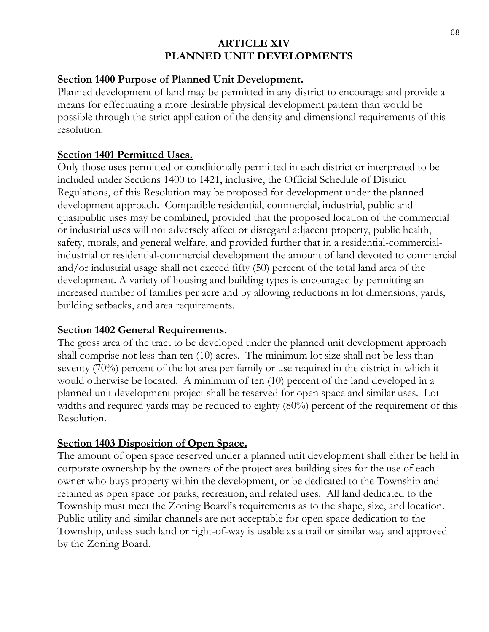#### **ARTICLE XIV PLANNED UNIT DEVELOPMENTS**

#### **Section 1400 Purpose of Planned Unit Development.**

Planned development of land may be permitted in any district to encourage and provide a means for effectuating a more desirable physical development pattern than would be possible through the strict application of the density and dimensional requirements of this resolution.

### **Section 1401 Permitted Uses.**

Only those uses permitted or conditionally permitted in each district or interpreted to be included under Sections 1400 to 1421, inclusive, the Official Schedule of District Regulations, of this Resolution may be proposed for development under the planned development approach. Compatible residential, commercial, industrial, public and quasipublic uses may be combined, provided that the proposed location of the commercial or industrial uses will not adversely affect or disregard adjacent property, public health, safety, morals, and general welfare, and provided further that in a residential-commercialindustrial or residential-commercial development the amount of land devoted to commercial and/or industrial usage shall not exceed fifty (50) percent of the total land area of the development. A variety of housing and building types is encouraged by permitting an increased number of families per acre and by allowing reductions in lot dimensions, yards, building setbacks, and area requirements.

#### **Section 1402 General Requirements.**

The gross area of the tract to be developed under the planned unit development approach shall comprise not less than ten (10) acres. The minimum lot size shall not be less than seventy (70%) percent of the lot area per family or use required in the district in which it would otherwise be located. A minimum of ten (10) percent of the land developed in a planned unit development project shall be reserved for open space and similar uses. Lot widths and required yards may be reduced to eighty (80%) percent of the requirement of this Resolution.

## **Section 1403 Disposition of Open Space.**

The amount of open space reserved under a planned unit development shall either be held in corporate ownership by the owners of the project area building sites for the use of each owner who buys property within the development, or be dedicated to the Township and retained as open space for parks, recreation, and related uses. All land dedicated to the Township must meet the Zoning Board's requirements as to the shape, size, and location. Public utility and similar channels are not acceptable for open space dedication to the Township, unless such land or right-of-way is usable as a trail or similar way and approved by the Zoning Board.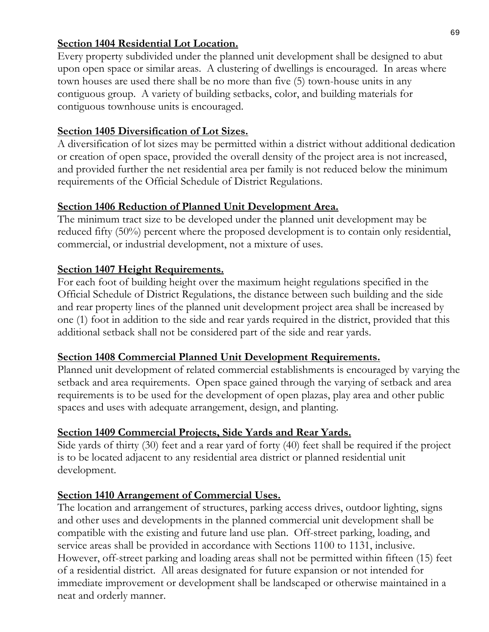### **Section 1404 Residential Lot Location.**

Every property subdivided under the planned unit development shall be designed to abut upon open space or similar areas. A clustering of dwellings is encouraged. In areas where town houses are used there shall be no more than five (5) town-house units in any contiguous group. A variety of building setbacks, color, and building materials for contiguous townhouse units is encouraged.

## **Section 1405 Diversification of Lot Sizes.**

A diversification of lot sizes may be permitted within a district without additional dedication or creation of open space, provided the overall density of the project area is not increased, and provided further the net residential area per family is not reduced below the minimum requirements of the Official Schedule of District Regulations.

# **Section 1406 Reduction of Planned Unit Development Area.**

The minimum tract size to be developed under the planned unit development may be reduced fifty (50%) percent where the proposed development is to contain only residential, commercial, or industrial development, not a mixture of uses.

## **Section 1407 Height Requirements.**

For each foot of building height over the maximum height regulations specified in the Official Schedule of District Regulations, the distance between such building and the side and rear property lines of the planned unit development project area shall be increased by one (1) foot in addition to the side and rear yards required in the district, provided that this additional setback shall not be considered part of the side and rear yards.

## **Section 1408 Commercial Planned Unit Development Requirements.**

Planned unit development of related commercial establishments is encouraged by varying the setback and area requirements. Open space gained through the varying of setback and area requirements is to be used for the development of open plazas, play area and other public spaces and uses with adequate arrangement, design, and planting.

## **Section 1409 Commercial Projects, Side Yards and Rear Yards.**

Side yards of thirty (30) feet and a rear yard of forty (40) feet shall be required if the project is to be located adjacent to any residential area district or planned residential unit development.

## **Section 1410 Arrangement of Commercial Uses.**

The location and arrangement of structures, parking access drives, outdoor lighting, signs and other uses and developments in the planned commercial unit development shall be compatible with the existing and future land use plan. Off-street parking, loading, and service areas shall be provided in accordance with Sections 1100 to 1131, inclusive. However, off-street parking and loading areas shall not be permitted within fifteen (15) feet of a residential district. All areas designated for future expansion or not intended for immediate improvement or development shall be landscaped or otherwise maintained in a neat and orderly manner.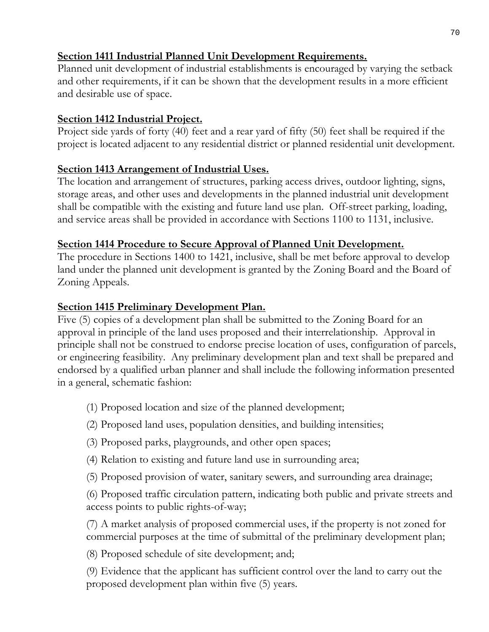# **Section 1411 Industrial Planned Unit Development Requirements.**

Planned unit development of industrial establishments is encouraged by varying the setback and other requirements, if it can be shown that the development results in a more efficient and desirable use of space.

## **Section 1412 Industrial Project.**

Project side yards of forty (40) feet and a rear yard of fifty (50) feet shall be required if the project is located adjacent to any residential district or planned residential unit development.

# **Section 1413 Arrangement of Industrial Uses.**

The location and arrangement of structures, parking access drives, outdoor lighting, signs, storage areas, and other uses and developments in the planned industrial unit development shall be compatible with the existing and future land use plan. Off-street parking, loading, and service areas shall be provided in accordance with Sections 1100 to 1131, inclusive.

# **Section 1414 Procedure to Secure Approval of Planned Unit Development.**

The procedure in Sections 1400 to 1421, inclusive, shall be met before approval to develop land under the planned unit development is granted by the Zoning Board and the Board of Zoning Appeals.

# **Section 1415 Preliminary Development Plan.**

Five (5) copies of a development plan shall be submitted to the Zoning Board for an approval in principle of the land uses proposed and their interrelationship. Approval in principle shall not be construed to endorse precise location of uses, configuration of parcels, or engineering feasibility. Any preliminary development plan and text shall be prepared and endorsed by a qualified urban planner and shall include the following information presented in a general, schematic fashion:

- (1) Proposed location and size of the planned development;
- (2) Proposed land uses, population densities, and building intensities;
- (3) Proposed parks, playgrounds, and other open spaces;
- (4) Relation to existing and future land use in surrounding area;
- (5) Proposed provision of water, sanitary sewers, and surrounding area drainage;

(6) Proposed traffic circulation pattern, indicating both public and private streets and access points to public rights-of-way;

(7) A market analysis of proposed commercial uses, if the property is not zoned for commercial purposes at the time of submittal of the preliminary development plan;

(8) Proposed schedule of site development; and;

(9) Evidence that the applicant has sufficient control over the land to carry out the proposed development plan within five (5) years.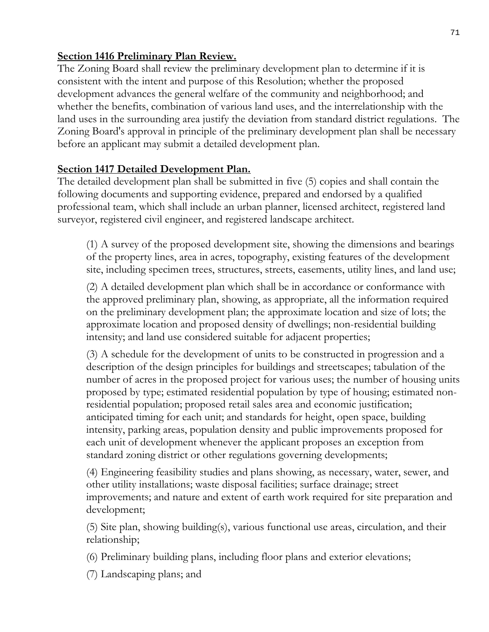## **Section 1416 Preliminary Plan Review.**

The Zoning Board shall review the preliminary development plan to determine if it is consistent with the intent and purpose of this Resolution; whether the proposed development advances the general welfare of the community and neighborhood; and whether the benefits, combination of various land uses, and the interrelationship with the land uses in the surrounding area justify the deviation from standard district regulations. The Zoning Board's approval in principle of the preliminary development plan shall be necessary before an applicant may submit a detailed development plan.

## **Section 1417 Detailed Development Plan.**

The detailed development plan shall be submitted in five (5) copies and shall contain the following documents and supporting evidence, prepared and endorsed by a qualified professional team, which shall include an urban planner, licensed architect, registered land surveyor, registered civil engineer, and registered landscape architect.

(1) A survey of the proposed development site, showing the dimensions and bearings of the property lines, area in acres, topography, existing features of the development site, including specimen trees, structures, streets, easements, utility lines, and land use;

(2) A detailed development plan which shall be in accordance or conformance with the approved preliminary plan, showing, as appropriate, all the information required on the preliminary development plan; the approximate location and size of lots; the approximate location and proposed density of dwellings; non-residential building intensity; and land use considered suitable for adjacent properties;

(3) A schedule for the development of units to be constructed in progression and a description of the design principles for buildings and streetscapes; tabulation of the number of acres in the proposed project for various uses; the number of housing units proposed by type; estimated residential population by type of housing; estimated nonresidential population; proposed retail sales area and economic justification; anticipated timing for each unit; and standards for height, open space, building intensity, parking areas, population density and public improvements proposed for each unit of development whenever the applicant proposes an exception from standard zoning district or other regulations governing developments;

(4) Engineering feasibility studies and plans showing, as necessary, water, sewer, and other utility installations; waste disposal facilities; surface drainage; street improvements; and nature and extent of earth work required for site preparation and development;

(5) Site plan, showing building(s), various functional use areas, circulation, and their relationship;

(6) Preliminary building plans, including floor plans and exterior elevations;

(7) Landscaping plans; and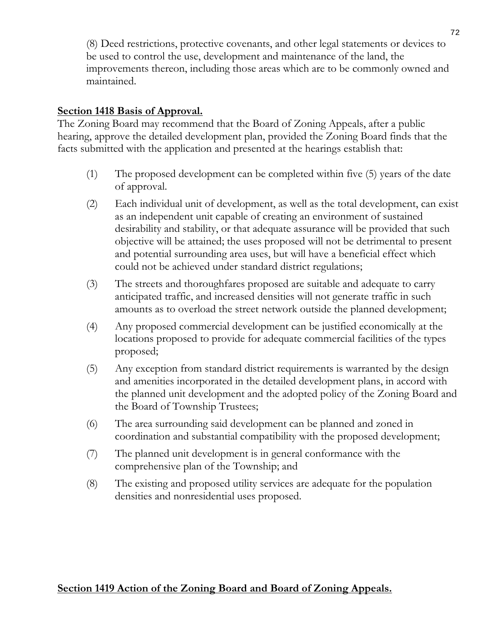(8) Deed restrictions, protective covenants, and other legal statements or devices to be used to control the use, development and maintenance of the land, the improvements thereon, including those areas which are to be commonly owned and maintained.

#### **Section 1418 Basis of Approval.**

The Zoning Board may recommend that the Board of Zoning Appeals, after a public hearing, approve the detailed development plan, provided the Zoning Board finds that the facts submitted with the application and presented at the hearings establish that:

- (1) The proposed development can be completed within five (5) years of the date of approval.
- (2) Each individual unit of development, as well as the total development, can exist as an independent unit capable of creating an environment of sustained desirability and stability, or that adequate assurance will be provided that such objective will be attained; the uses proposed will not be detrimental to present and potential surrounding area uses, but will have a beneficial effect which could not be achieved under standard district regulations;
- (3) The streets and thoroughfares proposed are suitable and adequate to carry anticipated traffic, and increased densities will not generate traffic in such amounts as to overload the street network outside the planned development;
- (4) Any proposed commercial development can be justified economically at the locations proposed to provide for adequate commercial facilities of the types proposed;
- (5) Any exception from standard district requirements is warranted by the design and amenities incorporated in the detailed development plans, in accord with the planned unit development and the adopted policy of the Zoning Board and the Board of Township Trustees;
- (6) The area surrounding said development can be planned and zoned in coordination and substantial compatibility with the proposed development;
- (7) The planned unit development is in general conformance with the comprehensive plan of the Township; and
- (8) The existing and proposed utility services are adequate for the population densities and nonresidential uses proposed.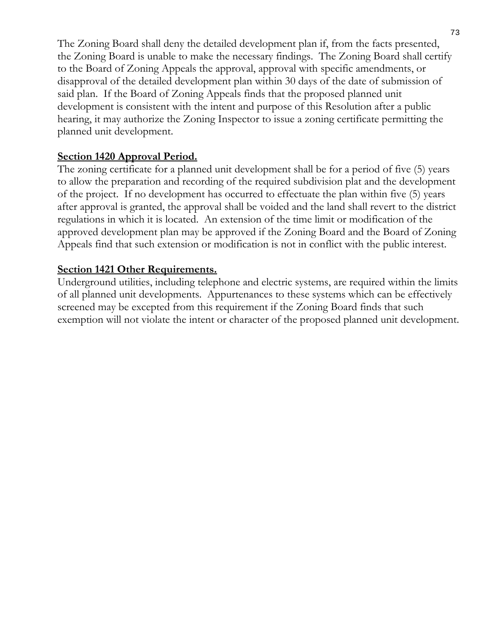The Zoning Board shall deny the detailed development plan if, from the facts presented, the Zoning Board is unable to make the necessary findings. The Zoning Board shall certify to the Board of Zoning Appeals the approval, approval with specific amendments, or disapproval of the detailed development plan within 30 days of the date of submission of said plan. If the Board of Zoning Appeals finds that the proposed planned unit development is consistent with the intent and purpose of this Resolution after a public hearing, it may authorize the Zoning Inspector to issue a zoning certificate permitting the planned unit development.

#### **Section 1420 Approval Period.**

The zoning certificate for a planned unit development shall be for a period of five (5) years to allow the preparation and recording of the required subdivision plat and the development of the project. If no development has occurred to effectuate the plan within five (5) years after approval is granted, the approval shall be voided and the land shall revert to the district regulations in which it is located. An extension of the time limit or modification of the approved development plan may be approved if the Zoning Board and the Board of Zoning Appeals find that such extension or modification is not in conflict with the public interest.

### **Section 1421 Other Requirements.**

Underground utilities, including telephone and electric systems, are required within the limits of all planned unit developments. Appurtenances to these systems which can be effectively screened may be excepted from this requirement if the Zoning Board finds that such exemption will not violate the intent or character of the proposed planned unit development.